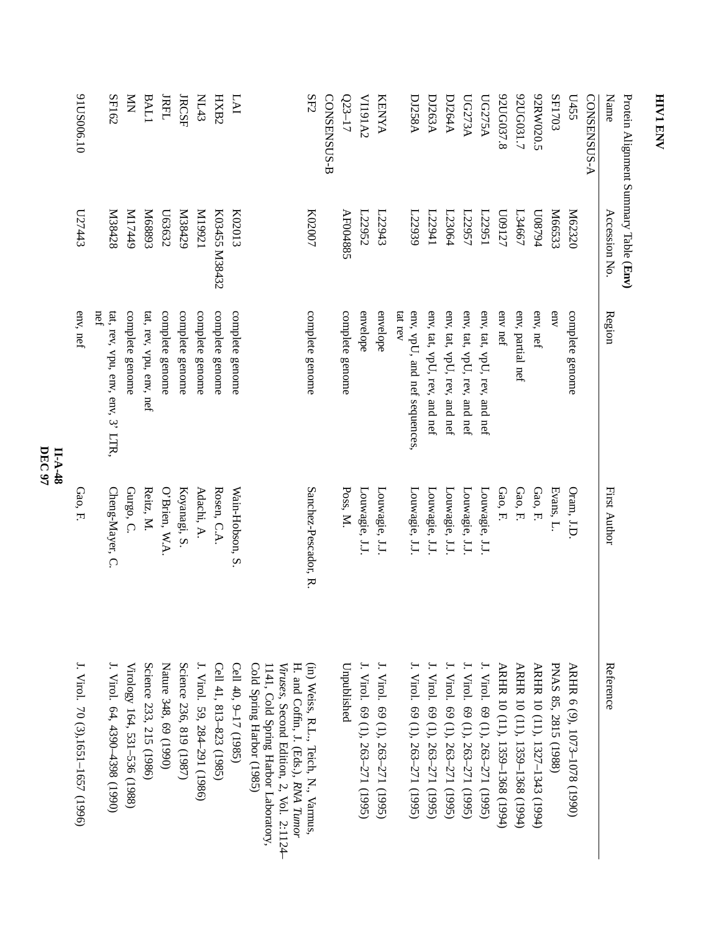| 91US006.10                        | SF162                                   | $\sum_{i=1}^{n}$             | <b>BAL1</b>             | <b>JRFL</b>           | <b>IRCSF</b>            | M <sub>43</sub>              | HXB2                    | LAI                  |                                                                                                                                                      | SF2                                  | CONSENSUS-B | $Q23 - 17$      | <b>SA191A2</b>                   | KENYA                            |                                         | <b>DJ258A</b> | <b>DJ263A</b>                    | DJ264A                           | <b>UG273A</b>                    | <b>UG275A</b>                    | 92UG037.8                      | 92UG031.7                      | 92RW020.5                      | <b>SF1703</b>        | L455                         | CONSENSUS-A | Name          |                                       |
|-----------------------------------|-----------------------------------------|------------------------------|-------------------------|-----------------------|-------------------------|------------------------------|-------------------------|----------------------|------------------------------------------------------------------------------------------------------------------------------------------------------|--------------------------------------|-------------|-----------------|----------------------------------|----------------------------------|-----------------------------------------|---------------|----------------------------------|----------------------------------|----------------------------------|----------------------------------|--------------------------------|--------------------------------|--------------------------------|----------------------|------------------------------|-------------|---------------|---------------------------------------|
| L27443                            | 827881                                  | 6ttLIN                       | K168893                 | L63632                | N38429                  | IZ66IM                       | K03455 M38432           | K02013               |                                                                                                                                                      | K02007                               |             | AF004885        | L22952                           | L22943                           |                                         | L22939        | L22941                           | L23064                           | L22957                           | 122951                           | LZ160N                         | L34667                         | p62800                         | M66533               | M62320                       |             | Accession No. | Protein Alignment Summary Table (Env) |
| env, nef                          | nef<br>tat, rev, vpu, env, env, 3' LTR, | complete genome              | tat, rev, vpu, env, nef | complete genome       | complete genome         | complete genome              | complete genome         | complete genome      |                                                                                                                                                      | complete genome                      |             | complete genome | envelope                         | envelope                         | tat rev<br>env, vpU, and nef sequences. |               | env, tat, vpU, rev, and nef      | env, tat, vpU, rev, and nef      | env, tat, vpU, rev, and nef      | env, tat, vpU, rev, and nef      | env nef                        | env, partial nef               | env, nef                       | env                  | complete genome              |             | Region        |                                       |
| Gao, F.                           | Cheng-Mayer, C.                         | Gurgo, C.                    | Reitz, M.               | O'Brien, W.A.         | Koyanagi, S.            | Adachi, A.                   | Rosen, C.A.             | Wain-Hobson, S.      |                                                                                                                                                      | Sanchez-Pescador, R.                 |             | Poss, M.        | Louwagie, J.J.                   | Louwagie, J.J.                   | Louwagie, J.J                           |               | Louwagie, J.J                    | Louwagie, J.J                    | Louwagie, J.J                    | Louwagie, J.J.                   | Gao, F.                        | Gao, F.                        | Gao, F.                        | Evans, L.            | Oram, J.D.                   |             | First Author  |                                       |
| J. Virol. 70 (3),1651–1657 (1996) | J. Virol. 64, 4390–4398 (1990)          | Virology 164, 531–536 (1988) | Science 233, 215 (1986) | Nature 348, 69 (1990) | Science 236, 819 (1987) | J. Virol. 59, 284-291 (1986) | Cell 41, 813-823 (1985) | Cell 40, 9-17 (1985) | Cold Spring Harbor (1985)<br>Viruses, Second Edition, 2, Vol. 2:1124-<br>H. and Coffin, J. (Eds.), RNA Tumor<br>1141, Cold Spring Harbor Laboratory, | (in) Weiss, R.L., Teich, N., Varmus, |             | Unpublished     | J. Virol. 69 (1), 263–271 (1995) | J. Virol. 69 (1), 263-271 (1995) | J. Virol. 69 (1), 263–271 (1995)        |               | I. Virol. 69 (1), 263–271 (1995) | I. Virol. 69 (1), 263–271 (1995) | J. Virol. 69 (1), 263–271 (1995) | J. Virol. 69 (1), 263-271 (1995) | ARHR 10 (11), 1359-1368 (1994) | ARHR 10 (11), 1359-1368 (1994) | ARHR 10 (11), 1327-1343 (1994) | PNAS 85, 2815 (1988) | ARHR 6 (9), 1073-1078 (1990) |             | Reference     |                                       |

**HIV1**

**ENV** 

**DEC 97 II-A-48**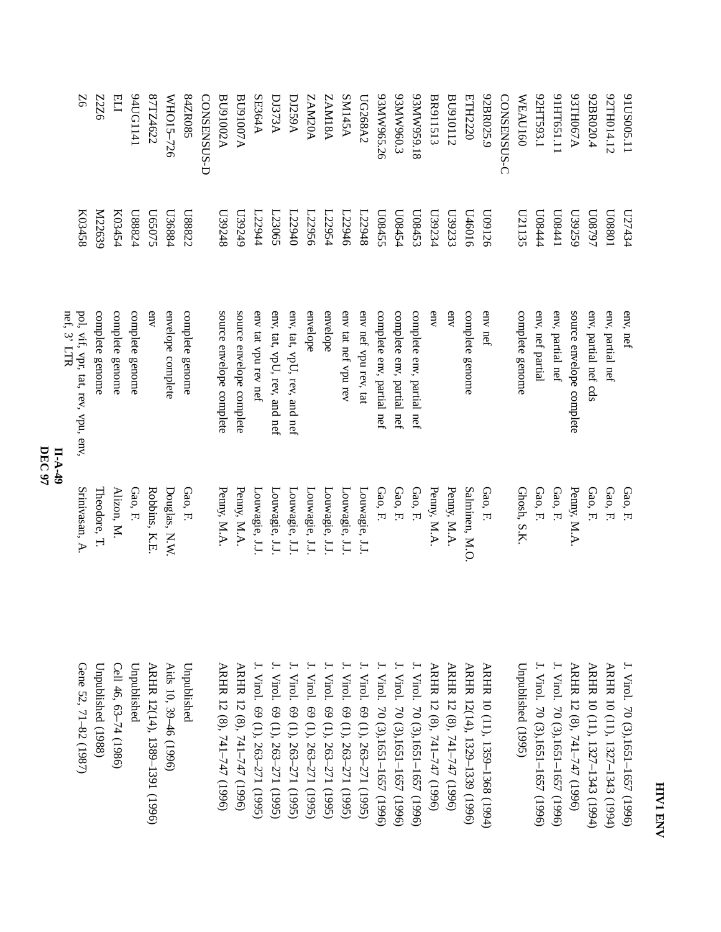| Gene 52, 71-82 (1987)                                                | Srinivasan, A. | nef, 3' LTR<br>pol, vif, vpr, tat, rev, vpu, env, | K03458             | 26              |
|----------------------------------------------------------------------|----------------|---------------------------------------------------|--------------------|-----------------|
| Unpublished (1988)                                                   | Theodore, T.   | complete genome                                   | N22639             | 9ZZZ            |
| Cell 46, 63-74 (1986)                                                | Alizon, M.     | complete genome                                   | K03454             | ELI             |
| Unpublished                                                          | Gao, F.        | complete genome                                   | L88824             | 141191141       |
| ARHR 12(14), 1389–1391 (1996)                                        | Robbins, K.E.  | env                                               | L65075             | 87TZ4622        |
| Aids 10, 39-46 (1996)                                                | Douglas, N.W.  | envelope complete                                 | L36884             | WHO15-726       |
| Unpublished                                                          | Gao, F.        | complete genome                                   | LS8822             | S4ZR085         |
|                                                                      |                |                                                   |                    | CONSENSUS-D     |
| ARHR 12 (8), 741-747 (1996)                                          | Penny, M.A.    | source envelope complete                          | 8776£0             | BU91002A        |
| ARHR 12 (8), 741-747 (1996)                                          | Penny, M.A.    | source envelope complete                          | GtZ6£N             | <b>BU91007A</b> |
| J. Virol. 69 (1), 263–271 (1995)                                     | Louwagie, J.J. | env tat vpu rev nef                               | L22944             | <b>SE364A</b>   |
| J. Virol. 69 (1), 263–271 (1995)                                     | Louwagie, J.J  | env, tat, vpU, rev, and nef                       | L23065             | <b>DJ373A</b>   |
| J. Virol. 69 (1), 263–271 (1995)<br>J. Virol. 69 (1), 263–271 (1995) | Louwagie, J.J. | env, tat, vpU, rev, and nef                       | L22940             | <b>DJ259A</b>   |
|                                                                      | Louwagie, J.J  | envelope                                          | L22956             | AM20A           |
| J. Virol. 69 (1), 263–271 (1995)                                     | Louwagie, J.J  | envelope                                          | L22954             | <b>AMI8A</b>    |
| J. Virol. 69 (1), 263–271 (1995)                                     | Louwagie, J.J  | env tat nef vpu rev                               | L22946             | <b>SN145A</b>   |
| I. Virol. 69 (1), 263–271 (1995)                                     | Louwagie, J.J  | env nef vpu rev, tat                              | L22948             | UG268A2         |
| J. Virol. 70 (3),1651-1657 (1996)                                    | Gao, F.        | complete env, partial nef                         | L08455             | 93MW965.26      |
| J. Virol. 70 (3),1651–1657 (1996)                                    | Gao, F.        | complete env, partial nef                         | L08454             | 93MW960.3       |
| J. Virol. 70 (3), 1651–1657 (1996)                                   | Gao, F.        | complete env, partial nef                         | E5+80N             | 81.656MMS6      |
| ARHR 12 (8), 741-747 (1996)                                          | Penny, M.A.    | env                                               | L39234             | BR911513        |
| ARHR 12 (8), 741-747 (1996)                                          | Penny, M.A.    | env                                               | L39233             | BU910112        |
| ARHR 12(14), 1329-1339 (1996)                                        | Salminen, M.O. | complete genome                                   | 010016             | ETH2220         |
| ARHR 10 (11), 1359-1368 (1994)                                       | Gao, F.        | env nef                                           | D09126             | 92BR025.9       |
|                                                                      |                |                                                   |                    | CONSENSUS-C     |
| Unpublished (1995)                                                   | Ghosh, S.K.    | complete genome                                   | L21135             | WEAU160         |
| J. Virol. 70 (3),1651–1657 (1996)                                    | Gao, F.        | env, nef partial                                  | ptt800             | 92HT593.1       |
| J. Virol. 70 (3), 1651–1657 (1996)                                   | Gao, F.        | env, partial nef                                  | Lt <sub>80</sub> 0 | 91HT651.11      |
| ARHR 12 (8), 741-747 (1996)                                          | Penny, M.A.    | source envelope complete                          | <b>U39259</b>      | A700HTE9        |
| ARHR 10 (11), 1327-1343 (1994)                                       | Gao, F.        | env, partial nef cds                              | L6L8011            | 92BR020.4       |
| ARHR 10 (11), 1327-1343 (1994)                                       | Gao, F.        | env, partial nef                                  | L08801             | 92TH014.12      |
| J. Virol. 70 (3),1651–1657 (1996)                                    | Gao, F.        | env, nef                                          | L27434             | 91US005.11      |
|                                                                      |                |                                                   |                    |                 |

**DEC 97 II-A-49**

#### **HIV1**

**ENV**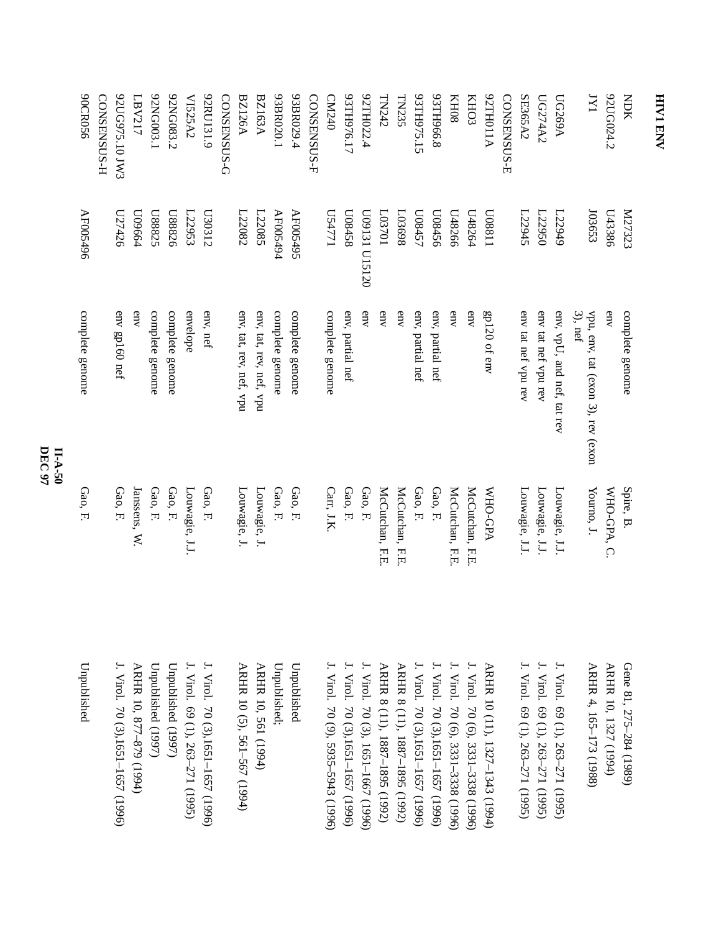| 90CR056         | 92UG975.10 JW3<br><b>CONSENSUS-H</b><br>027426 | LIZA <sub>B17</sub><br>L09664 | 92NG003.1<br>U88825 | 92NG083.2<br>U88826 | VI525A2<br>L22953                | 92RU131.9<br>L30312                | CONSENSUS-G | <b>BZ126A</b><br>L22082     | <b>AS163A</b><br>L22085 | 93BR020.1       | 93BR029.4       | CONSENSUS-F | CM240<br>I174771                   | 93TH976.17                        | 92TH022.4                          | $\Gamma\mathrm{N}242$<br>102301 | TN235<br>869807               | 93TH975.15<br>L08457              | 93TH966.8<br>U08456               | <b>KH08</b><br><b>U48266</b>       | <b>KHO3</b>                        | A110HT20<br>L08801             | CONSENSUS-E | SE365A2<br>L22945                | UG274A2<br>L22950                | <b>UG269A</b><br>L22949          | IYI<br>103653                                   | 92UG024.2<br>L43386  | NOK                     |
|-----------------|------------------------------------------------|-------------------------------|---------------------|---------------------|----------------------------------|------------------------------------|-------------|-----------------------------|-------------------------|-----------------|-----------------|-------------|------------------------------------|-----------------------------------|------------------------------------|---------------------------------|-------------------------------|-----------------------------------|-----------------------------------|------------------------------------|------------------------------------|--------------------------------|-------------|----------------------------------|----------------------------------|----------------------------------|-------------------------------------------------|----------------------|-------------------------|
| AF005496        |                                                |                               |                     |                     |                                  |                                    |             |                             |                         | AF005494        | AF005495        |             |                                    | S\$800                            | <b>U09131 U15120</b>               |                                 |                               |                                   |                                   |                                    | L48264                             |                                |             |                                  |                                  |                                  |                                                 |                      | K27323                  |
| complete genome | env gp160 nef                                  | env                           | complete genome     | complete genome     | envelope                         | env, nef                           |             | env, tat, rev, nef, vpu     | env, tat, rev, nef, vpu | complete genome | complete genome |             | complete genome                    | env, partial nef                  | env                                | env                             | env                           | env,<br>partial nef               | env, partial nef                  | env                                | env                                | $g$ p120 of env                |             | env tat nef vpu rev              | env tat nef vpu rev              | env, vpU, and nef, tat rev       | $3)$ , nef<br>vpu, env, tat (exon 3), rev (exon | env                  | complete genome         |
| Gao, F.         | Gao, F.                                        | Janssens, W.                  | Gao, F.             | Gao, F.             | Louwagie, J.J.                   | Gao, F.                            |             | Louwagie, J.                | Louwagie, J.            | Gao, F.         | Gao, F.         |             | Carr, J.K.                         | Gao, F.                           | Gao, F.                            | McCutchan, F.E                  | McCutchan, F.E                | Gao, F.                           | Gao, F.                           | McCutchan, F.E.                    | McCutchan, F.E                     | <b>MHO-GPA</b>                 |             | Louwagie, J.J.                   | Louwagie, J.J.                   | Louwagie, J.J.                   | Yourno, J.                                      | WHO-GPA, C.          | Spire, B.               |
| Unpublished     | J. Virol. 70 (3),1651–1657 (1996)              | ARHR 10, 877-879 (1994)       | Unpublished (1997)  | Unpublished (1997)  | J. Virol. 69 (1), 263–271 (1995) | J. Virol. 70 (3), 1651-1657 (1996) |             | ARHR 10 (5), 561-567 (1994) | ARHR 10, 561 (1994)     | Unpublished;    | Unpublished     |             | J. Virol. 70 (9), 5935–5943 (1996) | J. Virol. 70 (3),1651-1657 (1996) | J. Virol. 70 (3), 1651-1667 (1996) | ARHR 8 (11), 1887-1895 (1992)   | ARHR 8 (11), 1887-1895 (1992) | J. Virol. 70 (3),1651-1657 (1996) | J. Virol. 70 (3),1651–1657 (1996) | J. Virol. 70 (6), 3331-3338 (1996) | J. Virol. 70 (6), 3331-3338 (1996) | ARHR 10 (11), 1327-1343 (1994) |             | J. Virol. 69 (1), 263–271 (1995) | J. Virol. 69 (1), 263-271 (1995) | J. Virol. 69 (1), 263-271 (1995) | ARHR 4, 165-173 (1988)                          | ARHR 10, 1327 (1994) | Gene 81, 275-284 (1989) |

**DEC 97 II-A-50**

**HIV1**

**ENV**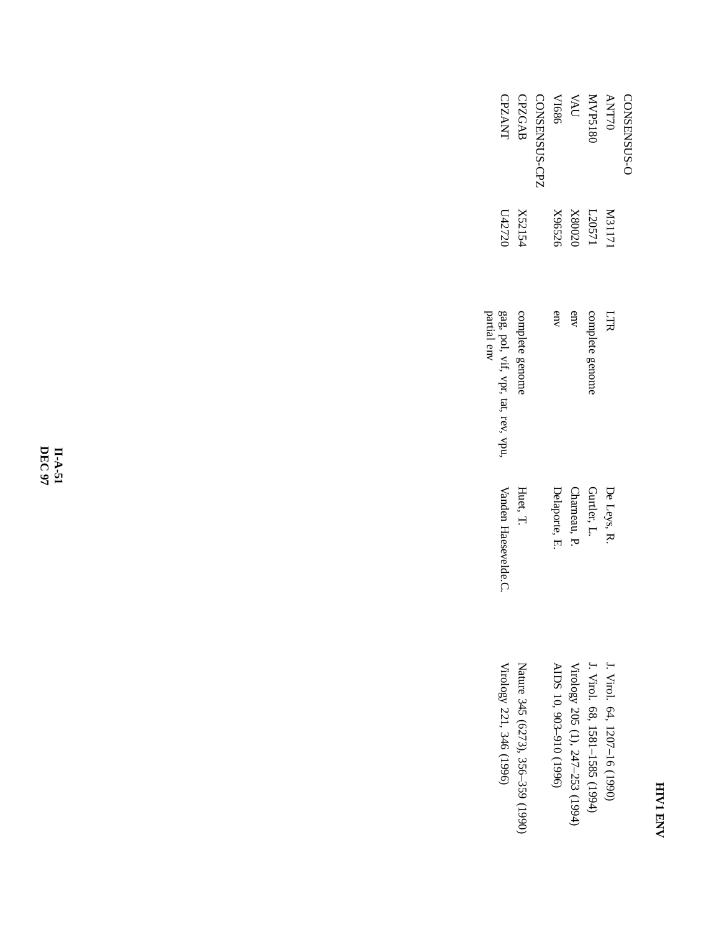| <b>CPZANT</b>                                     | CPZGAB                           | CONSENSUS-CPZ | <b>VI686</b>            | UAU                              | MVP5180                        | <b>ANT70</b>                 | CONSENSUS-C |
|---------------------------------------------------|----------------------------------|---------------|-------------------------|----------------------------------|--------------------------------|------------------------------|-------------|
| DZZZ70                                            | X52154                           |               | X96526                  | X80020                           | L20571                         | <b>N3117</b>                 |             |
| partial env<br>gag, pol, vif, vpr, tat, rev, vpu, | complete genome                  |               | env                     | env                              | complete genome                | ЦIR                          |             |
| Vanden Haesevelde.C.                              | Huet, T.                         |               | Delaporte, E.           | Charneau, 1                      | Gurtler, L.                    | De Leys, R                   |             |
| Virology 221, 346 (1996)                          | Nature 345 (6273), 356–359 (1990 |               | AIDS 10, 903-910 (1996) | Virology 205 (1), 247-253 (1994) | J. Virol. 68, 1581-1585 (1994) | J. Virol. 64, 1207-16 (1990) |             |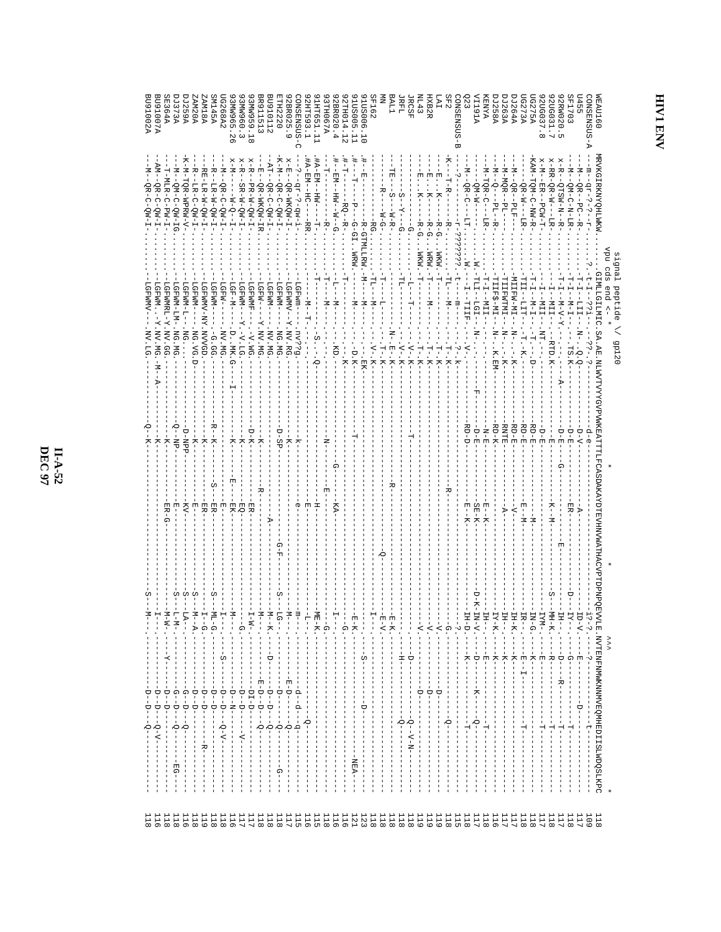HXB2R<br>NL43<br>JRCSF<br>BAL1<br>BAL1  $\begin{array}{l} \mathbb{T} \mathbb{MT} \\ \mathbb{T} \mathbb{MT} \end{array}$ 91HT651.11<br>92HT593.1 DJ7264A<br>DJ7258A<br>KENYA<br>VI191A<br>VI191A 920G031.<br>920G037. 92BR020.4<br>93TH067A 91US006.10<br>91US005.11<br>92TH014.12 UG275A<br>UG273A Q23 93MM260 CONSENSUS-C **SF162** SF2 GONSENSUS-B **DJ259A ZAM20A SM145A UG268A2** 93MW565 656MM26 BR911513 BU910112 ETH2220 92BR025 ĕ 92RM020 SF1703 **1455** A-SUSMESMOS BU91002A **BU91007A SE364A DJ373A ZAM18A** WEAU160  $\overline{8}$  .  $\frac{1}{6}$  $\frac{1}{4}$  in  $\frac{1}{\infty}$  $\frac{26}{6}$  $\ddot{\omega}$  $--N--OR-<sub>C</sub> - CN-<sub>T</sub>$ vpu cds end <- \* signal peptide // gp120 .NV.LG  $\ast$  $-S$  - - - M - - - - $\check{z}$  $-10 - 10 - 10 - 1$ 

DEC 97 II-A-52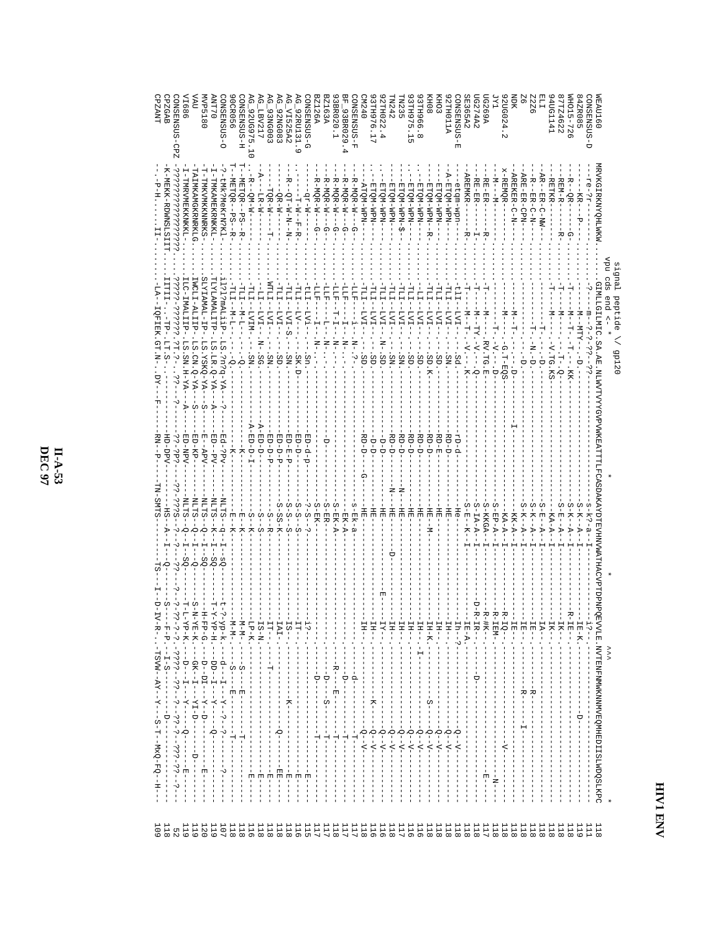| 부<br>$\frac{1}{1}$<br>1<br>118<br>$\overline{0}$<br>С<br>С                                                                                                                                                                                                                                                                                                                                                                                                                | I<br>$-1 - 1 -$<br>$-1 - NxQ - FQ - -1$<br>$- - 38 - 38$                                          | $\frac{1}{2}$<br>-<br>H<br>-<br>1<br>$-F-P$ . $F-P$<br>$\frac{1}{2} - \frac{1}{2} - \frac{1}{2}$<br>$- - 2 - 2 - - - - - - - - - - - - - -$<br>$\frac{1}{1}$ | S235<br><b>STIMS</b><br>HS<br>⊅<br>$\frac{1}{2}$<br>ò                             | モリーロセノ<br>23-253 | $\frac{1}{2}$                                 | ベーMEXX-RDWMSLSIF          | BZGAB<br><b>SUSNESNO</b><br><b>FZANT</b><br><b>CPZ</b> |
|---------------------------------------------------------------------------------------------------------------------------------------------------------------------------------------------------------------------------------------------------------------------------------------------------------------------------------------------------------------------------------------------------------------------------------------------------------------------------|---------------------------------------------------------------------------------------------------|--------------------------------------------------------------------------------------------------------------------------------------------------------------|-----------------------------------------------------------------------------------|------------------|-----------------------------------------------|---------------------------|--------------------------------------------------------|
| $\mathsf I$<br>$\mathbf{I}$<br>119                                                                                                                                                                                                                                                                                                                                                                                                                                        | $-5 - -$<br>$\frac{1}{1}$                                                                         | コーロー<br>$YP-K. -$                                                                                                                                            | <b>NLTS</b><br>Ö<br>$-55-$                                                        | ED-NPV           | LMALIITA-<br>$-5.5$ . SN. H-YA-               | -- HMR MME KKNKKF-        | 1686                                                   |
| $\frac{1}{1}$<br>Ť.<br>$\mathsf I$<br>1<br>119                                                                                                                                                                                                                                                                                                                                                                                                                            | Ť<br>$-1$ -D                                                                                      | $-S-N-S$<br>$-XE-K. -$<br>$- - - - - - - - - - - - - - -$                                                                                                    | SLTN-<br>$\overline{Q}$<br>$\overline{Q}$                                         | ED-KP-           | WCLI-ALIIP-<br>$-55.$ CN $-24-74$<br>ს<br>ს   | TAINKAMGKRNRKLG           |                                                        |
| 円 - - - -<br>$\mathsf I$<br>J.<br>120                                                                                                                                                                                                                                                                                                                                                                                                                                     | U--UI----U-----<br>Ţ<br>$\mathbf{I}$<br>Ť.                                                        | $-H -$<br>$FP-G. - - -$                                                                                                                                      | <b>NLTS</b><br>$\overline{Q}$<br>$-80-$                                           | E-APV-           | -di-AMAAT-18<br>$-KX$ -OXSX $S$ -ST<br>ს<br>ს | 1-HMXVMK KMMRXA           | <b>NP5180</b>                                          |
| 119                                                                                                                                                                                                                                                                                                                                                                                                                                                                       | $- - X - - I$<br>$-6 - -$                                                                         | $-X-L$<br>$- H - dA$<br>i<br>S                                                                                                                               | STIN-<br>šò                                                                       | <b>ED--PV</b>    | <b>LYLLAMALITP-</b><br>$-LR$ . $Q-YA-$        | . - TMKAMEKRIKKI -        |                                                        |
| $   \sim$<br>$\mathbf{I}$<br>107                                                                                                                                                                                                                                                                                                                                                                                                                                          | $- - \mathbf{X} - - \mathbf{I}$<br>ن.<br>$-1 - 1 - 1$<br>T<br>т<br>т<br>$\mathsf I$               | ن.<br>ا<br>$-2P-K$ .<br>$\mathsf I$<br>ł<br>نم<br>-- - -                                                                                                     | <b>NLTS</b><br>$-4 -$<br>õS                                                       | Ed-?Pv-          | - Frin Am S<br>$-xzA$ -baue                   |                           | O-SOSNEXEO                                             |
| J.<br>Ţ<br>1<br>Ť.<br>I<br>118                                                                                                                                                                                                                                                                                                                                                                                                                                            | Ŧ<br>$\begin{array}{c} 1 \\ 1 \\ 1 \end{array}$<br>т<br>十里!<br>I<br>п<br>п<br>п                   | $-M-M-$<br>-1<br>I<br>$\mathbf{I}$<br>CO.<br>Ĩ<br>$\frac{1}{\mathbb{H}}$                                                                                     | ė                                                                                 | $-5$             | $-1 - N - 1 -$                                | - - MELQR- - - PO - - - - | <b>OCR056</b>                                          |
| $\frac{1}{1}$<br>J.<br>118                                                                                                                                                                                                                                                                                                                                                                                                                                                | $\begin{array}{c} 1 \\ 1 \\ 1 \\ 1 \end{array}$<br>$-1 - 1 -$<br>Ť<br>$\mathbf{I}$<br>$\mathsf I$ | $N-M-1$<br>$\frac{1}{4}$<br>$\frac{1}{\Omega}$<br>$\frac{1}{1}$<br>$\frac{1}{4}$<br>国                                                                        | Ġ<br>$- -K$                                                                       | −k−              | È<br>--- N-L--                                | - NEHOR---<br>P-          | H-SOSNESNO                                             |
| 団<br>$\frac{1}{1}$<br>116                                                                                                                                                                                                                                                                                                                                                                                                                                                 | $\overline{1}$<br>$\blacksquare$<br>$\overline{\phantom{a}}$<br>$\blacksquare$                    | LP-K.<br>$\overline{1}$                                                                                                                                      | w                                                                                 | $P - HU - U - H$ | LVIM-.                                        | $R$ – $QM - N -$          | G_920G975.10                                           |
| $\mathsf I$<br>$\ddot{H}$<br>T<br>118                                                                                                                                                                                                                                                                                                                                                                                                                                     | I<br>$\frac{1}{1}$<br>$\frac{1}{1}$<br>$\mathsf I$<br>$\frac{1}{1}$<br>$\mathsf I$                | $TS-N$ .<br>$\mathbb I$<br>Ţ<br>Ţ<br>$\frac{1}{1}$<br>Ţ<br>$\frac{1}{1}$                                                                                     | ΰ,<br>ပ္ပ                                                                         | P-ED-D--         | --IVI--<br>$-N-$ . SG                         | --IA-W--                  | LISV217                                                |
| $\mathsf I$<br>F<br> <br> <br>J.<br>118                                                                                                                                                                                                                                                                                                                                                                                                                                   | J.<br>$\frac{1}{1}$<br>J.<br>$\mathsf I$<br>$\frac{1}{1}$<br>Ť.                                   | II--1<br>$\mathbb I$<br>J<br>$\frac{1}{1}$<br>ł                                                                                                              | ů,<br>ーー                                                                          | $ED-D-P$         | <b>NTILT</b><br>$-17N1 - -$                   | $-LQR-W--$                | $C000MSE6 - D$                                         |
| $\begin{array}{c}\n\text{E} \\ \text{E} \\ \text{E} \\ \text{E} \\ \text{E} \\ \text{E} \\ \text{E} \\ \text{E} \\ \text{E} \\ \text{E} \\ \text{E} \\ \text{E} \\ \text{E} \\ \text{E} \\ \text{E} \\ \text{E} \\ \text{E} \\ \text{E} \\ \text{E} \\ \text{E} \\ \text{E} \\ \text{E} \\ \text{E} \\ \text{E} \\ \text{E} \\ \text{E} \\ \text{E} \\ \text{E} \\ \text{E} \\ \text{E} \\ \text{E} \\ \text{E} \\ \text{E} \\ \text{E} \\ \text{E} \\ \text$<br>1<br>118 | $\,$ I<br>$\frac{1}{1}$<br>$-6 - -$<br>$\frac{1}{1}$<br>-1                                        | $-LAT-$<br>$\mathsf I$<br>ł<br>$\mathbf{I}$                                                                                                                  | $-SS-K$                                                                           | ED-D-P           | Η<br>$-12M$                                   | $-QR - N - - -$           | <b>G_92NG083</b>                                       |
| 固<br>Ţ<br>118                                                                                                                                                                                                                                                                                                                                                                                                                                                             | $-1$                                                                                              | $-5-$                                                                                                                                                        | ά,<br>ÜΩ                                                                          | $ED-E-P$         | $LVI-S$                                       | $QT - N - N - N - N - N$  | G_VI525A2                                              |
| 固<br>$\frac{1}{1}$<br>$\sf I$<br>T<br>116                                                                                                                                                                                                                                                                                                                                                                                                                                 | I.<br>J.<br>÷<br>÷<br>$\mathbf{I}$<br>I.<br>Ţ<br>1<br>1<br>1                                      | $-11$<br>т<br>ŧ                                                                                                                                              | S-S.<br>ပ္ပ်                                                                      | 편-D-             | 녑<br>$-1-\Delta\Delta$                        | <b>ローマー - ローマー</b>        | G_92RU131.<br>O                                        |
| 南!<br>!<br><b>115</b>                                                                                                                                                                                                                                                                                                                                                                                                                                                     | J.                                                                                                | $-1.5 - 1$                                                                                                                                                   | $5 - S -$                                                                         | ED-d-            | $-1V1$                                        |                           | D-SOSNESNC                                             |
| $\frac{1}{1}$<br>111                                                                                                                                                                                                                                                                                                                                                                                                                                                      | $\mathbf{I}$                                                                                      | $-1$                                                                                                                                                         | S-EK-                                                                             |                  | HЦ                                            | $R - MQR - N - - -G - -$  | Z126A                                                  |
| $\frac{1}{1}$                                                                                                                                                                                                                                                                                                                                                                                                                                                             | w<br>$\frac{1}{1}$<br>Ė                                                                           | $\overline{\phantom{a}}$<br>j<br>$-1$                                                                                                                        | - ER-                                                                             |                  | ILIF                                          | R-NOR-N-1-0-1             | <b>Z163A</b>                                           |
| $\frac{1}{2}$<br>$\frac{1}{1}$<br>I.<br>$\frac{111}{118}$                                                                                                                                                                                                                                                                                                                                                                                                                 | $\frac{1}{1}$<br>$\frac{1}{1}$<br>п<br>Ť.                                                         | -<br>-<br>-<br>-<br>-<br>-<br>-                                                                                                                              | $-{\ensuremath{\mathbf E}}\, {\ensuremath{\mathbf K}}-{\ensuremath{\mathbf A}}$ . |                  | HЩ                                            | R-NQR-N---G--             | 3BR020.1                                               |
| $\frac{1}{1}$<br>J.                                                                                                                                                                                                                                                                                                                                                                                                                                                       | $\frac{1}{1}$<br>$-1 - 1 -$<br>I<br>л.<br>$\mathsf I$                                             | $\overline{\phantom{a}}$<br>ţ<br>$- - -$                                                                                                                     | $EX - A$                                                                          |                  | Ę                                             | R-NQR-N---G--             | F_93BR029.4                                            |
| 117                                                                                                                                                                                                                                                                                                                                                                                                                                                                       | $\mathbf{I}$<br>۲ı                                                                                | $\mathbf{I}$<br>$\mathsf I$<br>ρ<br>T,<br>$\mathsf I$                                                                                                        | -Ek-a                                                                             |                  | III                                           | $R - MQR - N - - -G -$    | <b>BISKENSNS</b>                                       |
| 118                                                                                                                                                                                                                                                                                                                                                                                                                                                                       | $Q - -V - -$                                                                                      | IН---.                                                                                                                                                       |                                                                                   |                  | 븝<br>$-111$                                   | ATOM-WPN--                | 07240                                                  |
| т<br>116                                                                                                                                                                                                                                                                                                                                                                                                                                                                  | $\ddot{\zeta}$<br>T<br>$-6 - 7 - - -$<br>j                                                        | IН---.<br>T<br>т<br>T                                                                                                                                        |                                                                                   | n−n              | 븝<br>$-11M$                                   | ETQM-WPN--                | 3TH976.17                                              |
|                                                                                                                                                                                                                                                                                                                                                                                                                                                                           | $\overline{\phantom{a}}$<br>$-6 - 7 - - -$<br>$\overline{1}$                                      | $-1X -$                                                                                                                                                      |                                                                                   | ーローロー            | 뵵<br>$-12M1 -$                                | ETQM-WPN--                | 2TH022.4                                               |
| $\frac{118}{116}$                                                                                                                                                                                                                                                                                                                                                                                                                                                         | $-4 - 4 - 6$                                                                                      | $- H -$                                                                                                                                                      | z                                                                                 | RD-D-            | 岀<br>$-1201 -$                                | ETQM-WPN--                | Z774                                                   |
| 117                                                                                                                                                                                                                                                                                                                                                                                                                                                                       | $Q = -V -$                                                                                        | $-11$                                                                                                                                                        |                                                                                   | RD-D-            | 记<br>$-12M1 -$<br>. NS.                       | ETQM-WPN-2--              | <b>N235</b>                                            |
| I<br>ł<br>116                                                                                                                                                                                                                                                                                                                                                                                                                                                             | T<br>1<br>$Q - -V - - - - -$                                                                      | IH-<br>$\mathbf{I}$<br>ŧ                                                                                                                                     |                                                                                   | RD-D-            | 日<br>$---I\Lambda T---$                       | ETQM-WPN--                | 3TH975.15                                              |
| п                                                                                                                                                                                                                                                                                                                                                                                                                                                                         | $\begin{array}{c} \hline \end{array}$<br>$Q - -V - -$<br>j                                        | ÷<br> <br>ł                                                                                                                                                  |                                                                                   | RD-D-            | Ė<br>$-1N1-$                                  | ETQM-WPN--                | 3TH966.8                                               |
| $118$<br>$118$                                                                                                                                                                                                                                                                                                                                                                                                                                                            | w<br>$\frac{1}{1}$<br>$Q - -V - -$                                                                | IH-K.-<br>$\frac{1}{1}$                                                                                                                                      | HE - - M-                                                                         | RD-D-            | Ë<br>$-1M1-$                                  | ETQM-WPN--R-              | 8 <sub>OH</sub>                                        |
| ш                                                                                                                                                                                                                                                                                                                                                                                                                                                                         | $Q - -V - -$                                                                                      | $H = -H$<br>$\mathbf{I}$                                                                                                                                     |                                                                                   | RD-E-            | 日<br>$-LV1 -$                                 | ETQM-WPN--                | EOH.                                                   |
| $\sf I$<br>Ţ<br>I.<br>I.<br>$\frac{118}{118}$                                                                                                                                                                                                                                                                                                                                                                                                                             | $Q - -V - -$<br>İ                                                                                 | H1--1.<br>$\frac{1}{1}$                                                                                                                                      | 臣                                                                                 | RD-D-            | 팁<br>$TNT -$                                  | -HIDN-NPN--               | <b>ZTHOIIA</b>                                         |
| $\frac{1}{1}$<br>Ť<br>118                                                                                                                                                                                                                                                                                                                                                                                                                                                 | $-9 - 7 - - - -$<br>Î                                                                             | $-5 - -11$                                                                                                                                                   | He-                                                                               | rp-dr            | $-12M$<br>. sa.                               | -etqm-wpn--               | B-SOSNEWSNO                                            |
| $\frac{1}{1}$<br>İ<br>118                                                                                                                                                                                                                                                                                                                                                                                                                                                 |                                                                                                   | $T E - A$ . -                                                                                                                                                | $S - E - -K -$                                                                    |                  | ÷R-                                           | AREMKR-                   | E365A2                                                 |
| İ                                                                                                                                                                                                                                                                                                                                                                                                                                                                         | $\frac{1}{1}$                                                                                     | $D - R$ -<br>IR--.<br>$-1$                                                                                                                                   | $S - T A - A -$                                                                   |                  | $-5 -$                                        | RE-ER-                    | G274A2                                                 |
| 님<br>-<br>-<br>п                                                                                                                                                                                                                                                                                                                                                                                                                                                          | т.<br>T,<br>$\frac{1}{1}$<br>1                                                                    | や<br>#K----<br>T,<br>$\frac{1}{1}$                                                                                                                           | S-KKGA-                                                                           |                  | $. RV. TG.E-$                                 | - RR-RR-                  | <b>G269A</b>                                           |
| $-1 - N - -$                                                                                                                                                                                                                                                                                                                                                                                                                                                              | Ţ<br>$\frac{1}{1}$<br>$\frac{1}{2}$<br>J.                                                         | 현<br>IEM-.<br>$\overline{1}$<br>$\frac{1}{4}$                                                                                                                | $S - E P - A - -$                                                                 |                  | $-V$ , $-   D -$                              | $-1$                      |                                                        |
| I.<br>111178<br>11178                                                                                                                                                                                                                                                                                                                                                                                                                                                     | $---\Delta ----1$                                                                                 | 전<br>$-55 - 7$<br>$\frac{1}{1}$                                                                                                                              | $KA - A -$                                                                        |                  | $-G^T - EOS -$                                | x-REMQR-                  | 92UG024.<br>$\mathsf{D}$                               |
| ŧ<br>T                                                                                                                                                                                                                                                                                                                                                                                                                                                                    | $\mathbf{I}$<br>Ť<br>I                                                                            | $-18-$<br>Ţ<br>$\frac{1}{4}$                                                                                                                                 | $-KK$ – $A$ –                                                                     |                  | $\frac{1}{\sqrt{1}}$                          | AREKER-C-N--              | Ř                                                      |
| I<br>I.<br>I<br>$\frac{118}{118}$                                                                                                                                                                                                                                                                                                                                                                                                                                         | Ĩ<br>T<br> <br> <br>$\frac{1}{1}$<br>L                                                            | $-15 -$<br>$\frac{1}{\pi}$                                                                                                                                   | $S - K - -R -$                                                                    |                  |                                               | <b>ARE-ER-CPN--</b>       |                                                        |
| J<br>J<br>п<br>J<br>п<br>118                                                                                                                                                                                                                                                                                                                                                                                                                                              | $\overline{\phantom{a}}$<br>J.<br>$\overline{1}$<br>$\overline{1}$                                | $-1E - 1$<br>$-$ – $E$                                                                                                                                       | $S - K - -A -$                                                                    |                  | $-L$ - $\nabla$ - $D$ .                       | R--RR-C-N--               | 2226                                                   |
| 118                                                                                                                                                                                                                                                                                                                                                                                                                                                                       |                                                                                                   | - - F                                                                                                                                                        | $S - E = -A -$                                                                    |                  |                                               | AR-12R-C-NA-1             | Ë                                                      |
| 118                                                                                                                                                                                                                                                                                                                                                                                                                                                                       | Ţ                                                                                                 | $-LK--$                                                                                                                                                      | $-KA - A - -$                                                                     |                  | ₹<br>$-V.TG.KS$                               | RETKR-                    | 40G1141                                                |
| 118                                                                                                                                                                                                                                                                                                                                                                                                                                                                       | I                                                                                                 | $-1K--$                                                                                                                                                      | $S - F - A - -$                                                                   |                  | i<br>Y                                        | REM-R-                    | 7TZ4622                                                |
| 118                                                                                                                                                                                                                                                                                                                                                                                                                                                                       | $\frac{1}{1}$                                                                                     | 꼬<br>$-18 - 1$<br>$\mathbf I$                                                                                                                                | $S - K - -A - -$                                                                  |                  | ဂှ<br>$-$ KK $-$                              | R--QR-                    | G22-25-726                                             |
| 119                                                                                                                                                                                                                                                                                                                                                                                                                                                                       | $\frac{1}{1}$                                                                                     | $T E - K$ . -                                                                                                                                                | $3 - K - - A$                                                                     |                  |                                               | –<br>KR-<br>÷             | 4ZR085                                                 |
| ΞI                                                                                                                                                                                                                                                                                                                                                                                                                                                                        |                                                                                                   | μ.<br>$-5 - 5$<br>$\mathbb I$                                                                                                                                | s-k?-a                                                                            |                  | コーニュー シー・リー・リ                                 | $x - 3x$                  | Q-SOSNEXEO                                             |
| 118                                                                                                                                                                                                                                                                                                                                                                                                                                                                       |                                                                                                   |                                                                                                                                                              |                                                                                   |                  |                                               | MRVKGIRKNYQHLWKW          | EAU160                                                 |
|                                                                                                                                                                                                                                                                                                                                                                                                                                                                           |                                                                                                   | $\checkmark$                                                                                                                                                 |                                                                                   |                  | ਰ੍ਰੋ                                          |                           |                                                        |
|                                                                                                                                                                                                                                                                                                                                                                                                                                                                           |                                                                                                   |                                                                                                                                                              |                                                                                   |                  | peptide<br>02130                              |                           |                                                        |

 $\frac{H-A-S3}{\text{DEC } 97}$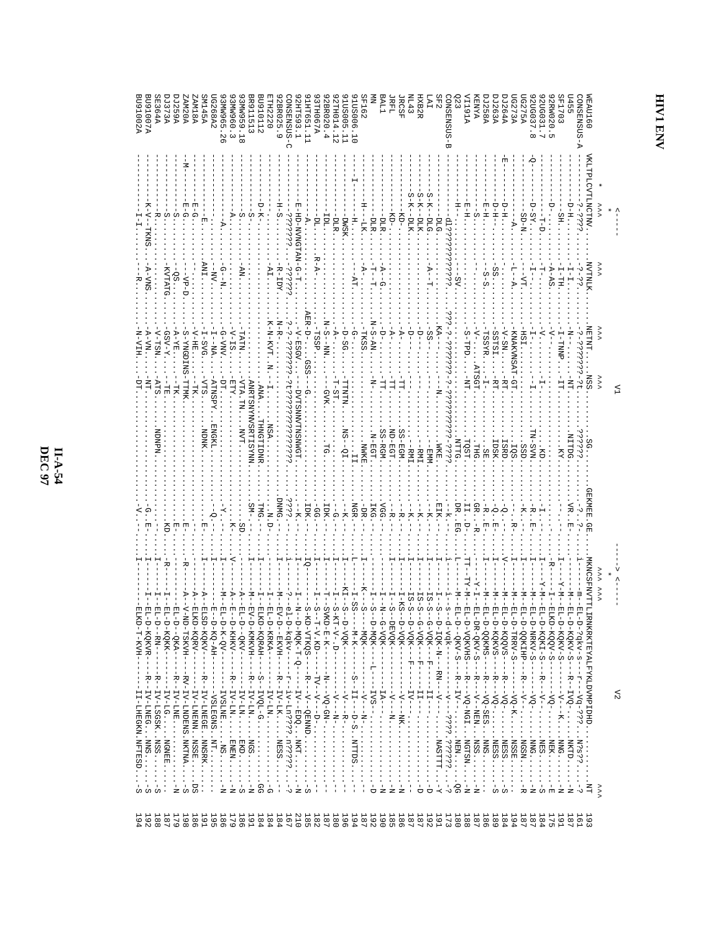$\frac{H-A-S4}{\text{DEC~97}}$ 

| 192<br>194         | II-IHEGKN.NFTESD<br>ω ω                  | $\blacksquare$                                              | --HAN-L-KAH-                                                                                                                                                                                                                                                                                                        |     |                 |                            |               |                            |                 |                   | <b>AS001002A</b>      |
|--------------------|------------------------------------------|-------------------------------------------------------------|---------------------------------------------------------------------------------------------------------------------------------------------------------------------------------------------------------------------------------------------------------------------------------------------------------------------|-----|-----------------|----------------------------|---------------|----------------------------|-----------------|-------------------|-----------------------|
|                    |                                          | ------IV-LGRGNEE<br>--R--IV-LSGSKNSS-S<br>--R--IV-LAEGNNS-S | L-D-KQKVR--                                                                                                                                                                                                                                                                                                         |     |                 |                            |               |                            |                 |                   | <b>A70016U</b>        |
| 188                |                                          |                                                             | L-D--RX--<br>$\frac{1}{1}$                                                                                                                                                                                                                                                                                          |     |                 |                            | ATS.          | $V-TSN$ .                  |                 |                   | E364A                 |
| 187                |                                          |                                                             | L-D-KQKK--<br>I                                                                                                                                                                                                                                                                                                     |     | .<br>E          |                            | 님.<br>.       | $-GSD - X$                 | <b>KVTATG</b>   |                   | AS73A                 |
|                    |                                          |                                                             | $L-D--CKA-$                                                                                                                                                                                                                                                                                                         |     |                 |                            | HК.           | $V - ZE$ .                 | $05.$ .         |                   | <b>A259A</b>          |
| 198<br>179         |                                          |                                                             |                                                                                                                                                                                                                                                                                                                     |     |                 |                            |               | $-S-YNGDTNS-TTNK$ .        | $-4\Delta$      | ローロ               | <b>AN20A</b>          |
| 186                | DS                                       |                                                             | LKD-KQRV----                                                                                                                                                                                                                                                                                                        |     |                 |                            | -<br>-<br>IK  | -<br>- NH ·                |                 | ដ<br>ឯ            | <b>AM18A</b>          |
| 191                | R---INEGE. NNSRK                         |                                                             | LSD-KQKV-----                                                                                                                                                                                                                                                                                                       |     |                 | <b>NDNK</b>                | -vrs          | $I-SVG$ .                  | ANI             |                   | <b>ASPIM</b>          |
| 195                |                                          |                                                             | $-$ -D-KQ-AH--                                                                                                                                                                                                                                                                                                      |     |                 |                            | <b>ATNSPY</b> | $I - INA$ .                | $-M^{\prime}$ . |                   | <b>G268A2</b>         |
| 186                |                                          |                                                             | <b>L-D-K-QV----</b>                                                                                                                                                                                                                                                                                                 |     |                 |                            |               | -G-VNV.                    | $-9 - N$ .      |                   | 3MW965.26             |
| 179                | $R = -I V - LM$ $I B N B N$              |                                                             |                                                                                                                                                                                                                                                                                                                     |     |                 |                            |               | $V - 1S$ .                 |                 |                   | 3MN960.3              |
| 186                |                                          |                                                             |                                                                                                                                                                                                                                                                                                                     |     | cs.             | $M^{\mathrm{T}}$           | /TA.TN.       | <b>LATN.</b>               | AN.             |                   | 3MW959.18             |
| 184<br>191         |                                          |                                                             |                                                                                                                                                                                                                                                                                                                     |     | SM-             | <b>ANAHISTTSRYNASTESYN</b> |               |                            |                 |                   | R911513               |
|                    |                                          |                                                             |                                                                                                                                                                                                                                                                                                                     |     | TMG.            | HNGTTDNH                   |               |                            |                 | ロードー              | 2110160               |
| 184                |                                          |                                                             |                                                                                                                                                                                                                                                                                                                     |     | $\cdot$ N . D-  |                            |               | $L\Delta H - N - I$        |                 |                   | TH2220                |
| 167<br>184         |                                          | V-D--EKVH-----R---IV-LKNESS                                 |                                                                                                                                                                                                                                                                                                                     |     | DINNG.          |                            |               |                            | R-IDY           |                   | 2BR025.9              |
|                    |                                          |                                                             |                                                                                                                                                                                                                                                                                                                     |     | 333.            | 2332323                    |               | -3-33333                   |                 |                   | D-SOSNEXEC            |
|                    |                                          |                                                             |                                                                                                                                                                                                                                                                                                                     |     |                 |                            |               | $-\mathbf{V}-\mathbf{ESS}$ |                 | -HD-MVNGTA        | 2HT593.1              |
| $185$<br>210       |                                          |                                                             |                                                                                                                                                                                                                                                                                                                     | 50- | IDK.            |                            |               | $BR-D-.-GS$                |                 |                   | TT-091HT              |
| $182\,$            |                                          |                                                             | --1-4: XD--                                                                                                                                                                                                                                                                                                         |     | $-55$           |                            |               | -TSSSP.                    |                 | -pr.              | <b>AV30HTS</b>        |
| $180$<br>$187$     | $\frac{1}{4}$                            | -- N--- NO-GN-                                              | VKD-E-K--                                                                                                                                                                                                                                                                                                           |     | IDK.            | .<br>อี                    | -GVK.         | $N-S$ - NN.                |                 | IDL.              | 2BR020.4              |
|                    |                                          | T,                                                          | $-KI - N - 1D - 1$<br>ŧ                                                                                                                                                                                                                                                                                             |     |                 |                            |               | $-A-$                      |                 |                   | 2TH014.12             |
| 196                | $\,$ I                                   |                                                             | $-$ - $-$ - $\sim$ $\frac{1}{2}$ $\frac{1}{2}$ $\frac{1}{2}$ $\frac{1}{2}$ $\frac{1}{2}$ $\frac{1}{2}$ $\frac{1}{2}$ $\frac{1}{2}$ $\frac{1}{2}$ $\frac{1}{2}$ $\frac{1}{2}$ $\frac{1}{2}$ $\frac{1}{2}$ $\frac{1}{2}$ $\frac{1}{2}$ $\frac{1}{2}$ $\frac{1}{2}$ $\frac{1}{2}$ $\frac{1}{2}$ $\frac{1}{2}$ $\frac{$ |     |                 | $12 - 51$                  |               | $-D-SG$ .                  |                 | DMSK              | LUS005.11             |
| 194                |                                          |                                                             | $- -N - K - -$<br>Ţ<br>$\mathbf{I}$                                                                                                                                                                                                                                                                                 |     | <b>NGR</b>      |                            |               | $\vdots$                   |                 |                   | IUS006.10             |
|                    |                                          |                                                             | $-100K -$                                                                                                                                                                                                                                                                                                           |     | -DR.            | <b>TIMERE</b>              |               | $-TKSS$                    |                 | --IIK             | E162                  |
| $192$<br>$187$     |                                          |                                                             | $-100K -$<br>$-1 - 1 -$                                                                                                                                                                                                                                                                                             |     | IKG.            | $N-EGL$ .                  |               | $N-S-2N$ .                 |                 | DLR.              |                       |
| 190                |                                          |                                                             | $- -\alpha - \alpha$ OK $-$<br>$\frac{1}{2}$                                                                                                                                                                                                                                                                        |     | VGG.            | SS-RGM                     |               |                            |                 | もロば               | <b>LLAs</b>           |
|                    |                                          |                                                             | DEVQK--                                                                                                                                                                                                                                                                                                             |     | 贵.              | ND-EGT                     |               | $-Z-$                      |                 | KD-               | <b>IRFL</b>           |
| 185<br>185         |                                          |                                                             | $D - NQK - -$                                                                                                                                                                                                                                                                                                       |     |                 | SS-EGM                     |               |                            |                 | P-D-              | <b>JRCSF</b>          |
| $18\sqrt{ }$       |                                          | 1                                                           | $D - VQK - -F - -$                                                                                                                                                                                                                                                                                                  |     |                 | --RM]                      |               |                            |                 | $S - K - - D L K$ | <b>SPTIN</b>          |
| $18\sqrt{ }$       |                                          |                                                             | $-1 - E - - - - - - - - - -$                                                                                                                                                                                                                                                                                        |     |                 |                            |               |                            |                 | $S-K--DLIK$       | <b>IXB2R</b>          |
| <b>192</b>         | $\frac{1}{2}$                            | $-111-$                                                     | $-20K - - - - - - - - -$                                                                                                                                                                                                                                                                                            |     |                 | -EMP                       |               | -SS-                       |                 | $-K$ - $DLG$      |                       |
|                    |                                          |                                                             |                                                                                                                                                                                                                                                                                                                     |     | EIK.-           | . MKE                      |               |                            |                 | -DLG              | SF2                   |
| 188<br>1979<br>191 | $-1 - 2 - 3 - 3 - 5 - 5 - 5 - 7 - 7 - 7$ | $\mathsf I$<br>$\mathsf I$                                  | $- -q - 2dK - - - -$                                                                                                                                                                                                                                                                                                |     |                 | $-333.$                    |               |                            | こうさ             |                   | <b>USNESNO</b>        |
|                    |                                          |                                                             |                                                                                                                                                                                                                                                                                                                     |     | DR. BG          | <b>NTTG</b>                |               |                            |                 |                   | $\tilde{\varepsilon}$ |
|                    |                                          | L-D-VQKVHS----R----NQ-MGI NGTSN -N                          | $M - L - -1$                                                                                                                                                                                                                                                                                                        |     |                 | TOST.                      | .<br>呂        | S-TPD.                     |                 | 円<br>H.           | <b>AIQIA</b>          |
| $181\,$            |                                          |                                                             | $L-DR-QKV-S$                                                                                                                                                                                                                                                                                                        |     | GR.             | DHL.                       | <b>ATSGTA</b> |                            |                 | ¦ ¤               | <b>AYME</b>           |
| 186                | $R - NQ - SEB$ $NRS$                     |                                                             | $\frac{1}{\mathbf{\Sigma}}$<br>--D-QQKNS--                                                                                                                                                                                                                                                                          |     |                 | .<br>SE.                   |               | <b>TSSYR.</b>              | S-S             | E1-H.             | <b>J258A</b>          |
| 189                | ດ ທ                                      |                                                             | ¦<br>≊<br>$L-D-KQKVS-----$                                                                                                                                                                                                                                                                                          |     |                 | <b>TDSK</b>                |               | SSTSI.                     | $-55.$          | $-H$ -O           | <b>AS 35 3A</b>       |
| 184                |                                          | R----ZQ- NE333---                                           | $L-D-KQOVS$                                                                                                                                                                                                                                                                                                         |     |                 | <b>ISRD</b>                |               |                            |                 |                   | <b>J264A</b>          |
| 194                |                                          |                                                             | $L-D-TRRV-S$<br>ł.                                                                                                                                                                                                                                                                                                  |     |                 | $-10S$                     |               | KNAKVNSA                   | L--A.           | --A.              | G273A                 |
| $187\,$            |                                          |                                                             | ż<br>L-D-QQKIHP<br>$\frac{1}{4}$                                                                                                                                                                                                                                                                                    |     |                 | CSS.                       |               | -HSI.                      | - AL.           | $-SD-N$ .         | <b>G275A</b>          |
| $18\sqrt{ }$       |                                          |                                                             | $L-D-NRKV-S$<br>$\frac{1}{1}$                                                                                                                                                                                                                                                                                       |     |                 | $M-S-M$                    |               |                            | $\frac{1}{1}$   | $D-SS^-.$         | 20G037.8              |
| 184                | $\ldots$ NES $\ldots \ldots -$ S         |                                                             | -M-X<br>$L-D-KQKI-S$                                                                                                                                                                                                                                                                                                |     |                 | $\frac{1}{\alpha}$         |               |                            | $\frac{1}{2}$   | ーローロ              | 20G031.7              |
| 175                | ---VQ-NEX                                |                                                             | LKD-KQQV-S                                                                                                                                                                                                                                                                                                          |     |                 |                            |               |                            | $-A-AS$         |                   | 2RW020.5              |
| <b>191</b>         |                                          |                                                             | $L-D-KQKV-S$<br>İ                                                                                                                                                                                                                                                                                                   |     |                 | TКY.                       |               | HHML-1                     | $-L-III$        | -SH.              | E04T4                 |
| $18\sqrt{ }$       |                                          | L-D-KQKV-S---R---IVQ-NKTD                                   |                                                                                                                                                                                                                                                                                                                     |     |                 | <b>FITDG</b>               |               |                            | <br> -<br>      | D-H               | 1455                  |
| 161                | ٠v                                       |                                                             |                                                                                                                                                                                                                                                                                                                     |     |                 | ssec                       |               |                            | $-3-33$ .       | $2 - 222$         | V-SOSNESNO            |
| 193                |                                          |                                                             | MKNCSFNVTTL                                                                                                                                                                                                                                                                                                         |     | <b>GE.GE.GE</b> |                            | <b>NSS</b>    |                            | <b>NATINIAN</b> | VKLTPLCVTLNCTNV.  | <b>JEAU160</b>        |
|                    | ᠈                                        |                                                             |                                                                                                                                                                                                                                                                                                                     |     |                 |                            |               |                            |                 |                   |                       |
|                    |                                          |                                                             |                                                                                                                                                                                                                                                                                                                     |     |                 |                            |               |                            |                 |                   |                       |
|                    |                                          | S2                                                          |                                                                                                                                                                                                                                                                                                                     |     |                 |                            |               |                            |                 |                   |                       |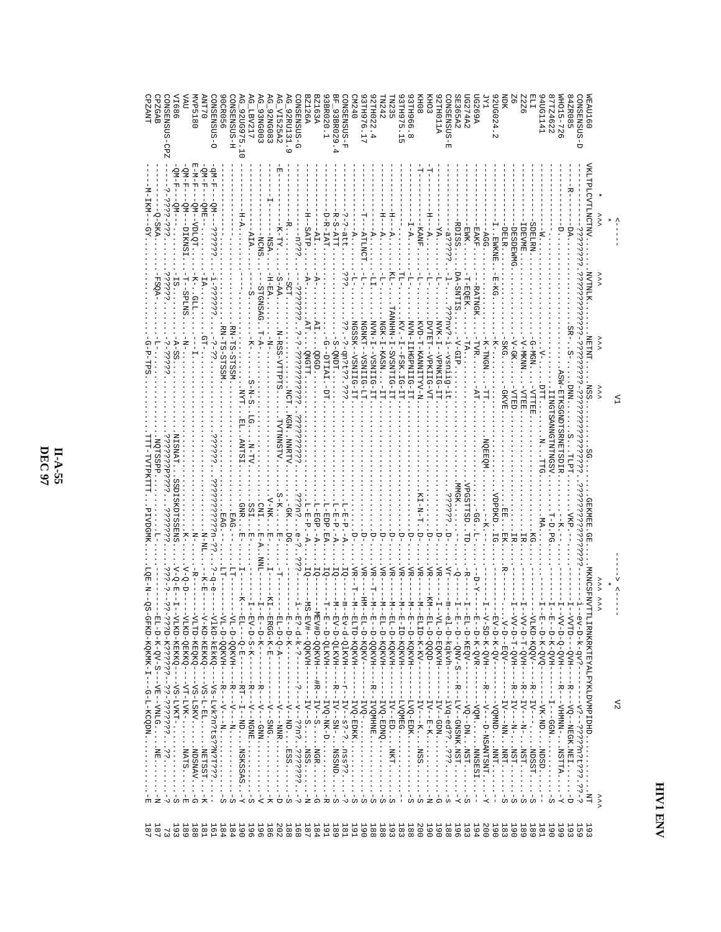|                               |                                                    |                                                 |                                                                                          | $\mathcal{Z}$                                               |                                     |
|-------------------------------|----------------------------------------------------|-------------------------------------------------|------------------------------------------------------------------------------------------|-------------------------------------------------------------|-------------------------------------|
|                               |                                                    |                                                 |                                                                                          | $\frac{1}{2}$                                               |                                     |
| <b>VEAU160</b>                | VKLTPLCVTLNCTNV.<br><b>NATINIAN</b>                | NETNT-<br><b>NSS</b>                            | GENNAME · GE<br><b>MKNCSFNVTTI</b>                                                       |                                                             | 19                                  |
| d-snskasko                    |                                                    |                                                 | こうこうこうこう<br>-- 5-4-977-                                                                  | $\frac{1}{1}$<br>$-25 - 55 - 55$<br>٠,                      | 55                                  |
| 84ZR085<br><b>AHO15-726</b>   |                                                    | ASM-ETKSCNDTSRNETSDIR<br>DNN.<br>LdTLL:         | VKP.<br>--HVQ----CTTV                                                                    | --R---VO--NEGR.NEH-U                                        | $\frac{1}{6}$<br>$\overline{6}$     |
| 87TZ4622                      |                                                    | <b>TINGLEMENTING SAMPLE</b>                     | $T-D$ . PG.<br>--<br>D-K-QAH--                                                           | w                                                           | 190                                 |
| 940G1141                      |                                                    |                                                 | $\ldots$<br>$-$ -D-K-QVQ--                                                               |                                                             | $_{\rm g}$                          |
|                               |                                                    | 3-MGN.<br>-VTHEE                                | $\cdots$ KG.<br>LKD-KQQV---                                                              | $-$ k $-$<br>ທ ທ                                            | <b>68T</b>                          |
| 2226                          | <b>1DEVAN: </b>                                    | V-MKNN<br><b>NTEE</b>                           | $V-D-T-QVH--$                                                                            |                                                             | 189                                 |
|                               | <b>DESPENNG</b>                                    | V-GK.<br><b>CHED</b>                            | $V-D-T-QVH--$                                                                            | w                                                           |                                     |
| NDK                           |                                                    | SKG.<br>GKVE                                    | $V - D - EQV -$                                                                          | w                                                           | 183                                 |
| 920G024.2                     | . ENKNE.                                           |                                                 | VDPDKDDG<br>$V-D-K-QV--$                                                                 | $\,$ I<br>--- VOMPU NHT --<br>$\mathbf{I}$                  | 190                                 |
| LXI<br><b>IG269A</b>          | EAKF<br>-RATNGK                                    | K-TNGN<br>гуR<br>--<br>1-<br>1-<br>1-<br>NQEEQN | $-90 -$<br>. - - x<br>$-X - C$<br>$-2D-K-0NF-1$                                          | $-R$ - $R$ --- $D-RSRTSRT$<br>$\frac{1}{1}$<br>қ            | 200                                 |
| <b>IG274A2</b>                | EWK<br><b>L-EQEK.</b>                              | $\Gamma A$                                      | VPGSTTSP4V<br>$L-D-KEDV-$<br>--<br>D-K-QXH--                                             | $-20 - 0$<br>$-20$ NON $\cdots$<br>w                        | 193<br>193<br>196                   |
| SE365A2                       | RDISS.<br>DA-SNTIS                                 | $-V-GLP$                                        | MMGK.                                                                                    |                                                             |                                     |
| B-SOSNEXEO                    | -33977                                             | $1 - 2$ and $1 - 9 - 1$                         | a cecccc<br>1-D-kqkvh--<br>1                                                             | ı<br>-iVq-ed?????-<br>w                                     | 188                                 |
| A110HT2                       |                                                    | -<br>NARI-NARIG-II-                             | Чч-<br>L-D-EQKVH--                                                                       |                                                             |                                     |
| EOH.                          | $\cdot$ + $\cdot$                                  | DVTET--VPKIIG-VT.                               |                                                                                          |                                                             |                                     |
| 3TH966.8<br>8 <sub>OH</sub>   | KANF.                                              | KVD-H-KANNIHKV-N<br>IRGPNIIC-II                 | -D-KOKVH-                                                                                | ດ ທ                                                         | 11225889<br>99088998                |
| 3TH975.15                     |                                                    | -- ESK: IG-IH                                   | -TD-KQKVH-                                                                               |                                                             |                                     |
| N235                          |                                                    | <b>NHNNHN</b><br>-SVSNTIG-IT                    | L-D-KQKVH-                                                                               |                                                             |                                     |
| Z 5 Z N                       |                                                    | $-$ NGK-I-KASN.<br>$-$ -KASN.<br>$-$ I-T        | L-D-KQKVH--                                                                              |                                                             |                                     |
| 2TH022.4                      |                                                    | NVN-1-1-1-ASNITC-11                             | УR-<br>--D-QQXVH--                                                                       | ω ω ω                                                       |                                     |
| 0 P Z M<br>3TH976.17          | -- ATIMCT                                          | NGSSK-<br>NGNRH--NSNITG-LH.                     | $L-D-KQKV---$                                                                            |                                                             |                                     |
| <b>DNSEDISCOS-F</b>           | $3-7-3$ tt.                                        | - anstis : 33<br>VSNIID-11T                     | - E – H – A<br>A<br>УR-<br>--HANIO-9-A<br>TTD-KQKVH--                                    | ۰.                                                          | 1111111118<br>80008888<br>801101478 |
| F_93BR029.4                   | R-S-ATT.                                           | -<br>CKDH:                                      | $A - E - P - P - P$<br>V-D-QLKVH-                                                        | $-1 - K - 1 - 2N - 1 - 2N - 1 - 2N - 1$<br>w                |                                     |
| 3BR020.1                      | <b>D-R-IAT.</b>                                    | --DIIAI.-                                       | $L - EDE$ . EA.<br>$-$ -D $-$ QLKVH $-$                                                  |                                                             |                                     |
| <b>Z163A</b>                  |                                                    | $\cdots$ opep $\cdots$                          | $L - EGP - A$ .<br>$-HMXOO-CHA$                                                          |                                                             |                                     |
| D-SDSNRISNO                   | SATP.                                              | CNGTT<br>3333333                                | euss.<br>$T - H - T$<br>$-q - k - 3 - - - - -$<br>$-H\Lambda B$ <sup>---</sup> BOXAH--   |                                                             |                                     |
| $-92$ RU131.9                 |                                                    | $\cdots \cdots$<br>KGN. NNRTV.                  | $-GR$ .<br>$-10 - 2 - 1$                                                                 | - V-- ND BSS -<br>w                                         |                                     |
| ត៍<br>VI525A2                 | K-TY                                               | N-RSS-VTTPTS<br>. TVTNNSTV.                     | $L-D-D$ - $D$ - $D$ - $D$                                                                | ∪                                                           | $\frac{188}{202}$                   |
| ត<br><b>92NG083</b>           | <b>ASN-</b>                                        |                                                 | V-NK.<br>RGG-K-H---                                                                      | $\frac{1}{1}$<br>$-2 - 1 - 1 - 1 - 1 = 1$                   | 186<br>196                          |
| តី<br><b>53NS003</b>          | -NCNS<br>-STGNSAG                                  | $T - A - .$                                     | $\cdot$ CM <sub>1</sub> .<br>$\mathbb{R}-\mathbb{R}$ .<br>--D-R------                    | $\ddot{A}$                                                  |                                     |
| L12V217                       | AIA.                                               | $S-N-S$<br>$N-L\Lambda$ .                       | .ISS:<br>.<br>면<br>$V-D-S-FK--$                                                          | w                                                           | 1961                                |
| H-SOSNESNO<br>920G975.10      |                                                    | RN-TS-STSSM<br>LXN.<br><b>ANTSI</b>             | GNR.<br>$\ldots$ EAG.-<br>.<br>면-<br>-11<br>$L - - - - - - - - - - - -$<br>$L-D-QQXVH--$ | $-$ RT- $-$ I-MD.<br>. NSKSSAS.<br>. NSKSSAS.<br>. - Y<br>Ω |                                     |
| 0CR056                        |                                                    | .RN-TS-STSSM.                                   | EAG.<br>L-D-QQKVH--                                                                      | S                                                           |                                     |
| O-SOSNEXEO                    | д<br>— Мр                                          |                                                 | 233323233<br>$3 - 5 - 5$<br>1kd-kekkg--                                                  | $-Vs-LvK2n2ts25N2T222$                                      |                                     |
| AVP5180                       | <b>E-N-F-</b><br>$QM-F$ .<br>-TQN--WDLQT.<br>K-GLL | $\cdots$ -15                                    | $\sim$ N-N-N.<br>$\ddot{N} - N$<br>- - HK - H<br>-KD-KEKKO--<br>LTD-KEQKQ--              | $--\nu S$ -LSKVNDSNAV<br>Ω<br>₩                             |                                     |
|                               | $-MI-H$ -<br>QM---DIKNS:<br>T--SPLNS               |                                                 | $Q - Q - D$<br>LKD-QEKKQ--                                                               | -- VT-LVK- NAHS-                                            | 189                                 |
| AI686                         | $QM-F$<br>Ом-<br>1S                                | 5S-95.                                          | <b>SKDTSSENS</b><br>$V - Q - E$                                                          | $\ddot{\phantom{a}}$<br><b>い 国</b>                          | 193                                 |
| CONSENSUS-CPZ                 | 333-333.<br>ن ذذذذذ                                |                                                 | ں.<br>ن                                                                                  | $\cdot$<br>$\ddot{\phantom{a}}_1$<br>•৩                     |                                     |
| <b>SPZGAB</b><br><b>TAAA!</b> | -MX                                                |                                                 |                                                                                          | L-D-K-QV-S---VE-- VNLGNE<br>í.<br>z<br>団                    | $\infty$                            |
|                               |                                                    |                                                 |                                                                                          | FREN-ROXNER-H---G-H-RCODN<br>$\mathsf I$                    |                                     |

**DEC 97 II-A-55**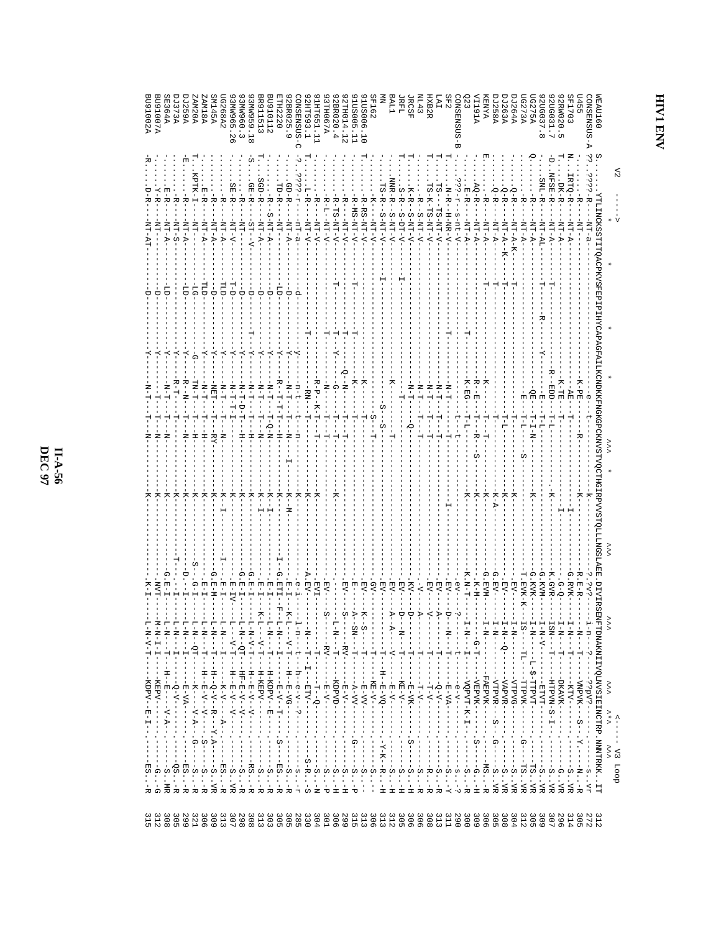| $31.2$<br>315 | $\frac{1}{4}$<br>L<br>Ť<br>国<br>S<br>$\sigma$ $\sigma$                                                                                                                                                                                                                                                                                                                                                                                                           | $\frac{1}{4}$<br>$-KDDV$ - $E-F$                                                            | - マーコーー              |            |                                                                                                                 |                     |                 |                                 |                    |                             | U91002A                          |
|---------------|------------------------------------------------------------------------------------------------------------------------------------------------------------------------------------------------------------------------------------------------------------------------------------------------------------------------------------------------------------------------------------------------------------------------------------------------------------------|---------------------------------------------------------------------------------------------|----------------------|------------|-----------------------------------------------------------------------------------------------------------------|---------------------|-----------------|---------------------------------|--------------------|-----------------------------|----------------------------------|
|               | $\mathbf{I}$<br>1<br>ł<br>Ω                                                                                                                                                                                                                                                                                                                                                                                                                                      | ŧ                                                                                           | $-1$ - $-1$ - $-1$   |            |                                                                                                                 |                     |                 |                                 |                    |                             | 3U91<br><b>A7001</b>             |
| 308           | $\mathbb{L}$<br>$\frac{1}{1}$<br>S<br>;<br>mR                                                                                                                                                                                                                                                                                                                                                                                                                    | $\frac{1}{11}$                                                                              | - 14 - 14 -          |            |                                                                                                                 |                     | 부               | -<br>コーロー                       | è                  | N-TA                        | <b>E364A</b>                     |
| 305           | $\mathbf{I}$<br>$--05. -R$                                                                                                                                                                                                                                                                                                                                                                                                                                       | $-\Delta - \delta -$<br>$\mathbf{I}$<br>$\frac{1}{1}$<br>$\mathcal{I}$                      | $-1$<br>$-1$<br>$-1$ |            |                                                                                                                 |                     |                 | R-T-                            |                    | ₩<br>$N_T-S$                | <b>J373A</b>                     |
| 662           | $\mathbb{I}$<br>J.<br>ES.<br>$\frac{1}{2}$ . $-\frac{1}{2}$                                                                                                                                                                                                                                                                                                                                                                                                      | ŧ<br>$-$ E $-$ Z $-$<br>$\begin{bmatrix} 1 \\ 1 \\ 1 \end{bmatrix}$<br>Ĵ                    | $-1$ $-1$ $-1$ $-1$  |            |                                                                                                                 |                     | 보<br>ź          | $R$ – – $N$                     | ģ                  | 뉴<br>$N-T-1$                | <b>A259A</b>                     |
| $32-$         | $\frac{1}{1}$<br>S<br>$\frac{1}{2}$                                                                                                                                                                                                                                                                                                                                                                                                                              | $\frac{1}{1}$<br>$-$ - $K$ - - - - $-\sqrt{2}$ - - . G - -                                  | $-1 - 0 + -1 - 0$    | ဂု         |                                                                                                                 |                     | Ė               | $L-NL$                          | 5                  | IPTK-I<br>Ż<br>T            | AM20A                            |
| 305           | $\frac{1}{1}$<br>C<br>:<br>⊭                                                                                                                                                                                                                                                                                                                                                                                                                                     | 」 N---T---H--E-V--V----- S--                                                                |                      |            |                                                                                                                 |                     | à<br>ŧ          | -N-L-                           | 팀                  | 뉴<br>$N-TN-2$               | <b>AM18A</b>                     |
| 309           | ŧ<br>Ω<br>.<br>公                                                                                                                                                                                                                                                                                                                                                                                                                                                 | - N-1-1-1-1-1-1-1-1-1-1                                                                     |                      |            |                                                                                                                 |                     | ż               | -<br>石耳口                        | Ų                  | $N-T-1$                     | <b>A345A</b>                     |
| 313           | $\frac{1}{4}$<br>因<br>c<br>:<br>. . -в<br>. . -в                                                                                                                                                                                                                                                                                                                                                                                                                 | $-K - N - - - -N - - - -$                                                                   | $T = -1 - T$         | 변          |                                                                                                                 | *⊤                  | ż               | $\overline{A}$ – $\overline{A}$ | <b>HID</b> .       | $N-T-N-$                    | G268A2                           |
| 307           | ł<br>S                                                                                                                                                                                                                                                                                                                                                                                                                                                           | - - V - T - - - H - - H - V - - V - - - - - - -                                             |                      | 변          |                                                                                                                 |                     |                 | ネーコ                             | ローワ                | SE-R<br>A-IN-               | <b>3MWS65</b><br>$\frac{26}{36}$ |
| 867           | $\frac{1}{1}$<br>C<br>$\ldots$ -R                                                                                                                                                                                                                                                                                                                                                                                                                                | -- N-- QT----HFT-E-V--V--<br>$\frac{1}{4}$                                                  |                      | E-I-       |                                                                                                                 | ポー                  | ÷               | - N - T - D - T -               | ÷                  |                             | 3MN960.3                         |
| 308           | $--RS$<br>$\ldots -R$                                                                                                                                                                                                                                                                                                                                                                                                                                            | $\frac{1}{1}$                                                                               |                      | $E - I$    |                                                                                                                 | ż                   | 岀               | .<br>-<br>그                     | $\frac{1}{\sigma}$ | GE-R<br>$S-T-V$             | 3MW959.18                        |
|               | $\frac{1}{4}$<br>$\frac{1}{1}$<br>S<br>; . −R                                                                                                                                                                                                                                                                                                                                                                                                                    | ŧ<br>$\cdot$                                                                                |                      | $E - T$    |                                                                                                                 | -<br>시<br>기         | 부<br>ź          | ב<br>יון                        | Ģ                  | SGD-R<br>$N-TN-$            | BR911513                         |
| 303<br>313    |                                                                                                                                                                                                                                                                                                                                                                                                                                                                  | - N - - - H - - - H - KU PV - - H                                                           |                      | 변          |                                                                                                                 | ー<br>トー             | 부<br>$N-\delta$ | ネーザ                             | ÷                  | $S - T T - A$               | SU910112                         |
| 305           |                                                                                                                                                                                                                                                                                                                                                                                                                                                                  |                                                                                             |                      | $EITI -$   |                                                                                                                 | ż                   | ÷               | ルーー ゴーゴーゴー                      | Ę                  | 11-R<br>$\frac{1}{2}$       | <b>JTH2220</b>                   |
|               |                                                                                                                                                                                                                                                                                                                                                                                                                                                                  |                                                                                             |                      | 변          |                                                                                                                 | -K--M               | Ĥ<br>ż          | -<br>1-1-1                      | Ģ                  | GD-R<br>$N-TN-$             | 92BR025.9                        |
|               |                                                                                                                                                                                                                                                                                                                                                                                                                                                                  |                                                                                             |                      | <b>ቦ</b>   |                                                                                                                 | ☆                   | ٣               | n – t                           |                    | uT-a                        | CONSENSUS-C                      |
|               |                                                                                                                                                                                                                                                                                                                                                                                                                                                                  |                                                                                             |                      | EV-        |                                                                                                                 | $\frac{1}{\lambda}$ |                 | - RN-1-                         |                    | $\overline{N}$ -TM-         | 92HT593.1                        |
|               |                                                                                                                                                                                                                                                                                                                                                                                                                                                                  |                                                                                             |                      | <b>EVI</b> |                                                                                                                 |                     | K-T             | Р<br>Р-Р                        |                    | $\Delta$ -IN-               | THI021.11                        |
|               |                                                                                                                                                                                                                                                                                                                                                                                                                                                                  |                                                                                             |                      | EV-        |                                                                                                                 |                     | H<br>闩          | ż                               |                    | $\Delta$ -H $\sim$ - $\sim$ | <b>3THO67A</b>                   |
|               |                                                                                                                                                                                                                                                                                                                                                                                                                                                                  |                                                                                             | - H - - - - - - -    |            |                                                                                                                 |                     | 보<br>н          | ດ່                              |                    | R-TS-NT-V                   | 2BR020.4                         |
|               |                                                                                                                                                                                                                                                                                                                                                                                                                                                                  |                                                                                             | $- - KV - -$         | 명          |                                                                                                                 |                     | 부               | -<br>- N                        |                    | $N-LN-1$                    | 2TH014.12                        |
|               |                                                                                                                                                                                                                                                                                                                                                                                                                                                                  |                                                                                             |                      | 団          |                                                                                                                 |                     |                 |                                 |                    | $R - NIS - NT - V$          | 10S005.11                        |
|               |                                                                                                                                                                                                                                                                                                                                                                                                                                                                  |                                                                                             |                      | 덩          |                                                                                                                 |                     |                 |                                 |                    | $R - R S - N T - V$         | 9102006.                         |
|               |                                                                                                                                                                                                                                                                                                                                                                                                                                                                  |                                                                                             |                      | GV.        |                                                                                                                 |                     |                 |                                 |                    | $-71 - 7$                   | <b>SF162</b>                     |
|               |                                                                                                                                                                                                                                                                                                                                                                                                                                                                  |                                                                                             |                      | EV-        |                                                                                                                 |                     |                 |                                 |                    | $rs - R$<br>$S-NT-V$        |                                  |
|               |                                                                                                                                                                                                                                                                                                                                                                                                                                                                  |                                                                                             |                      | EV-        |                                                                                                                 |                     |                 |                                 |                    | INR-R<br>$S-NT-V$           | <b>BAL1</b>                      |
|               |                                                                                                                                                                                                                                                                                                                                                                                                                                                                  |                                                                                             | $-1$                 | <b>EV</b>  |                                                                                                                 |                     |                 |                                 |                    | $S-DT-V$                    | JRFL                             |
|               |                                                                                                                                                                                                                                                                                                                                                                                                                                                                  |                                                                                             |                      | KV-        |                                                                                                                 |                     | ρ               | 님<br>-                          |                    | S-NT-V                      | <b>JRCSF</b>                     |
|               |                                                                                                                                                                                                                                                                                                                                                                                                                                                                  |                                                                                             |                      |            |                                                                                                                 |                     | 년               | -<br>- 나-                       |                    | $S - N_T - N$               | NL43                             |
|               |                                                                                                                                                                                                                                                                                                                                                                                                                                                                  |                                                                                             |                      | 덩          |                                                                                                                 |                     | 부               | $N-T$                           |                    | $V-IJ-IH-S-I-I$             | HXB2R                            |
|               |                                                                                                                                                                                                                                                                                                                                                                                                                                                                  |                                                                                             |                      | 뎡          |                                                                                                                 |                     | 년               | 님<br>-                          |                    | TS-NT-V                     | IAI                              |
|               |                                                                                                                                                                                                                                                                                                                                                                                                                                                                  |                                                                                             | $-1$                 | 뎡          |                                                                                                                 |                     |                 | コーロー                            |                    | N-R.<br>H-NR-V              | SF2                              |
|               |                                                                                                                                                                                                                                                                                                                                                                                                                                                                  |                                                                                             |                      | $-49$      |                                                                                                                 |                     |                 |                                 |                    | $S - nfc - N$               | CONSENSUS                        |
| 300           |                                                                                                                                                                                                                                                                                                                                                                                                                                                                  | $-XQPVT-K-T------$                                                                          | $-1$ – $-1$ – $-1$   | .<br>コーロー  |                                                                                                                 | ż                   | ーローロー           | $K - E G$                       |                    | ヨード<br>$N-TN-$              | 223                              |
| 309           | $S -$                                                                                                                                                                                                                                                                                                                                                                                                                                                            | ---AEPVK----<br>Ĵ.                                                                          | $-1 - 1 - 1 - 1 - 1$ | K-M        |                                                                                                                 | ☆                   | 부<br>Η,         | R<br>-<br>.<br>因                |                    | $A-TN$                      | <b>AI011N</b>                    |
| 306           |                                                                                                                                                                                                                                                                                                                                                                                                                                                                  | ŧ<br>$FABPVK------$                                                                         | : −N − − − − − −     | EVM·       |                                                                                                                 | トマー                 | 부               |                                 |                    | $N-T-N-$                    | <b>AYMED</b>                     |
|               | $\begin{array}{l} \mathbb{H} & \begin{array}{c} \mathbb{H} \\ \mathbb{H} \\ \mathbb{H} \\ \mathbb{H} \\ \mathbb{H} \\ \mathbb{H} \\ \mathbb{H} \\ \mathbb{H} \\ \mathbb{H} \\ \mathbb{H} \\ \mathbb{H} \\ \mathbb{H} \\ \mathbb{H} \\ \mathbb{H} \\ \mathbb{H} \\ \mathbb{H} \\ \mathbb{H} \\ \mathbb{H} \\ \mathbb{H} \\ \mathbb{H} \\ \mathbb{H} \\ \mathbb{H} \\ \mathbb{H} \\ \mathbb{H} \\ \mathbb{H} \\ \mathbb{H} \\ \mathbb{H} \\ \mathbb{H} \\ \mathbb$ | Ť<br>$-\mathrm{VTPVR} = -S$                                                                 | - 1<br>- 1<br>- 1    | EV-        |                                                                                                                 | $-K-\Delta$ -       |                 |                                 |                    | Q-R<br>$N-T-N$              | <b>A85250</b>                    |
|               |                                                                                                                                                                                                                                                                                                                                                                                                                                                                  | $\frac{1}{1}$<br>$-\ensuremath{\mathrm{VAP}}$                                               | $-1$                 |            |                                                                                                                 | ۶                   | 부               |                                 |                    | $N-T-N$                     | A263A                            |
|               |                                                                                                                                                                                                                                                                                                                                                                                                                                                                  | -VTPVG<br>$\frac{1}{1}$                                                                     | - Z - - - - -        |            |                                                                                                                 |                     |                 |                                 |                    | $N-T-N$                     | <b>J264A</b>                     |
|               |                                                                                                                                                                                                                                                                                                                                                                                                                                                                  |                                                                                             |                      | $EVK - K$  |                                                                                                                 |                     | アーロー            |                                 |                    | $N-TN-$                     | <b>G273A</b>                     |
|               | $\frac{1}{2}$                                                                                                                                                                                                                                                                                                                                                                                                                                                    | $- \text{N} - \text{L} - \text{L} - \text{S} - \text{L} - \text{S} - \text{L} - \text{N} -$ |                      | KVK·       |                                                                                                                 | $\frac{1}{2}$       | 1 – 1 – 1       |                                 |                    | N-T-A                       | <b>IG275A</b>                    |
|               |                                                                                                                                                                                                                                                                                                                                                                                                                                                                  | $--L11L1L1--\\$<br>$\frac{1}{2}$                                                            | -- A-N-1             | . KVM-     |                                                                                                                 |                     | - 1<br>- 1      |                                 |                    | $N-T-N$                     | 20G037<br>$\frac{1}{\infty}$     |
| 2965          |                                                                                                                                                                                                                                                                                                                                                                                                                                                                  | $-HTPVN-S-T---.$                                                                            | $-L--L--NS$          | . GVR.     |                                                                                                                 |                     | けい              | EDD                             |                    | FSE-R<br>$N-T-K$            | 920G031.7                        |
|               |                                                                                                                                                                                                                                                                                                                                                                                                                                                                  |                                                                                             | - N - - - - - - - -  | $-9 - 0$ . |                                                                                                                 |                     |                 | ヘーコロ                            |                    | DK-R<br>$N-T-N$             | 92RW020                          |
|               | Ţ<br>$\frac{1}{1}$<br>…<br>アルト<br>ファール                                                                                                                                                                                                                                                                                                                                                                                                                           | ł<br>$-1 - KLT$                                                                             | : – N – – – – T – –  | . RVK-     |                                                                                                                 |                     |                 | i<br>Fi                         |                    | N-TH                        | F1703                            |
| 305<br>314    |                                                                                                                                                                                                                                                                                                                                                                                                                                                                  | $\frac{1}{1}$                                                                               | -- 12 - - - - 1      | 日一氏        |                                                                                                                 |                     |                 | スートド                            |                    |                             |                                  |
| 272           | $S = - - - - -$<br>$\cdots$                                                                                                                                                                                                                                                                                                                                                                                                                                      | $---25PV2---$                                                                               | $-1 - 2 - -1$        |            |                                                                                                                 |                     |                 |                                 |                    | $-III-a$                    | CONSENSUS                        |
| 15            |                                                                                                                                                                                                                                                                                                                                                                                                                                                                  | TDNAKNI IVQLNVSI E INCTRP. NNNTRKKIT                                                        |                      |            | TTLINGKOKOPKYRSSTIDAG DE LEPER PLANCAPAREA LEPER KENGKOROKOKO POTHOUING DYNSTVOCHE LEPER DYNSTIDAG SLAREA LEPER |                     |                 |                                 |                    |                             | <b>JEAU160</b>                   |
|               | $\checkmark$                                                                                                                                                                                                                                                                                                                                                                                                                                                     | $\checkmark$<br>$\begin{array}{c}\n\lambda \\ \lambda \\ \lambda \\ \lambda\n\end{array}$   |                      |            |                                                                                                                 |                     |                 |                                 |                    |                             |                                  |
|               | $\frac{1}{1}$<br>AS LOOP                                                                                                                                                                                                                                                                                                                                                                                                                                         | $\overline{\phantom{a}}$                                                                    |                      |            |                                                                                                                 |                     |                 |                                 |                    |                             |                                  |

 $\frac{H-A-S6}{\text{DEC } 97}$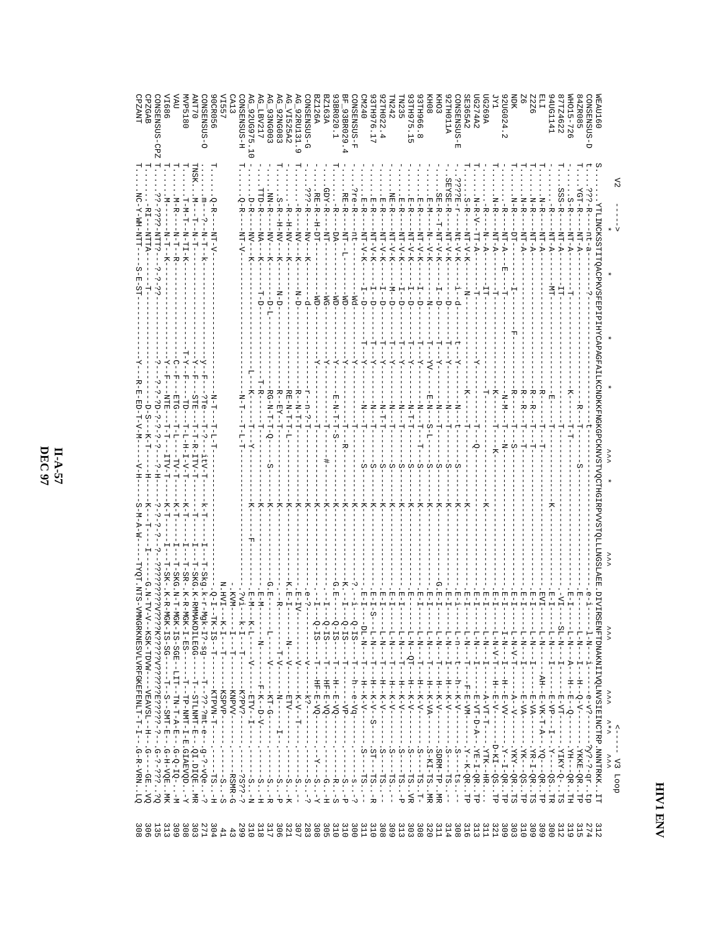|                                                                                                                                                                           |                                                                                                          |                                                                     |                      |                                                                             |                         |                                 | <b>LNAZS</b>              |
|---------------------------------------------------------------------------------------------------------------------------------------------------------------------------|----------------------------------------------------------------------------------------------------------|---------------------------------------------------------------------|----------------------|-----------------------------------------------------------------------------|-------------------------|---------------------------------|---------------------------|
|                                                                                                                                                                           |                                                                                                          |                                                                     |                      |                                                                             |                         |                                 |                           |
|                                                                                                                                                                           |                                                                                                          |                                                                     |                      |                                                                             |                         | NTTP                            | <b>DISENSI</b>            |
| -H-SN-H-SN-H-C-H-SN-NASE                                                                                                                                                  |                                                                                                          | $-1S - 2G - - - -$                                                  |                      | 百円<br>L-ALI                                                                 |                         |                                 | $\frac{1}{8}$             |
| $\frac{1}{N} 1 - \frac{1}{N} - \frac{1}{N} - \frac{1}{N} - \frac{1}{N} - \frac{1}{N} - \frac{1}{N} - \frac{1}{N} - \frac{1}{N} - \frac{1}{N} - \frac{1}{N} - \frac{1}{N}$ |                                                                                                          | $x - 15 - 5GB - -$                                                  | ドーエ                  | ETG                                                                         |                         | z<br>F                          |                           |
| T-TP-TP-NNT-L-B-GIAEVOD.                                                                                                                                                  |                                                                                                          | <b>X-I-ES-----</b>                                                  | ドーエ                  | 습                                                                           |                         | $X-TI-TK$                       | 08194A                    |
|                                                                                                                                                                           | $\mathsf I$                                                                                              | KDILEGG--<br>Ť.                                                     |                      | <b>STE</b><br>コーコーカー H コマーロ                                                 |                         | N - 1                           |                           |
|                                                                                                                                                                           |                                                                                                          | $-MG$<br>k-I?-sg---                                                 | k-T                  | PTe<br>itV-T                                                                |                         | -N-1-1-                         | O-SOSNESNC                |
|                                                                                                                                                                           |                                                                                                          | $-1 - 2 - 5 = -2$                                                   |                      |                                                                             |                         |                                 | <b>CRO56</b>              |
| . ------RSMR-G<br>. -------S -S                                                                                                                                           |                                                                                                          | X-II----II---                                                       |                      |                                                                             |                         |                                 | 55<br>55                  |
|                                                                                                                                                                           | $\mathbb I$<br>$\blacksquare$                                                                            |                                                                     |                      |                                                                             |                         |                                 |                           |
|                                                                                                                                                                           |                                                                                                          | オーロー エー・ローエーエー                                                      |                      |                                                                             |                         |                                 | H-SUSNESNG                |
|                                                                                                                                                                           |                                                                                                          | メーロー ーーートーン                                                         |                      |                                                                             |                         |                                 | 20G975                    |
|                                                                                                                                                                           |                                                                                                          | $-1$ $-1$ $-1$ $-1$ $-1$                                            |                      |                                                                             |                         | k                               | LTZAE'                    |
|                                                                                                                                                                           |                                                                                                          | 면<br>$-1$<br>$- - - - - - - -$                                      | Ķ                    | RG-N-H-H-Q-                                                                 |                         | $M - R$<br>$-M-$<br>처           | 3NG003                    |
|                                                                                                                                                                           |                                                                                                          | $\frac{1}{1}$<br>$-1-\Lambda -1$                                    | ×                    | $-XH -$                                                                     |                         | M-H-                            | <b>2NG083</b>             |
|                                                                                                                                                                           |                                                                                                          | $\times$ $E - I$<br>$-1$                                            | ×                    | RE-N-T-T-L                                                                  |                         | H-NV                            | <b>VI525A2</b>            |
|                                                                                                                                                                           |                                                                                                          | $- - - - - - - -$                                                   | ×                    | -<br>N-1-1-                                                                 | $T - N$                 | $-$ NN $-$                      | 2RU131.<br>9              |
|                                                                                                                                                                           |                                                                                                          | $-4 -$                                                              | ×                    | $L - 5 - U$                                                                 |                         | $-$ NV                          | D-SDSNERVC                |
|                                                                                                                                                                           | Ť                                                                                                        | $2 - 15 -$                                                          | ×                    |                                                                             | Š                       | $H - D T$                       |                           |
|                                                                                                                                                                           | H---HF-KQ-----                                                                                           | $-152 -$                                                            |                      |                                                                             | S≲                      | $\overline{M}$                  |                           |
|                                                                                                                                                                           |                                                                                                          | $2 - 15 -$<br>н                                                     |                      |                                                                             | Š                       | -DA                             |                           |
|                                                                                                                                                                           |                                                                                                          | $2 - 15 - 7$<br>ŧ                                                   |                      | 겨                                                                           | Š                       | -<br>H                          | 93BR029                   |
|                                                                                                                                                                           |                                                                                                          | $Q - 1S -$<br>부                                                     | ×                    |                                                                             | p∧.                     | -nt                             | <b>BISKENSUS-F</b>        |
|                                                                                                                                                                           |                                                                                                          | $N-Td-$<br>부                                                        | ×                    | Ż                                                                           | $\frac{1}{\Box}$<br>н   | $N - N - N - K$                 |                           |
|                                                                                                                                                                           |                                                                                                          | $N-T-1$<br>ł<br>÷                                                   | ×                    | ż                                                                           | 부<br>Ų<br>Ĥ<br>ķ        | 団<br>NT-N-K                     | 3TH976.17                 |
|                                                                                                                                                                           |                                                                                                          | $N-T-1$<br>$-1 - 1 - -$                                             | ×                    | -<br>$\overline{z}$ - $\overline{z}$ - $\overline{z}$ - $\overline{z}$<br>S | $\frac{1}{\sigma}$<br>Ĥ | NT-V-K                          | STH022<br>$\overline{1}$  |
|                                                                                                                                                                           |                                                                                                          | $N-T-$<br>$-1 - 1 -$                                                | ×                    | ż<br>S                                                                      | $M - D$<br>Н            | $N-L-N-K$                       |                           |
|                                                                                                                                                                           |                                                                                                          | $N-T$<br>$-1 - -$                                                   | ×                    | $\vec{\mathbf{z}}$<br>C                                                     | Н                       | NT-V-R                          |                           |
|                                                                                                                                                                           |                                                                                                          | $N-T$<br>$-101 -$                                                   |                      | ー<br>N-L<br>w                                                               | 闩                       | $N-T-V-K$                       |                           |
|                                                                                                                                                                           |                                                                                                          | $N-T$<br>$-1 - 1 - -$                                               |                      | ź                                                                           | н                       | $V-K$                           | 3TH966.8<br>3TH975.15     |
|                                                                                                                                                                           |                                                                                                          | $N-T$<br>부                                                          |                      | $\overline{N} - \overline{N}$                                               | 부                       | $V-K$                           |                           |
| $--$ SDRM $-TP$ . NR                                                                                                                                                      | $-H - H - K - K -$<br>т                                                                                  | $\overline{N}$<br>ł<br>부                                            | ×                    | ¥                                                                           |                         | コースコームーズ                        |                           |
|                                                                                                                                                                           |                                                                                                          | $\overline{N}$<br>ł<br>$\mathsf{H}$                                 |                      | $\frac{1}{2}$                                                               |                         | -NH-V-K                         | <b>ZTHO11A</b>            |
|                                                                                                                                                                           |                                                                                                          | 団<br>$u - T$<br>$\frac{1}{1}$<br>$\uparrow$                         | ż                    | $\mathbf{r}$                                                                | $1 - q$                 | $N = N - K$                     | <b>SUSNESNE</b>           |
|                                                                                                                                                                           | ٦Ē                                                                                                       | $-1 - N - 1$                                                        |                      |                                                                             | $-1/2$                  | $N-T-V-K$                       | E365A2                    |
|                                                                                                                                                                           | Ŧ<br>1                                                                                                   | 団<br>$-1 - 2 - 1 - 1$<br>$\mathsf{H}$                               |                      | P−                                                                          | 휴                       | LT – A-                         | G274A2                    |
|                                                                                                                                                                           |                                                                                                          | --- N---                                                            |                      |                                                                             |                         |                                 | <b>G269A</b>              |
| L-N-V-H---H--E-V--------D-KI--QSHP                                                                                                                                        |                                                                                                          |                                                                     |                      |                                                                             |                         | $N_T - A -$                     |                           |
|                                                                                                                                                                           |                                                                                                          | $\mathbb{I} \mathop{-} \mathbb{N} \mathop{-} \mathop{-} \mathbb{I}$ |                      | $M-N$                                                                       |                         | $N-TM$                          | 9200024                   |
|                                                                                                                                                                           |                                                                                                          | $L - N - N - T$                                                     |                      | ن<br>م                                                                      |                         | 日                               | Ř                         |
| --E-VA------------------                                                                                                                                                  | ÷                                                                                                        | $L - N - -1$<br>$\mathbf{H}$                                        |                      | $R - R$ .                                                                   |                         | $N-T-K$                         |                           |
| $E - V A - - - - - - XF - I - QF$ . Ta                                                                                                                                    | $\begin{array}{c} \begin{array}{c} \text{1} \\ \text{2} \\ \text{3} \\ \text{4} \end{array} \end{array}$ | $-1-{\bf N}=-1$<br>$\overline{H}$                                   |                      | R – R –<br>۲<br>ا                                                           |                         | スー<br>$N-T-N$                   | 3222                      |
| $A H--E-VK-T-A--YQ---QR-.TP$                                                                                                                                              |                                                                                                          | EVE<br>$N-T$                                                        |                      |                                                                             |                         | $N-T-K$                         | E<br>H                    |
| -- E-VP-----------------                                                                                                                                                  | $\frac{1}{1}$                                                                                            | $-1 - N$<br>$\frac{1}{1}$                                           |                      | 団                                                                           |                         | $N_T - N$                       | 40G1141                   |
|                                                                                                                                                                           |                                                                                                          | $N-TS$<br>÷<br>$\mathsf{H}$                                         |                      |                                                                             |                         |                                 | 7TZ4622                   |
|                                                                                                                                                                           |                                                                                                          |                                                                     |                      |                                                                             |                         |                                 | THO15-726                 |
|                                                                                                                                                                           |                                                                                                          |                                                                     |                      |                                                                             |                         |                                 | 4ZR085                    |
| ENFTDNAKNI I VQLNVS I E INCTR P. NNNTRKKIT<br>--e-v?-------?y?-?-qrtp                                                                                                     |                                                                                                          | DIVIRS<br>$-1 - N - -1$                                             | HGIRPVVSTQLLLNGSLAEE | KCNDKKFNGKGPCKNVSTVQCT                                                      | IHYCAPAGFA              | <b>THINGKSSACPKASSHETDITION</b> | EAU160<br><b>SUSNESNC</b> |
| $\checkmark$                                                                                                                                                              | $\checkmark$<br>$* * * *$                                                                                | $\checkmark$                                                        |                      |                                                                             |                         |                                 |                           |
| $\overline{\phantom{a}}$<br>$\mathbb{S}$<br>doo <sub>T</sub>                                                                                                              | $\hat{\mathbf{r}}$                                                                                       |                                                                     |                      |                                                                             |                         |                                 |                           |
|                                                                                                                                                                           |                                                                                                          |                                                                     |                      |                                                                             |                         |                                 |                           |

 $\frac{H-A-S7}{\text{DEC } 97}$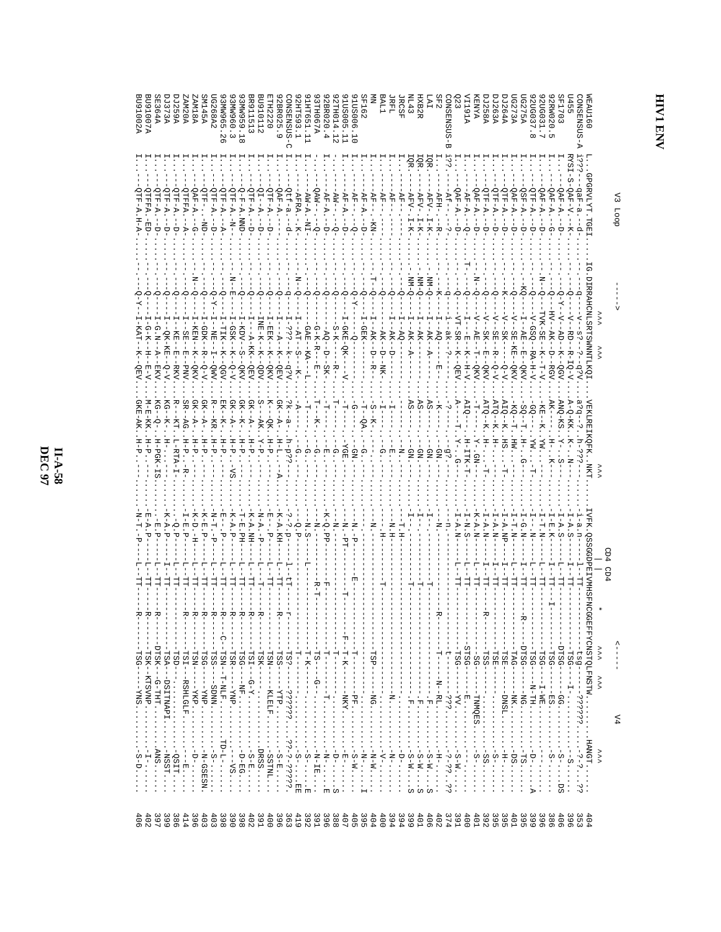HXB2R<br>NL43<br>JRCSF<br>BALL<br>BALL 91HT651.11<br>92HT593.1  $\begin{array}{lcl} \text{LAT} \\ \text{LAT} \end{array}$ 92BR020.4<br>93TH067A 91US006.10<br>91US005.11<br>92TH014.12 UG275A<br>DUG273A<br>DU7263A<br>DJ7258A<br>DJ7258A 92RW020.<br>92UG031.<br>92UG037. **DJ373A** CONSENSUS-C **SF162** SF2 GONSENSUS-B Q23 **AIQIA A7001002** ZAM20<sub>A</sub> **AS IMAS SM145A UG268A2** 93MW665 **93MM260** 93MN559.18 BR911513 BU910112 ETH2220 92BR025 ĕ **KENYA** SP1703 BU91002A SE364A **DJ259A A-SUSMERSNO MEAU160**  $-26$  $\frac{1}{6}$  $\frac{1}{\infty}$ Ļ,  $\frac{1}{2}$ i???---qaF-a.--d-...-----RYSI-S-QAF-Y.---X-....----- $I \cdot I \cdot P - QTP - A \cdot H - A -$ H . . . - - - OHE-B . - - D- $\begin{aligned} &Q\mathbf{R}F\cdot\mathbf{A}_1\cdot-\mathbf{G}_1\cdot\ldots\cdot-1\cdot\mathbf{A}_1\cdot-\mathbf{Q}_1\cdot\ldots\cdot\mathbf{I}_n\cdot\mathbf{K}\mathbf{E}\mathbf{N} -\mathbf{K}\mathbf{X}\mathbf{V}\cdot\ldots\cdot\\ &\cdot\mathbf{QTF\cdot\mathbf{A}_1}\cdot-\mathbf{A}_2\cdot\ldots\cdot\mathbf{I}_n\cdot\ldots\cdot\mathbf{I}_n\cdot\mathbf{I}_n\cdot\mathbf{I}_n\cdot\mathbf{I}_n\cdot\mathbf{I}_n\cdot\mathbf{I}_n\cdot\mathbf$ V3 Loop  $\frac{1}{2}$  ,  $\frac{1}{2}$  ,  $\frac{1}{2}$  ,  $\frac{1}{2}$  ,  $\frac{1}{2}$  ,  $\frac{1}{2}$  ,  $\frac{1}{2}$ O-N-H-KAT-KAT-OEA  $Q = -1 - H - H - H - H - H - H - H - H$  $\rightarrow \rightarrow \rightarrow$  $\checkmark$ ....M-E-KK..H-P...---.....--E-A.P-. QKE-AK . H-P . -----KQ--Q- . . H-PQK-HS . . . . . . . . . . . . 7 . . . - \_ N - H . - p - - - - ---------CD4  $5D4$  $\ast$ -<br>B----۳Ļ  $\checkmark$ -TSG------YNS...  $\check{z}$ ÞΛ  $\ldots - S - D \ldots$  $\checkmark$ 

DEC 97 **II-A-58**  **HIV1 ENV**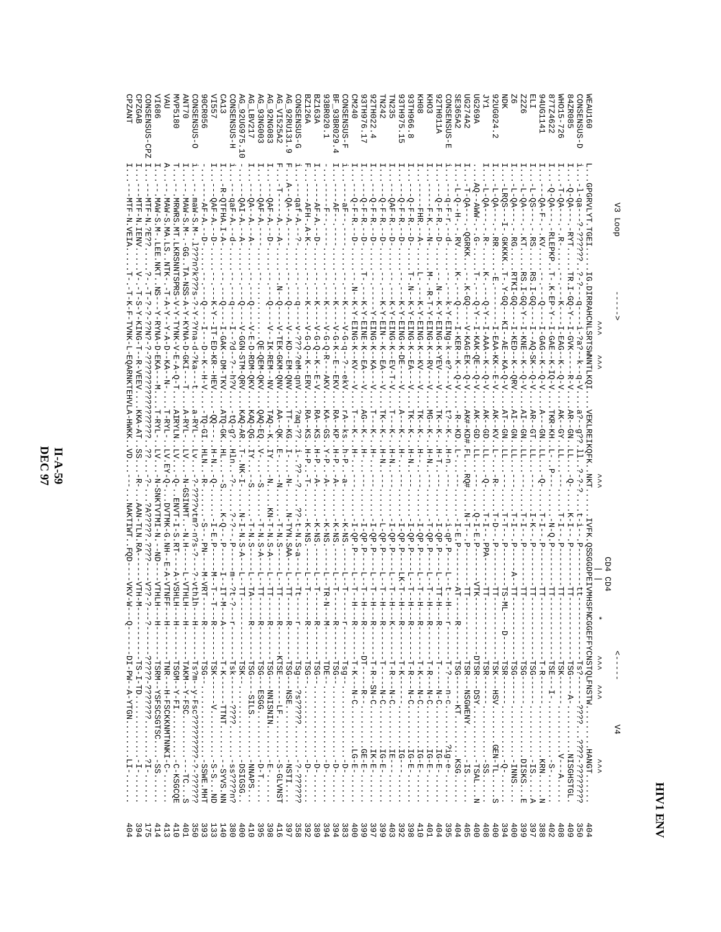**ENV** 

**HIV1**

|                                 | doo∏                                                                      |                                                                                                                                                                                                                                                                                       |                                                                  | $\frac{1}{1}$<br>γ4                                                                                                                                                                                                                                                                                                                                                                                                               |                                                        |
|---------------------------------|---------------------------------------------------------------------------|---------------------------------------------------------------------------------------------------------------------------------------------------------------------------------------------------------------------------------------------------------------------------------------|------------------------------------------------------------------|-----------------------------------------------------------------------------------------------------------------------------------------------------------------------------------------------------------------------------------------------------------------------------------------------------------------------------------------------------------------------------------------------------------------------------------|--------------------------------------------------------|
|                                 |                                                                           |                                                                                                                                                                                                                                                                                       | CD4<br>CD4                                                       | $\check{'}$<br>$\checkmark$<br>$\checkmark$                                                                                                                                                                                                                                                                                                                                                                                       |                                                        |
| EAU160                          | PGRVLYT.TGE                                                               | G. DIRRAHCNLSRTSWNNTLKQI                                                                                                                                                                                                                                                              | .<br>NKT                                                         | IVFK. QSSGGDPE IVMHSFNCGGEFYCNSTQLFNSTW<br>$\cdots$ $\cdots$                                                                                                                                                                                                                                                                                                                                                                      | 60                                                     |
| Q-SQSNEXEO                      |                                                                           | i-?a?--k--q-V                                                                                                                                                                                                                                                                         | ن-<br>-ن-                                                        | 2333-33333                                                                                                                                                                                                                                                                                                                                                                                                                        | 350                                                    |
| <b>NHO15-726</b><br>34ZR085     | $-6A-$<br>г-QA-                                                           | - K-00-Y--<br>--GVK--<br>$1 - EAG - -K - -Q - V$<br>- R-V                                                                                                                                                                                                                             | r<br>F<br>녑<br>녀                                                 | л<br>$-18K -$<br>$-18G - -$<br>Ţ<br>$-4$<br>$\frac{1}{1}$<br>$\ldots$ V---A<br>.  NISGHSTGL.                                                                                                                                                                                                                                                                                                                                      | 408<br>409                                             |
| 87TZ4622                        | $2 - QA -$<br>-RLEPKP                                                     | スーロワース<br>$I - G = -K - IQ - N$<br>LKR-KH                                                                                                                                                                                                                                             | $-K-C$ .<br>녀                                                    | - TSE - - - H -<br>$\cdots$ - $S - \cdots$ -                                                                                                                                                                                                                                                                                                                                                                                      | 402                                                    |
| 94UG1141                        | $-QA-F-$                                                                  | $-GRG---$<br>$\Delta$ -0                                                                                                                                                                                                                                                              | 녑                                                                | -<br>H-R-                                                                                                                                                                                                                                                                                                                                                                                                                         | 398<br>397                                             |
| 2226<br>쯥                       | --04--<br>$-58 - 7$<br>$-$ KT.<br>$-.RS$                                  | $RS \cdot I - GQ - Y - -$<br>$I-GQ-$<br>- NNE - - N - - N - -<br>$- - BQ - SK - -Q - N$<br>AR--GT<br>ND--IY<br>$\vdots$                                                                                                                                                               | 녀                                                                | --<br>1984----------<br>$-1.28G - - - - -$<br>$\mathsf I$<br>$\begin{bmatrix} 1 & 1 & 1 \\ 1 & 1 & 1 \\ 1 & 1 & 1 \\ 1 & 1 & 1 \\ 1 & 1 & 1 \\ 1 & 1 & 1 \\ 1 & 1 & 1 \\ 1 & 1 & 1 \\ 1 & 1 & 1 \\ 1 & 1 & 1 \\ 1 & 1 & 1 \\ 1 & 1 & 1 \\ 1 & 1 & 1 \\ 1 & 1 & 1 \\ 1 & 1 & 1 & 1 \\ 1 & 1 & 1 & 1 \\ 1 & 1 & 1 & 1 \\ 1 & 1 & 1 & 1 \\ 1 & 1 & 1 & 1 \\ 1 & 1 & 1 & 1 \\ 1 & 1 & 1 & 1 \\ 1 & $<br>$\frac{1}{n}$ 213KS<br>団<br>ъ | 399                                                    |
| ä                               | L-QA-<br>- RG.                                                            | RTKI-GQ-<br>I-KEU--K--QRV<br>AI--CN                                                                                                                                                                                                                                                   | 녀                                                                | $\frac{1}{2}$<br>$\cdots$ and $\cdots$                                                                                                                                                                                                                                                                                                                                                                                            | 40C                                                    |
| NDK                             | $TBSO2 -$<br>I-. GKKKK                                                    | $-5 - 7 - 9 - 9 - 9$<br>$-KI - AR - KA - Q - V$<br>$N = -CD - DC$<br>$\cdot$ . Liles .                                                                                                                                                                                                | $TS-ML$                                                          | ーー                                                                                                                                                                                                                                                                                                                                                                                                                                | 394                                                    |
| 920G024.<br>$\mathsf{N}$        | $-8A-$                                                                    | $L = E \cdot \Delta A - K K - E - E - V$                                                                                                                                                                                                                                              |                                                                  | CΩ                                                                                                                                                                                                                                                                                                                                                                                                                                | 400                                                    |
| <b>G269A</b>                    | AQ--AWN-.<br>$-8P-$<br>$-9 - 7$<br>$\cdot$ R- $\cdot$                     | ۲<br>ا<br>Κ-.<br>I-KAK-QE--Q-V<br>$I - A A A - - K - -Q - V$ .<br>AK--GD<br>AK--GD                                                                                                                                                                                                    | $2 - I - E \cdot E - -$<br>MAG.                                  | т<br>$---TSR - -$<br>$\frac{1}{1}$<br>$\cdots \cdots \cdots \cdots S$ S $\cdots \cdots$<br>$\overline{z}$                                                                                                                                                                                                                                                                                                                         | 40C<br>408                                             |
| G274A2                          | $-9A-$<br>.-QGRKK.                                                        | $K-GQ-$<br>V-KAG-EK--Q-V.<br><b>AK#-KD#.FL</b>                                                                                                                                                                                                                                        | $-ROH$<br>N-1-1-1                                                |                                                                                                                                                                                                                                                                                                                                                                                                                                   | 405                                                    |
| E365A2                          | --Q--HI----RV---                                                          | $I - K E R - - K - -Q - V.$<br>$-B$ - $KD$ $-$                                                                                                                                                                                                                                        |                                                                  | -<br>トー<br>1<br>J.<br>$-1.56 - -$                                                                                                                                                                                                                                                                                                                                                                                                 | 404                                                    |
| B-SOSNEWS                       | $-1 - x - 5 -$<br>$\frac{1}{2}$                                           | k-Y-EINg-k--e?---V<br>・t-?--K-・・H-n - ・                                                                                                                                                                                                                                               |                                                                  |                                                                                                                                                                                                                                                                                                                                                                                                                                   | 395<br>404                                             |
| <b>ZTHO11A</b><br>HO3           | Q-F-R.-<br>$-1 - K$ .                                                     | - R - H - K - E H N Q - K - - R V - - - V<br>K-K-HING-K-KEK-----<br>$MG - K -$<br>TK--K-<br>- H - H<br>$N-H$                                                                                                                                                                          | I-QP.P<br>I-QP.P<br>-H-T                                         | т<br>$\mathbf{I}$                                                                                                                                                                                                                                                                                                                                                                                                                 | $-01$                                                  |
| <b>H08</b>                      | $-$ HHK $\cdot$                                                           | K-K-HING-K--KV---X.<br>TK--K-<br>H-                                                                                                                                                                                                                                                   | I-QP.P<br>녺                                                      | $R$ <sup>-</sup><br>л.                                                                                                                                                                                                                                                                                                                                                                                                            | 410                                                    |
| 3TH966.8                        | $Q - F - R - R$                                                           | K-K-E1NG-K--E2---K.<br>TK--K-<br>$-K-H$ .                                                                                                                                                                                                                                             | I-QP.P<br>$\frac{1}{1}$                                          | R<br>--<br>I<br>$\mathbf{I}$<br>ï<br>T                                                                                                                                                                                                                                                                                                                                                                                            | 398                                                    |
| 3TH975.15<br>N235               | QAF-R.<br>$Q-F-F$ .                                                       | $K - Y - E I N G - K - - E V - T - V$<br><b>K-EING-K-DE-</b><br>$N-H$                                                                                                                                                                                                                 | I-QP.P<br>I-QP.P<br>푸                                            | $\overline{1}$<br>$\mathbf{I}$<br>$\overline{1}$<br>$-L-R$<br>- $N-C$<br>$X-L-K$<br>$\mathbf{I}$                                                                                                                                                                                                                                                                                                                                  |                                                        |
| Z77                             | $Q-F-R$ .                                                                 | X-Y-E I N--K--E A---V<br>TK--K-<br>$N-H$                                                                                                                                                                                                                                              | -QP.P<br>Ŧ                                                       | -<br>トー<br>п<br>$\blacksquare$                                                                                                                                                                                                                                                                                                                                                                                                    |                                                        |
| 2TH022.4                        | 0-F-R.                                                                    | $Y-EING-K-FKA---V.$<br>부<br>$\vdots$                                                                                                                                                                                                                                                  | I-QP.P<br>푸                                                      | -<br>トー<br>$\mathbf{I}$<br>$\mathbf{I}$                                                                                                                                                                                                                                                                                                                                                                                           | 39.7                                                   |
| 3TH976.17                       | $Q-F-R$ .<br>2-F-R.                                                       | K-BING-K--KK--<br>K-BINE-K--BY-----<br>$AG--K-$<br>$\vdots$                                                                                                                                                                                                                           | 円<br>:<br>:<br>I-QP.P                                            | R<br>--<br>작<br>$\mathbf{I}$<br>$\mathbf{I}$<br>$-1 - 11 - -$<br>$-17 - 17 - 17 - 0$<br>$---R---$                                                                                                                                                                                                                                                                                                                                 | 399                                                    |
| <b>A-SOSNEXEC</b>               | aF-                                                                       | $-\Delta - \Delta -$<br>--?---ekV                                                                                                                                                                                                                                                     | h-P.                                                             | $\mathbf{I}$<br>л.<br>л.                                                                                                                                                                                                                                                                                                                                                                                                          | $\begin{array}{c}\n 400 \\  000 \\  000\n \end{array}$ |
| $F_2$ 93BR029.4                 | $A$ F-                                                                    | N-G-K--E-F-EXV<br>RA--KP                                                                                                                                                                                                                                                              | $H - P$ .<br>$-4-$<br>$K - NS$                                   |                                                                                                                                                                                                                                                                                                                                                                                                                                   |                                                        |
| <b>ASS3A</b><br>3BR020.1        | $AF - A$ .<br>부                                                           | $V-G-Q-R-1$<br>$V-G-Q--K--E-V$<br>$-MKV.$<br>$RA--KS$<br>$KA-GS$                                                                                                                                                                                                                      | $-4 - 1 - 2$<br>$x - p - p - p$<br>$K-MS$ .<br>K-NS.<br>TR-N-    | $R$ – –<br>$-7$<br>$\mathbf{I}$<br>$\mathbf{I}$<br>$\mathbf{I}$<br>$\blacksquare$                                                                                                                                                                                                                                                                                                                                                 | 3<br>9 8 9 9 9 9 9<br>4 9 7 8 9 7 6                    |
| Z126A                           | -AFH-<br>$A-K-$                                                           | V-G-Q--K--ERV<br>$RA-FSS$                                                                                                                                                                                                                                                             | H-<br><br><br><br><br><br><br><br><br><br><br><br><br>$K-NS$ . - | R-1<br>т.<br>$\mathbf{L}$                                                                                                                                                                                                                                                                                                                                                                                                         |                                                        |
| D-SOSNERNO                      | -qaf-A.<br>$\frac{1}{2}$                                                  | v-???-?eM-qnV<br>¿¿-be¿<br>$\vdots$                                                                                                                                                                                                                                                   | $\ddot{\zeta}$ – $-\ddot{\zeta}$<br>$-E-N.S-B$                   | $-1$<br>J.<br>I.<br>п                                                                                                                                                                                                                                                                                                                                                                                                             |                                                        |
| 92RU131.9<br><b>VI525A2</b>     | $-\mathbf{Q}\mathbf{A}$ – $-\mathbf{A}$ .                                 | V-TEK-GKM-QNV<br>$V - F D -$<br>-EM-QNV<br>TT--KG                                                                                                                                                                                                                                     | $-1 - 1 - 1 - 1$<br>N-TYN.SAA<br>$I - N S - -$<br>占              | ÷<br>⊢<br>п<br>$-$ KTSE                                                                                                                                                                                                                                                                                                                                                                                                           |                                                        |
| 92NG083                         | <u>г</u> -----д.<br>$-QAF - A$ .<br>$\frac{1}{\mathsf{U}}$<br>$\forall$ – | V--IK-KEV--NV<br>$TAPQ--K$ . $IY$ . $IY$ . $IY$ . $IY$ . $IY$ . $IY$ . $IY$ . $IY$ . $IY$ . $IY$ . $IY$ . $IY$ . $IY$ . $IY$ . $IY$ . $IY$ . $IY$ . $IY$ . $IY$ . $IY$ . $IY$ . $IY$ . $IY$ . $IY$ . $IY$ . $IY$ . $IY$ . $IY$ . $IY$ . $IY$ . $IY$ . $IY$ . $IY$ . $IY$ . $IY$ . $I$ | Ę<br>$F-N.S-P$<br>-11-                                           | $R$ <sup>-</sup><br>ı<br>л.<br>п                                                                                                                                                                                                                                                                                                                                                                                                  |                                                        |
| 93NG003                         | $-QAP - A$ .                                                              | - QE-QEM-QKV<br>$-0AQ-BQV---S$                                                                                                                                                                                                                                                        | $F - N S - P -$                                                  | $R$ – –<br>т                                                                                                                                                                                                                                                                                                                                                                                                                      |                                                        |
| LEV217                          | $QA - -R$ .                                                               | E-D-RDM-QKV<br>KAQ-0G                                                                                                                                                                                                                                                                 | $\ddot{\circ}$<br>TA-                                            | R--                                                                                                                                                                                                                                                                                                                                                                                                                               | $300000000$                                            |
| <b>H-SOSNERVO</b><br>920G975.10 | -qaF-A.<br>$-QAI - A$ .<br>؋                                              | $A \ddot{c} - 3 - -5 - -1$<br>7-GGN-STM-QRV<br>KAQ-AR.<br>$-tQ-g?$ . $H1m - ? -$                                                                                                                                                                                                      | $-1 - 2 - 1$<br>$N - I - N$ . $S - A -$<br>.<br>-<br>$-2 - 7 -$  | п                                                                                                                                                                                                                                                                                                                                                                                                                                 | 380                                                    |
|                                 | R-QTFHA.I-A-                                                              | I-GAK--DM-TKV<br>.ATQ-GK.                                                                                                                                                                                                                                                             | $S--\cdots$ TH.<br>Σ-1<br>٠,<br>$-LT - N -$                      | т                                                                                                                                                                                                                                                                                                                                                                                                                                 | 14C                                                    |
| <b>IS57</b>                     | QAF-A.                                                                    | $K-X-$<br>11-ED-KR--HEV<br>$-00-$                                                                                                                                                                                                                                                     | $-5 - 7 - -6 -$<br>ローロ・ロー                                        | Р-1<br>$-LSK--$                                                                                                                                                                                                                                                                                                                                                                                                                   | $\frac{1}{3}$                                          |
| <b>OCR056</b>                   | maW-S.M-.                                                                 | $2 - Y - 2Yna - d - 2ka - -t$ .<br><b>ローーーロー− K – − H – K</b><br>$-RTT$<br>-TQ-GI                                                                                                                                                                                                     | HLN. -R-<br>7vtm?-n?s-?-<br>$-M=$<br>?-vthlh<br>ミークローー           | Ė<br>¦<br>R-1<br>$\mathbf{I}$                                                                                                                                                                                                                                                                                                                                                                                                     | 395<br>35C                                             |
| O-SOSENSNO<br><b>D 4 T 7 0</b>  | $MAN- S$ . $M-$ .                                                         | $A-RTL-$<br>.LV                                                                                                                                                                                                                                                                       | $-24.7.7 - -2 -$<br>- 14-QSHINTH.<br>- N - H - H -<br>L-VTHLH-L  | ÷<br>⊤<br>п<br>$\blacksquare$<br>-Ts?m--y-Fsc??????????-?-??????<br>-TAKM--Y-FSC---TCS                                                                                                                                                                                                                                                                                                                                            | 401                                                    |
| <b>NP5180</b>                   |                                                                           | MRWRS.MT.LKRSNNTSPRS-V-Y-TYNK-V-E-A-Q-T.<br><b>NTIXAIY</b>                                                                                                                                                                                                                            | $-5.RT -$<br><b>A-VSHLH</b>                                      | $-1$<br>-TRGM-Y-Y-HI                                                                                                                                                                                                                                                                                                                                                                                                              | 41(                                                    |
|                                 | MAW-S-MA                                                                  | ドーダーロー - K A - - N -<br>T-BYL-                                                                                                                                                                                                                                                        | $-LV \cdot EY-Q-2$<br>DAIRY-G.NH--<br>E-A-VINFF                  | 宇<br>-<br>$-TNR-1-H-FSCKKNNTNNK\,I-C- \ldots \, .$                                                                                                                                                                                                                                                                                                                                                                                | $41$                                                   |
| CONSENSUS-C<br>71686<br>Zđ      | <b>LEE . NKT</b>                                                          | $-K$ MA- $K$<br>23322323                                                                                                                                                                                                                                                              | - N-NHYTVTWI-<br>НТНІЛ<br>$\frac{1}{2}$                          | $\frac{1}{1}$<br>÷<br>⊤                                                                                                                                                                                                                                                                                                                                                                                                           | 175<br>41                                              |
| <b>SZGAB</b>                    | <b>LENVV</b>                                                              | KING-<br>KKA-AT                                                                                                                                                                                                                                                                       | N-HI                                                             |                                                                                                                                                                                                                                                                                                                                                                                                                                   | 394                                                    |
| <b>TNANP</b>                    |                                                                           | A-HWKK                                                                                                                                                                                                                                                                                |                                                                  | ή                                                                                                                                                                                                                                                                                                                                                                                                                                 | $^{40}$                                                |
|                                 |                                                                           |                                                                                                                                                                                                                                                                                       |                                                                  |                                                                                                                                                                                                                                                                                                                                                                                                                                   |                                                        |

**DEC 97 II-A-59**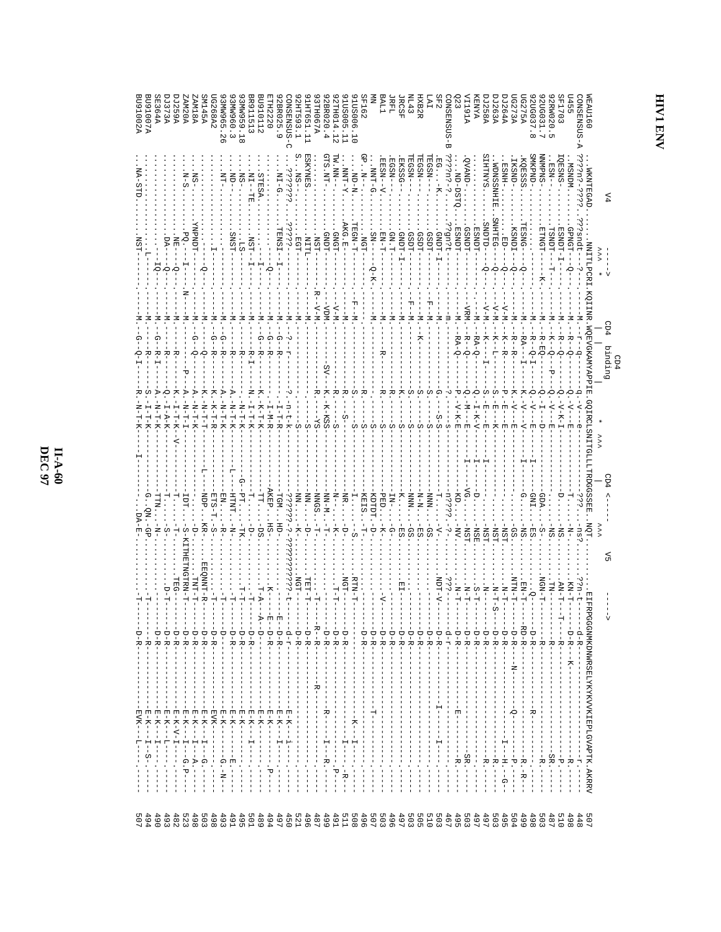|                                              |                     |                       | CD4<br>binding              |                                                                      |              | ဌ                          |                                                                                                                                                                                                                                                                                                                                                                                                                                                                                                                                                                                                |                                                                                                                                                                                                                                                                  |
|----------------------------------------------|---------------------|-----------------------|-----------------------------|----------------------------------------------------------------------|--------------|----------------------------|------------------------------------------------------------------------------------------------------------------------------------------------------------------------------------------------------------------------------------------------------------------------------------------------------------------------------------------------------------------------------------------------------------------------------------------------------------------------------------------------------------------------------------------------------------------------------------------------|------------------------------------------------------------------------------------------------------------------------------------------------------------------------------------------------------------------------------------------------------------------|
| EAU160                                       | WKNTEGAD.           |                       |                             | NNITTPORI .KOI INE .WERNESNINGILITTPORISTE .GOINGILITTPOGSSSESE .XQT |              | <b>EIFRPG</b>              | GONNEDNWRSELYKYKYYKIEPLGYAPTE. AKREVY                                                                                                                                                                                                                                                                                                                                                                                                                                                                                                                                                          |                                                                                                                                                                                                                                                                  |
| <b>ONSENSUS</b>                              | 2322-513            | ۰,                    |                             |                                                                      | $-125$       |                            | $\mathbf{I}$<br>d-R                                                                                                                                                                                                                                                                                                                                                                                                                                                                                                                                                                            | $\overline{5}$                                                                                                                                                                                                                                                   |
|                                              |                     |                       |                             |                                                                      |              | KN-T.                      | $D - R - -$<br>$-K$<br>$\mathbf{I}$                                                                                                                                                                                                                                                                                                                                                                                                                                                                                                                                                            | -----R.<br>$\overline{1}$<br>ï<br>$\mathsf I$                                                                                                                                                                                                                    |
| <b>F1703</b>                                 | QESNS-              | BOXDH-I--             | $-B--Q$                     | $-\Delta - K - T$                                                    | $-105$       | <b>DA-1-</b>               | $---R---$<br>-i<br>$\mathbb T$<br>$\frac{1}{4}$<br>$\frac{1}{4}$<br>$\overline{1}$<br>$\frac{1}{1}$                                                                                                                                                                                                                                                                                                                                                                                                                                                                                            | $\,$ I<br>$- - - -$<br>$\begin{array}{c} 1 \\ 1 \\ 1 \end{array}$                                                                                                                                                                                                |
| 2RW020.5                                     | $ESN - -$           | <b>TSNDT-</b>         | $-K - 2 -$                  |                                                                      | $-$ NS       | 보<br>-<br>-                | ł.<br>$\mathbf{I}$                                                                                                                                                                                                                                                                                                                                                                                                                                                                                                                                                                             | L<br>Ţ.<br>$SR - - - -$                                                                                                                                                                                                                                          |
| 20G031.7                                     | NNPN5--             | ETNGT-                | $B - EQ -$                  |                                                                      |              | NGN-T-                     | $\overline{1}$<br>$\mathbf{I}$                                                                                                                                                                                                                                                                                                                                                                                                                                                                                                                                                                 | $\mathbf{I}$<br>- 11<br>$-\mathbf{R}$ .                                                                                                                                                                                                                          |
| 20G037<br><b>G275A</b><br>$\frac{1}{\infty}$ | WKPND-<br>CESSS.    | ESNG--                | $-B$ - $Q$ - $I$<br>$RA$ -- |                                                                      | $-EES$       | $-1 -1 =$<br>$\frac{1}{2}$ | $\frac{1}{4}$<br>$\frac{1}{1}$<br>÷i.<br>$\frac{1}{2}$<br>-<br>- 포<br>- -                                                                                                                                                                                                                                                                                                                                                                                                                                                                                                                      | $\mathbf{I}$<br>J.<br>----R. -R--<br>Ť<br>$\frac{1}{1}$<br>Ţ                                                                                                                                                                                                     |
| G273A                                        | EXSND-              | --TOT-<br>Ю<br>Ő      | $R - R -$                   |                                                                      | င္ပ်ာ        | 4HZ-H-                     | $\mathbf{I}$<br>$\frac{1}{4}$<br>$-6 - 0$                                                                                                                                                                                                                                                                                                                                                                                                                                                                                                                                                      | $\frac{1}{1}$<br>$P - - - -$                                                                                                                                                                                                                                     |
| A264A                                        | ESNH-               | .<br>巴口-<br>Ю         | $N-\Delta$<br>$K - R$ .     | ٣                                                                    | $-15M$       | $-L-L$                     | $\mathbf{I}$<br>$\mathbb{L}$                                                                                                                                                                                                                                                                                                                                                                                                                                                                                                                                                                   | $\mathbb{R}^n$<br>$I = -H$ . $-G$                                                                                                                                                                                                                                |
| <b>J263A</b>                                 | NDNSSMHIE           | <b>POELENS</b><br>Ю   | - K---L-                    | ե<br>면                                                               | -NST         | $-K-L-S$                   | п.<br>$1 - 1 - 1$<br>$\mathbf{I}$<br>$\mathbf{1}$<br>$\mathbf{1}$                                                                                                                                                                                                                                                                                                                                                                                                                                                                                                                              |                                                                                                                                                                                                                                                                  |
| A8525                                        | EHTNYS              | -didex<br>Ю           | $K-1$                       | 변                                                                    | -NST         | $-K--$                     | f,<br>$D - R - - -$<br>$\mathsf I$<br>$\mathbf{I}$ $\mathbf{I}$<br>$1$ $1$ $1$ $1$<br>-                                                                                                                                                                                                                                                                                                                                                                                                                                                                                                        |                                                                                                                                                                                                                                                                  |
| <b><i>AYMA</i></b>                           |                     | <b>ESNDT</b>          | $-RA-Q-$                    | $I-K-V$                                                              |              | $S-T$ .                    | J.<br>÷R<br>Ŧ<br>Ť.<br>-1<br>Ť.<br>Τ.<br>1<br>$\mathbf{I}$<br>Ť.                                                                                                                                                                                                                                                                                                                                                                                                                                                                                                                               |                                                                                                                                                                                                                                                                  |
| <b>AIQIA</b>                                 | OVAND----           | -TURE                 | $R = -Q$ .                  | 国                                                                    | $-$ NST      | $-K-T$ -                   | J.<br>D-R<br>Ĩ.<br>Ť.<br>$\blacksquare$<br>$\blacksquare$<br>$\mathbf{I}$<br>Ţ<br>$\mathbf{I}$                                                                                                                                                                                                                                                                                                                                                                                                                                                                                                 | $\overline{\phantom{a}}$<br>$\frac{1}{4}$<br>$SR. - -$                                                                                                                                                                                                           |
|                                              | TAD-DSTC            | ESNDT-                | -RA-Q                       | $-N-K-E$                                                             | ₫            | $N-T$ -                    | $-1 - 1 - 1 - 1$<br>Ť.<br>$\blacksquare$<br>Ţ<br>$\frac{1}{4}$<br>$\mathbb T$<br>÷<br>⊢                                                                                                                                                                                                                                                                                                                                                                                                                                                                                                        | 1                                                                                                                                                                                                                                                                |
| SUSENE SNO.                                  | -3n?-?              | 32.42                 |                             | $\mathbb{G}^n$                                                       | ussa         | ن:<br>ا                    | $-\mathbf{q}$<br>$\frac{1}{1}$<br>Ť                                                                                                                                                                                                                                                                                                                                                                                                                                                                                                                                                            | 1<br>$\frac{1}{1}$<br>$\frac{1}{2}$                                                                                                                                                                                                                              |
|                                              | EG-K.               | $CNOT-T-T$            |                             | - 2<br>S                                                             |              | $V-T(T)$                   | J<br>$D-R$<br>Ĭ<br>$\mathbf{L}$<br>$\frac{1}{4}$<br>$\frac{1}{1}$                                                                                                                                                                                                                                                                                                                                                                                                                                                                                                                              | $-1 - 1 - 1 - 1$<br>$\frac{1}{4}$                                                                                                                                                                                                                                |
|                                              | $EGGN---$           | GSDT-                 |                             |                                                                      | <b>MAR</b>   |                            | $\frac{1}{1}$<br>$-R$<br>ŧ<br>$\mathbf{I}$<br>$\mathbb{L}$                                                                                                                                                                                                                                                                                                                                                                                                                                                                                                                                     | $\mathbf{I}$<br>$\mathbf{I}$<br>$\mathbf{I}$<br>$\cdot$                                                                                                                                                                                                          |
| EXB2R                                        | $-$ -NSSDE          | -resp                 |                             |                                                                      | $N-N$        |                            | ł<br>÷P<br>Ŧ<br>$\mathbb T$<br>$\mathbf{I}$<br>$\mathbf{I}$<br>$\mathbf{L}$<br>п.<br>$\mathbb T$<br>$\mathbf{I}$<br>-1<br>$\mathbb{R}^n$                                                                                                                                                                                                                                                                                                                                                                                                                                                       | $\mathbf{I}$<br>$\frac{1}{4}$<br>$\mathsf I$<br>÷,                                                                                                                                                                                                               |
| <b>IRCSF</b><br>$11-43$                      | EGSN----<br>EKSSG-- | $-1 - 1 - 1$<br>GSDT- |                             | C                                                                    | <b>KINDI</b> |                            | ł<br>Ť<br>÷P<br>D-R<br>$\frac{1}{1}$<br>Ť<br>Ť.<br>Ţ<br>$\blacksquare$<br>Ť                                                                                                                                                                                                                                                                                                                                                                                                                                                                                                                    | $\mathsf I$<br>$\frac{1}{4}$<br>$\cdot$ <sup>1</sup><br>$\frac{1}{4}$                                                                                                                                                                                            |
| RFL                                          | EGSN---             | GN.T-                 |                             |                                                                      | IN- .        |                            | $\frac{1}{1}$<br>÷P<br>$\frac{1}{4}$<br>Ť.<br>$\mathbf{I}$<br>Ť.<br>$\mathbb T$<br>$\frac{1}{1}$<br>$\frac{1}{1}$                                                                                                                                                                                                                                                                                                                                                                                                                                                                              | $\begin{array}{c} \begin{array}{c} \begin{array}{c} \begin{array}{c} \end{array} \\ \end{array} \\ \begin{array}{c} \end{array} \end{array} \end{array}$<br>$\mathbf{I}$<br>$\frac{1}{1}$<br>Ĵ<br>$\frac{1}{2}$                                                  |
| <b>LLA</b>                                   | EESN--V.            | <b>EN-T-</b>          | 능                           |                                                                      | PED          |                            | ł<br>÷P<br>Ŧ<br>1<br>$\mathbf{L}$<br>T.<br>$\mathbf{I}$<br>Ť.<br>$\mathbb{L}$<br>$\mathbb I$<br>ł                                                                                                                                                                                                                                                                                                                                                                                                                                                                                              | L<br>ł<br>Ĵ.<br>$\frac{1}{4}$                                                                                                                                                                                                                                    |
|                                              | $\ldots$ NNT-G.     | $-SN = -$<br>$Q-K$ .  |                             |                                                                      | KDTDT        |                            | D-R<br>$\frac{1}{4}$<br>Ť.<br>$\frac{1}{1}$                                                                                                                                                                                                                                                                                                                                                                                                                                                                                                                                                    | $\frac{1}{1}$<br>$\frac{1}{2}$<br>$\frac{1}{4}$                                                                                                                                                                                                                  |
| <b>F162</b>                                  | . . N - -           | $\sim$ NGT-           |                             | C                                                                    | KEIS.        |                            | $\blacksquare$<br>i<br>P−R<br>$\frac{1}{1}$<br>$\blacksquare$<br>$\mathbf{I}$<br>$\blacksquare$<br>Ť<br>$\begin{array}{cccccccccc} \multicolumn{2}{c}{} & \multicolumn{2}{c}{} & \multicolumn{2}{c}{} & \multicolumn{2}{c}{} & \multicolumn{2}{c}{} & \multicolumn{2}{c}{} & \multicolumn{2}{c}{} & \multicolumn{2}{c}{} & \multicolumn{2}{c}{} & \multicolumn{2}{c}{} & \multicolumn{2}{c}{} & \multicolumn{2}{c}{} & \multicolumn{2}{c}{} & \multicolumn{2}{c}{} & \multicolumn{2}{c}{} & \multicolumn{2}{c}{} & \multicolumn{2}{c}{} & \multicolumn{2}{c}{} & \multicolumn{2}{c}{} & \mult$ | $\frac{1}{2}$<br>$\frac{1}{1}$                                                                                                                                                                                                                                   |
| LUS006.                                      | $\cdots$ N-N-N      | $-L-M0$               |                             | Ω                                                                    | $\vdots$     | RTN-T                      | $\blacksquare$<br>$\frac{1}{1}$<br>$\frac{1}{1}$<br>$\mathbf{I}$<br>$\blacksquare$<br>$\mathbf{I}$                                                                                                                                                                                                                                                                                                                                                                                                                                                                                             | $\frac{1}{2}$                                                                                                                                                                                                                                                    |
| [DS005.11                                    | $7 - L - L$ NIN     | KG.E-                 |                             | ÖΩ                                                                   | 凶.<br>       | $NGL--$                    | j.<br>÷R<br>Ŧ.<br>$\mathbb{L}$<br>$\mathbb{L}$<br>$\mathbf{L}$<br>$\mathbf{L}$<br>$1 \quad 1 \quad 1$<br>$\mathbb{L}$<br>$\mathbf{I}$<br>$\mathbf{L}$<br>$1 - 1 - 1$<br>$1 - 1$<br>Ħ                                                                                                                                                                                                                                                                                                                                                                                                           | $\mathsf I$<br>$-1 - R -$                                                                                                                                                                                                                                        |
| SIT-1014.12                                  | M.MN----            | <b>GNGT-</b>          |                             | C                                                                    |              | :<br>بار<br>بار            | ŧ<br>$D-R$<br>Ť<br>$\mathbf{I}$                                                                                                                                                                                                                                                                                                                                                                                                                                                                                                                                                                | Ł<br>$P$ – –                                                                                                                                                                                                                                                     |
| 2BR020.4                                     | TS.NT-.             | -TONE                 | ŠЯ                          | $K - KSS$                                                            | NN-NN.       |                            | $\frac{1}{1}$<br>$\frac{1}{R}$<br>$\frac{1}{1}$<br>Ť.<br>$\mathsf I$<br>$\blacksquare$<br>$\mathbf{I}$<br>÷.                                                                                                                                                                                                                                                                                                                                                                                                                                                                                   | - - - - - - - - - - - - - E<br>- - R - - - - - - - E - - R .<br>- - - - - - - - - - - - - - - -<br>$\begin{array}{c} 1 \\ 1 \\ 1 \\ 1 \end{array}$                                                                                                               |
| <b>THOG7A</b>                                |                     | $-LSM$ .              | $\sim$                      | SX                                                                   | NNGS.        |                            | $-R$ – $R$ –<br>Ì<br>$\mathsf I$<br>$\mathbf{I}$<br>$\blacksquare$                                                                                                                                                                                                                                                                                                                                                                                                                                                                                                                             | ÷,<br>$\frac{1}{1}$<br>$\mathsf I$                                                                                                                                                                                                                               |
| HT651.11                                     | ESKYNES             | $-TLLIN$              |                             | S                                                                    | MN.          | 1回11-1-                    | $-$ -D-R<br>Ŧ<br>-1<br>$\sim 1$<br>$\blacksquare$<br>$\mathbf{1}$<br>$\mathbb T$<br>$\blacksquare$<br>Ħ                                                                                                                                                                                                                                                                                                                                                                                                                                                                                        | $\mathsf I$<br>$\mathbf{I}$<br>$\frac{1}{4}$<br>$\mathsf I$                                                                                                                                                                                                      |
| IT-593.1                                     |                     | EGT-                  |                             | S                                                                    |              |                            | $-$ -D $-$ R<br>$\frac{1}{1}$<br>1<br>$\begin{array}{c} \begin{array}{c} \bullet \\ \bullet \\ \bullet \\ \bullet \\ \bullet \end{array} & \begin{array}{c} \bullet \\ \bullet \\ \bullet \\ \bullet \\ \bullet \end{array} \\ \begin{array}{c} \bullet \\ \bullet \\ \bullet \\ \bullet \\ \bullet \end{array} & \begin{array}{c} \bullet \\ \bullet \\ \bullet \\ \bullet \\ \bullet \end{array} \end{array}$<br>$\mathbf{I}$                                                                                                                                                                | Ħ<br>$\cdot$ <sup>i</sup><br>$\frac{1}{4}$                                                                                                                                                                                                                       |
| D-SOSNEXEC                                   | 233523              |                       |                             | $-n-t-k$                                                             |              |                            | $\blacksquare$<br>$\frac{p}{\pi}$<br>$\frac{1}{1}$                                                                                                                                                                                                                                                                                                                                                                                                                                                                                                                                             | E<br>E – K – – – 1 – – 1 – –<br>ļ<br>$\frac{1}{4}$                                                                                                                                                                                                               |
| SBR025.9                                     | NI-G.               | $-T = -1 - -I$        | $G--R$                      | 1-1-F                                                                | TGM          |                            | ŧ<br>-p-R<br>Ŧ.<br>Ť.<br>$\mathbb T$<br>$\mathbf{I}$<br>$\mathbf{1}$<br>$\mathbf{L}$<br>$\mathbf{L}$<br>$\mathbf{L}$<br>$\mathbb{I}$                                                                                                                                                                                                                                                                                                                                                                                                                                                           | $E-K--I--I--$<br>$\frac{1}{2}$<br>$\frac{1}{4}$<br>I.                                                                                                                                                                                                            |
| 2220                                         |                     | ÷                     | ם--פ-                       | $I - M - R$                                                          | <b>AKEP.</b> |                            | J.<br>÷R<br>ŧ<br>$\mathbb T$<br>п.<br>$\mathbf{1}$<br>$\mathbf{1}$<br>- 11<br>$\mathbb{L}$                                                                                                                                                                                                                                                                                                                                                                                                                                                                                                     |                                                                                                                                                                                                                                                                  |
| <b>SILD122</b>                               | STESA.              |                       | G--R                        |                                                                      |              | $T - A$ .                  | $\frac{1}{1}$<br>$\frac{1}{\sqrt{2}}$<br>ŧ<br>1<br>$\mathbf{L}$<br>$\mathbb T$                                                                                                                                                                                                                                                                                                                                                                                                                                                                                                                 |                                                                                                                                                                                                                                                                  |
| 211513                                       | $ZH - -HH$          | $-I = -I -$           | $-R - I$ .                  | $X-L-T$                                                              |              | .<br>ٻ                     | $\overline{1}$<br>p-R<br>Ĵ,                                                                                                                                                                                                                                                                                                                                                                                                                                                                                                                                                                    |                                                                                                                                                                                                                                                                  |
| <b>MW959.18</b>                              | -SS-                | $-57$                 | −k−                         | -N-H-H                                                               |              | -1-1-                      | ł<br>÷P<br>$\frac{1}{1}$<br>Ť.<br>-1<br>п.<br>п.<br>$\mathbf{I}$<br>Ħ<br>Ť                                                                                                                                                                                                                                                                                                                                                                                                                                                                                                                     |                                                                                                                                                                                                                                                                  |
| 8MW960.3                                     |                     | -TSNS                 | −R−                         | -<br>N-H-H<br>N-                                                     |              |                            | ł<br>Ù−R<br>Ť<br>$\mathbb{I}$<br>÷<br>$\mathbf{I}$<br>$\mathbf{L}$<br>$\mathbb T$                                                                                                                                                                                                                                                                                                                                                                                                                                                                                                              |                                                                                                                                                                                                                                                                  |
| <b>S96MW</b><br>56                           |                     |                       | $G - R$                     | $-N-L-K-K$                                                           |              | å                          | ÷<br>п<br>Τ.<br>$\mathbf{L}$<br>$\mathbf{L}$                                                                                                                                                                                                                                                                                                                                                                                                                                                                                                                                                   |                                                                                                                                                                                                                                                                  |
| G268A2                                       |                     |                       | -9--B                       | – K–T–R                                                              | ETS-T        | ÷                          | $\overline{B}-R$<br>$\frac{1}{4}$<br>j.<br>$- NIX --$                                                                                                                                                                                                                                                                                                                                                                                                                                                                                                                                          |                                                                                                                                                                                                                                                                  |
| <b>ASPIN</b>                                 |                     | ò                     | $\sigma$                    | $L - L - L - N -$                                                    | MDP.         | EQNNT-R-                   | ł<br>Ò<br>P<br>Ţ<br>Ť.<br>$\mathsf I$<br>п.<br>$\mathbf{L}$<br>$\mathbf{I}$<br>$\mathbb{I}$                                                                                                                                                                                                                                                                                                                                                                                                                                                                                                    |                                                                                                                                                                                                                                                                  |
| <b>AN18A</b>                                 |                     | -- THRIP              | ဂု<br>Ю                     | -<br>N-H-H-                                                          |              | HNH-H-                     | ł<br>÷P<br>Ŧ<br>$\mathbf{I}$<br>$\mathsf I$<br>п.<br>п.<br>$\mathbf{1}$<br>÷.                                                                                                                                                                                                                                                                                                                                                                                                                                                                                                                  | $\begin{split} &-\mathbf{E}\nabla\mathbf{K}=-----\cdot\\ &-\mathbf{E}-\mathbf{K}--\mathbf{I}--\mathbf{G}\,,\\ &-\mathbf{E}-\mathbf{K}--\mathbf{I}--\mathbf{G}\,,\quad---\cdot--\\ &-\mathbf{E}-\mathbf{K}--\mathbf{I}--\mathbf{A}\,,\quad---\cdot-- \end{split}$ |
| <b>AN20A</b>                                 |                     | ъб<br>.               |                             | -<br>-<br>T – H                                                      |              | GTRN-T                     | l.<br>D-R<br>$\frac{1}{1}$<br>т<br>$\mathbf{L}$<br>$\mathbb{L}$                                                                                                                                                                                                                                                                                                                                                                                                                                                                                                                                | $\frac{1}{\Omega}$<br>$P$ – –                                                                                                                                                                                                                                    |
| <b>7259A</b>                                 |                     | $- B N -$<br>$\circ$  |                             |                                                                      |              |                            | $\frac{1}{R}$<br>$\blacksquare$                                                                                                                                                                                                                                                                                                                                                                                                                                                                                                                                                                | ÷,<br>$\overline{\phantom{a}}$                                                                                                                                                                                                                                   |
| <b>J373A</b>                                 |                     | $\frac{1}{\circ}$     |                             | $I - A - K$                                                          |              | $\frac{1}{2}$              | D-R<br>Ţ<br>$\mathbb I$<br>-11<br>$\mathsf I$                                                                                                                                                                                                                                                                                                                                                                                                                                                                                                                                                  | 因ーズーーーローー<br>$\cdot$<br>$\,$ I<br>$\mathsf I$<br>$\,$ I                                                                                                                                                                                                          |
| 1364A                                        |                     | ð                     | $-9-7-7$                    | -<br>N-H-K                                                           |              |                            | D-R<br>Ť<br>1<br>Τ.<br>$\blacksquare$<br>Τ.                                                                                                                                                                                                                                                                                                                                                                                                                                                                                                                                                    | <b>E-K-------</b><br>÷,<br>$\frac{1}{4}$                                                                                                                                                                                                                         |
|                                              |                     |                       |                             |                                                                      |              |                            |                                                                                                                                                                                                                                                                                                                                                                                                                                                                                                                                                                                                |                                                                                                                                                                                                                                                                  |
| <b>A7001</b>                                 |                     |                       |                             |                                                                      |              |                            | −k<br>$\mathbf{L}$                                                                                                                                                                                                                                                                                                                                                                                                                                                                                                                                                                             | <b>E-K-------</b><br>ς.<br>$\frac{1}{4}$                                                                                                                                                                                                                         |

 $\frac{H-A-60}{\text{DEC } 97}$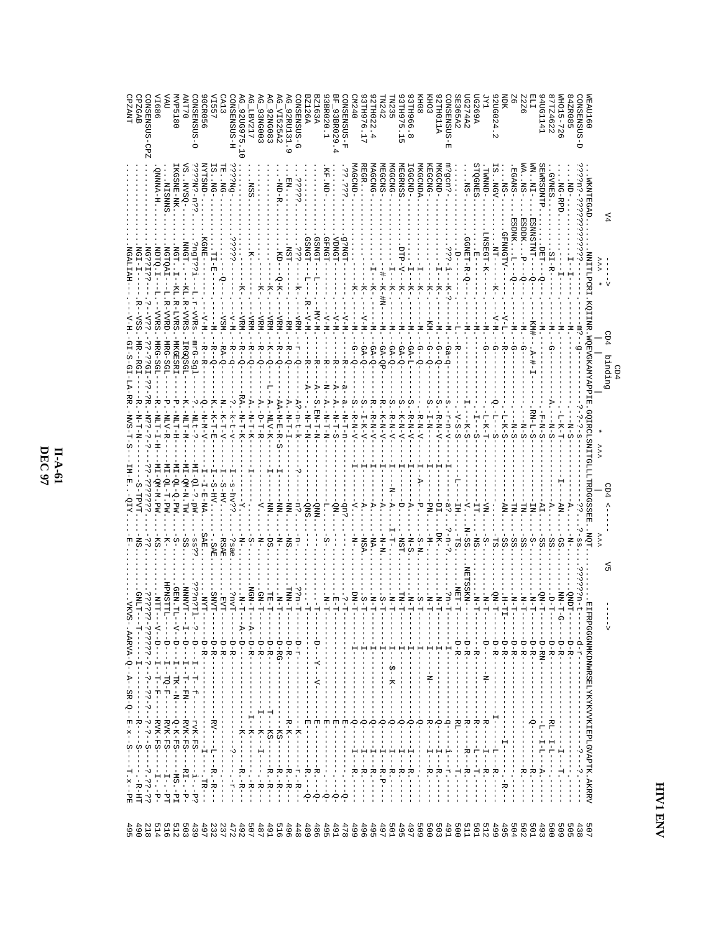$\frac{II-A-61}{\text{DEC~97}}$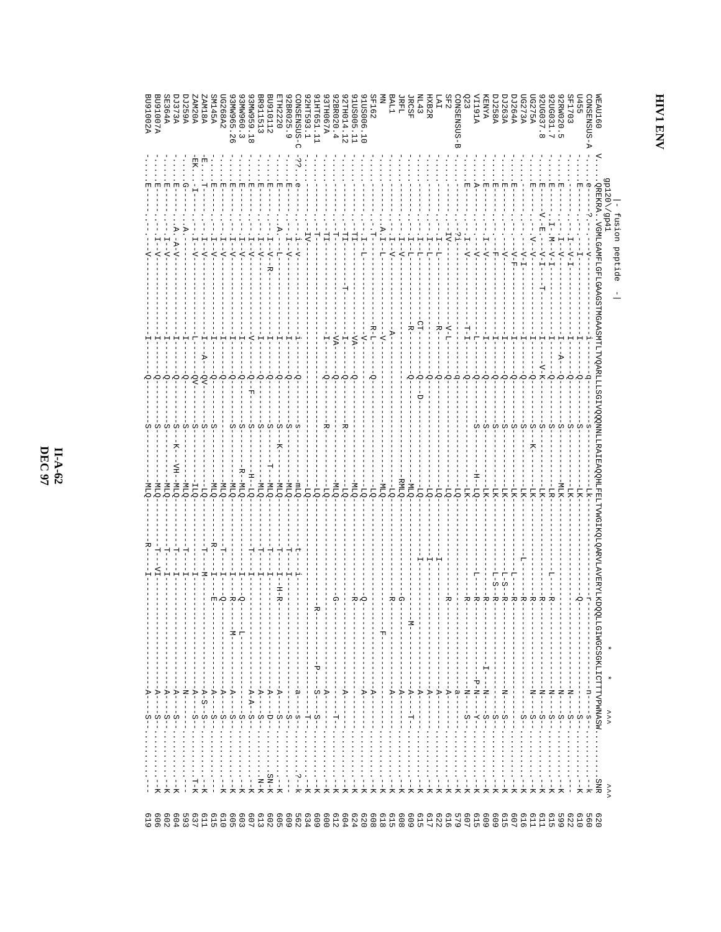## HIVI ENV

fusion peptide

| EAU160                       | 35120<br>REKRA | uot<br>peptide                     |         |   |   |                 | VGNLASNFLGFLGRASGTMGAASMTLTVQARIJLADARLLLSGTVQQQNTLFAA ERAQHLFELTVWGIKQLQARVLAVERYLADQ | LGIWGCSGKLICTTTVPWNASW<br>$\checkmark$                                                                                                                                 | . SNR.<br>$\checkmark$                                                                                                                                                                                                                                                                                              |
|------------------------------|----------------|------------------------------------|---------|---|---|-----------------|----------------------------------------------------------------------------------------|------------------------------------------------------------------------------------------------------------------------------------------------------------------------|---------------------------------------------------------------------------------------------------------------------------------------------------------------------------------------------------------------------------------------------------------------------------------------------------------------------|
| <b>ONSENSUS</b><br>455       |                |                                    |         |   |   |                 |                                                                                        | $-11-$<br>$rac{1}{2}$<br>$S -$                                                                                                                                         | $X -$<br>$+ -$                                                                                                                                                                                                                                                                                                      |
| F1703                        |                | $\sqrt{1}$                         |         |   |   |                 |                                                                                        | $-1$<br>$-5 - -$                                                                                                                                                       | $\frac{1}{4}$                                                                                                                                                                                                                                                                                                       |
| <b>2RW020</b><br>ŪП          |                |                                    |         |   |   | <b>MLK</b>      |                                                                                        | $-K-$<br>$S -$                                                                                                                                                         | $X - - -K$                                                                                                                                                                                                                                                                                                          |
| 20G031<br>4                  |                | $N-\Delta-1$                       |         |   |   | .<br>קי         |                                                                                        | $-1$<br>$S -$                                                                                                                                                          | $x - -1$                                                                                                                                                                                                                                                                                                            |
| 20G037<br>$\infty$           |                | $-\Delta - I$                      |         |   |   | ŅТ              | ᆽ                                                                                      | $-1$<br>ςi                                                                                                                                                             |                                                                                                                                                                                                                                                                                                                     |
| <b>G275A</b>                 |                | $\mathcal{N}$ - $\mathcal{N}$ - -  |         |   | w | Ę               | ᆽ                                                                                      | $-1$<br>$S -$                                                                                                                                                          | $x$ <sub>--</sub> - $\cdots$ - $x$                                                                                                                                                                                                                                                                                  |
| G273A<br>J264A               |                | $-\Delta$ -E-<br>$-\Delta$         |         |   |   | FК<br>Ę         | ᆽ<br>ᆽ                                                                                 | Ţ<br>$S -$<br>Ť                                                                                                                                                        | $x=-1$ .                                                                                                                                                                                                                                                                                                            |
| J263A                        | 固              | $-4$                               |         |   |   | XТ              | ך<br>5<br>ᆽ                                                                            | $-8 - -$                                                                                                                                                               | $X = -K$                                                                                                                                                                                                                                                                                                            |
| A8525                        |                | 뉨                                  |         |   |   | XТ              | L- S.<br>₩                                                                             | $\begin{array}{c} 1 \\ 1 \\ 1 \end{array}$                                                                                                                             |                                                                                                                                                                                                                                                                                                                     |
| <b>AYVA</b>                  |                |                                    |         |   |   | Ę               | ᆽ                                                                                      | i<br>İ<br>$-1 - N - -$                                                                                                                                                 |                                                                                                                                                                                                                                                                                                                     |
| <b>AIQIL</b>                 |                |                                    |         |   |   | 55              | ᄷ                                                                                      | $-1 - N - d -$<br>$-2$<br>--3<br>--3<br>---                                                                                                                            | $x_1 + \cdots + x_n$                                                                                                                                                                                                                                                                                                |
|                              |                |                                    |         |   |   | Ę               | ᆽ                                                                                      | $- -N - - -$<br>$-5$ -                                                                                                                                                 |                                                                                                                                                                                                                                                                                                                     |
| -SQSN3ENSOS-                 |                |                                    |         |   |   | 50              |                                                                                        | $-9 -$<br>$\frac{1}{1}$                                                                                                                                                |                                                                                                                                                                                                                                                                                                                     |
| 정                            |                |                                    | ᆽ       |   |   | 55              |                                                                                        | $-\mathbf{A}$ $-$<br>$\frac{1}{1}$<br>ļ                                                                                                                                | $\frac{1}{1}$                                                                                                                                                                                                                                                                                                       |
| <b>IXB2R</b>                 |                |                                    |         |   |   | ŌЯ<br>50        |                                                                                        | $- -A - -$<br>$-\Delta -$                                                                                                                                              |                                                                                                                                                                                                                                                                                                                     |
| $11-43$                      |                |                                    | G       | Α |   | Ġ               |                                                                                        | $-4-$                                                                                                                                                                  |                                                                                                                                                                                                                                                                                                                     |
| <b>TRCSF</b>                 |                |                                    | ₩       |   |   | ŎТM-            | ≒<br>T                                                                                 | $-4-$                                                                                                                                                                  |                                                                                                                                                                                                                                                                                                                     |
| <b>RFL</b>                   |                | $\overline{a}$                     |         |   |   | <b>RMLQ</b>     | Ω                                                                                      | $-\mathbf{A}$                                                                                                                                                          |                                                                                                                                                                                                                                                                                                                     |
| <b>LLA</b>                   |                | $-1 - 1$                           | ٦       |   |   | δ               | ᆽ                                                                                      | $-$ A $  \sim$                                                                                                                                                         |                                                                                                                                                                                                                                                                                                                     |
| F162                         |                | $1 - 1$                            | א<br>1- |   |   | ŎТM-<br>δĪ      |                                                                                        | ーカーー<br>$-4$<br>$\frac{1}{1}$                                                                                                                                          |                                                                                                                                                                                                                                                                                                                     |
| LUS006.10                    |                | ᡛ                                  | -4      |   |   | ξ               |                                                                                        | $-4-$                                                                                                                                                                  |                                                                                                                                                                                                                                                                                                                     |
| LUS005.11                    |                |                                    | ₿       |   |   | Ŏ <sub>TM</sub> | ᆽ                                                                                      |                                                                                                                                                                        |                                                                                                                                                                                                                                                                                                                     |
| STRO14.12                    |                |                                    | 부       |   | ᆽ | Ġ               |                                                                                        | $-4-$                                                                                                                                                                  |                                                                                                                                                                                                                                                                                                                     |
| 2BR020.4                     |                |                                    | ŠУ.     |   |   | ŌТM             | Ω                                                                                      | ł                                                                                                                                                                      |                                                                                                                                                                                                                                                                                                                     |
| <b>AVSOHTS</b><br>TT-951H    |                |                                    |         |   |   | 5<br>ðТ         |                                                                                        | 언<br>$-5$<br>$-4-$                                                                                                                                                     |                                                                                                                                                                                                                                                                                                                     |
| PHT593.1                     |                |                                    |         |   |   | 50              |                                                                                        | $\mathbf{I}$                                                                                                                                                           |                                                                                                                                                                                                                                                                                                                     |
| D-SOSNESNC                   |                |                                    |         |   |   | ŎТш             |                                                                                        | $-9 -$<br>$\mathsf I$                                                                                                                                                  |                                                                                                                                                                                                                                                                                                                     |
| SBR025.9                     |                |                                    |         |   |   | ŎТM-            |                                                                                        |                                                                                                                                                                        | $\frac{1}{2}$ $\frac{1}{2}$ $\frac{1}{2}$ $\frac{1}{2}$ $\frac{1}{2}$ $\frac{1}{2}$ $\frac{1}{2}$ $\frac{1}{2}$ $\frac{1}{2}$ $\frac{1}{2}$ $\frac{1}{2}$ $\frac{1}{2}$ $\frac{1}{2}$ $\frac{1}{2}$ $\frac{1}{2}$ $\frac{1}{2}$ $\frac{1}{2}$ $\frac{1}{2}$ $\frac{1}{2}$ $\frac{1}{2}$ $\frac{1}{2}$ $\frac{1}{2}$ |
| <b>TH2220</b>                |                |                                    |         |   |   | ŎТM-            | 闩<br>H-R                                                                               | $-4-$                                                                                                                                                                  | $x_1 + \cdots + x_n = x_n$                                                                                                                                                                                                                                                                                          |
| <b>SILD122</b>               |                | - - N - - R                        |         |   |   | ŌТM-            | н                                                                                      | $-4-$<br>$-1 -$<br>$\frac{1}{2}$                                                                                                                                       | $$ SN-K                                                                                                                                                                                                                                                                                                             |
| R911513                      |                | $\prec$                            |         |   |   | NITQ            | н                                                                                      | $-4$<br>$-8 - -$                                                                                                                                                       | . X-X                                                                                                                                                                                                                                                                                                               |
| 3MW959.18                    | 固              | $\overline{\phantom{a}}$           |         | 먹 |   | $\overline{C}$  |                                                                                        | $-A - A - -S - -$<br>$\frac{1}{2}$                                                                                                                                     |                                                                                                                                                                                                                                                                                                                     |
| 3MW960.3                     | E              | $-\Delta$ -                        |         |   |   | S--MLQ          | Ю                                                                                      | 부부<br>$\frac{1}{1}$<br>$-5 - -$<br>$\frac{1}{2}$                                                                                                                       |                                                                                                                                                                                                                                                                                                                     |
| 3MW965.26                    | Ħ              | $\overline{\mathcal{L}}$           |         |   |   | <b>PALLQ</b>    | ᆽ                                                                                      | $-1$ $-1$<br>$-4-$<br>$---S---$<br>$\vdots$                                                                                                                            |                                                                                                                                                                                                                                                                                                                     |
| G268A2                       | 固              | $\overline{\mathrm{A}}$<br>$\prec$ |         |   |   | ŌТM-            | 団<br>Ю                                                                                 | İ<br>$\begin{aligned} & -\mathbf{A} & = -\mathbf{S} & = -\end{aligned}$ $\begin{aligned} & -\mathbf{A} & = -\mathbf{S} & = -\mathbf{S} & = -\end{aligned}$<br>$\vdots$ | $x$ + $x$ + $y$ + $y$ + $y$ + $y$ + $y$ + $y$ + $y$ + $y$ + $y$ + $y$ + $y$ + $y$ + $y$ + $y$ + $y$ + $y$ + $y$ + $y$ + $y$ + $y$ + $y$ + $y$ + $y$ + $y$ + $y$ + $y$ + $y$ + $y$ + $y$ + $y$ + $y$ + $y$ + $y$ + $y$ + $y$ +                                                                                       |
| <b>AN18A</b><br><b>M145A</b> |                |                                    |         |   |   | ŌТM-            |                                                                                        |                                                                                                                                                                        | . <u>.</u><br>$\frac{1}{2}$                                                                                                                                                                                                                                                                                         |
| AN20A                        |                |                                    | A-      |   |   | ŌП<br>Ъ-        |                                                                                        |                                                                                                                                                                        | $\rm T-K$                                                                                                                                                                                                                                                                                                           |
| <b>J259A</b>                 |                |                                    |         |   |   | ŎТM-            |                                                                                        | $-1$<br>$\vdots$                                                                                                                                                       | $\frac{1}{1}$                                                                                                                                                                                                                                                                                                       |
| <b>J373A</b>                 |                | $\mathbf{A}-\mathbf{V}$ .          |         |   |   | ŌТM-            | н                                                                                      | $\overline{Y}$                                                                                                                                                         | $X -$                                                                                                                                                                                                                                                                                                               |
| E364A                        |                | $\stackrel{1}{\sim}$               |         |   |   | ŌТM             |                                                                                        | $\ddot{\phantom{0}}$<br>က် လုံ                                                                                                                                         | $- - K$                                                                                                                                                                                                                                                                                                             |
| <b>A700100</b>               |                |                                    |         |   |   | NLQ             |                                                                                        | $-\mathbf{A}-$<br>$\frac{5}{1}$                                                                                                                                        | $\frac{1}{X}$                                                                                                                                                                                                                                                                                                       |
| <b>J91002A</b>               |                |                                    |         |   |   |                 |                                                                                        | - A-<br>$S -$                                                                                                                                                          | $\frac{1}{1}$                                                                                                                                                                                                                                                                                                       |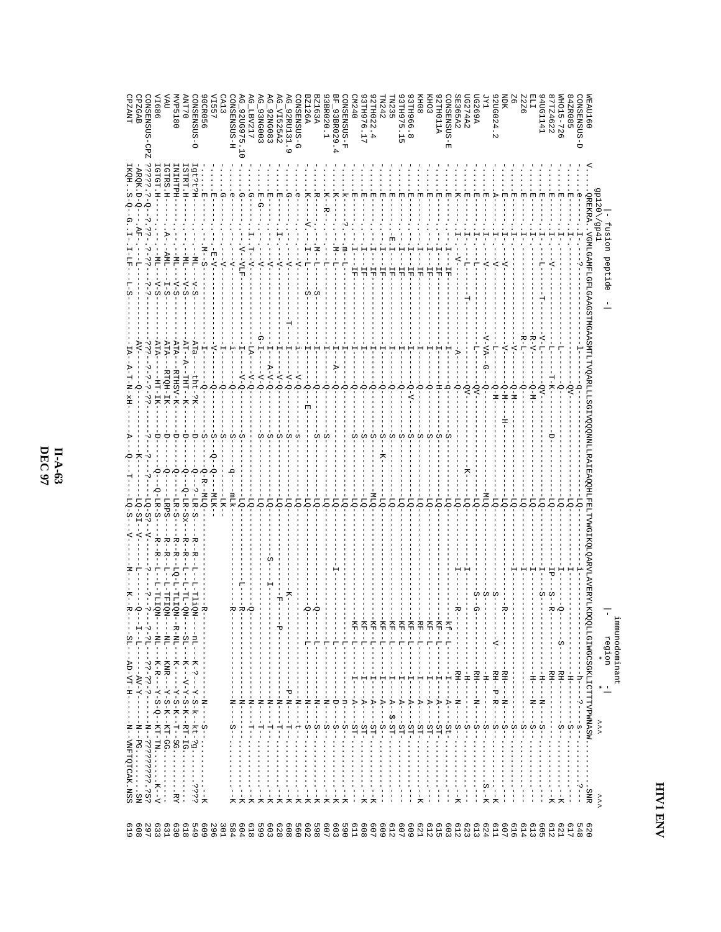| <b>VEAU160</b>                        | dp120\/gp41                    | <u>OREKRA. VGMLGAMFLGFLGAAGSTMGAASMTTTVQARILLISGIVQQQNNILLRAIEAQHILFRINGIYWQIKQQQQQQQQQQQQQQQQQQQQQQQQQQQX</u><br>fusion peptide |                      |                                 |                  |                                      |                |                                     | region                                                                                          | QQLLGIWGCSGKLICTTTVPWNASW<br>$* -$<br>$\checkmark$<br>.<br>SNR                                                                                                                                                                                                                                                                                                                                                                            |
|---------------------------------------|--------------------------------|----------------------------------------------------------------------------------------------------------------------------------|----------------------|---------------------------------|------------------|--------------------------------------|----------------|-------------------------------------|-------------------------------------------------------------------------------------------------|-------------------------------------------------------------------------------------------------------------------------------------------------------------------------------------------------------------------------------------------------------------------------------------------------------------------------------------------------------------------------------------------------------------------------------------------|
|                                       | ≶.                             |                                                                                                                                  |                      |                                 |                  |                                      |                |                                     |                                                                                                 |                                                                                                                                                                                                                                                                                                                                                                                                                                           |
| 84ZR085<br>G-SQSENSNOS                |                                |                                                                                                                                  |                      | ΟV-                             |                  | ċ                                    |                |                                     | $-10-7$<br>$-H - -$                                                                             | $-1 - 2 -$<br>J.<br>$S -$<br>$rac{1}{1}$<br>$\frac{1}{2}$<br>$-1$                                                                                                                                                                                                                                                                                                                                                                         |
| <b>NHO15-726</b>                      |                                |                                                                                                                                  |                      | ဂု                              |                  |                                      |                |                                     | w<br>$\frac{1}{1}$<br>$-BH$ -                                                                   | J<br>п<br>п<br>$S -$<br>$X^{n-1}$                                                                                                                                                                                                                                                                                                                                                                                                         |
| 87TZ4622                              |                                | Ż                                                                                                                                |                      | -<br>- K-                       |                  | ЪЧ<br>О                              | HP-            | ς<br>i<br>ਸ<br>।                    | -кн--                                                                                           | п<br>$\vdots$<br>$\vdots$<br>$x$ - - - - - - $x$                                                                                                                                                                                                                                                                                                                                                                                          |
| ELI<br>94UG1141                       |                                |                                                                                                                                  | $R-V$                | $Q - M -$<br>$\sum_{i=1}^{n}$   |                  | Ō-<br>ŌТ                             | 부              |                                     | $\frac{1}{1}$<br>$-\frac{1}{2}$                                                                 | $-1 - N -$<br>$-1$<br>$-5$<br>$\frac{1}{2}$<br>$\ddot{\cdot}$<br>$\vdots$<br>$\vdots$<br>$\frac{1}{4}$                                                                                                                                                                                                                                                                                                                                    |
| 2226                                  |                                |                                                                                                                                  | ドーロ                  | o<br>¦                          |                  | ŎГ-                                  | н              |                                     | $\mathbf{I}$<br>п<br>J<br>$\mathsf I$                                                           | л<br>$-5 -$<br>$\vdots$<br>$\vdots$<br>$\frac{1}{2}$ $\frac{1}{2}$ $\frac{1}{2}$ $\frac{1}{2}$ $\frac{1}{2}$ $\frac{1}{2}$ $\frac{1}{2}$ $\frac{1}{2}$ $\frac{1}{2}$ $\frac{1}{2}$ $\frac{1}{2}$ $\frac{1}{2}$ $\frac{1}{2}$ $\frac{1}{2}$ $\frac{1}{2}$ $\frac{1}{2}$ $\frac{1}{2}$ $\frac{1}{2}$ $\frac{1}{2}$ $\frac{1}{2}$ $\frac{1}{2}$ $\frac{1}{2}$                                                                                |
|                                       |                                |                                                                                                                                  | $\stackrel{-}{\sim}$ | -N-O                            |                  |                                      |                |                                     | $\begin{array}{c} \hline \end{array}$<br>$\begin{array}{c} \hline \end{array}$<br>т             | л<br>I<br>п<br>т<br>$S -$<br>$\frac{1}{2}$ $\frac{1}{2}$ $\frac{1}{2}$ $\frac{1}{2}$ $\frac{1}{2}$ $\frac{1}{2}$ $\frac{1}{2}$ $\frac{1}{2}$ $\frac{1}{2}$ $\frac{1}{2}$ $\frac{1}{2}$ $\frac{1}{2}$ $\frac{1}{2}$ $\frac{1}{2}$ $\frac{1}{2}$ $\frac{1}{2}$ $\frac{1}{2}$ $\frac{1}{2}$ $\frac{1}{2}$ $\frac{1}{2}$ $\frac{1}{2}$ $\frac{1}{2}$                                                                                          |
| <b>NDK</b>                            |                                | $\overline{z}$                                                                                                                   | ∻                    | $\overline{Q}$ – $\overline{M}$ |                  | δ-                                   |                | ۳                                   | RH-                                                                                             | $\overline{N}$<br>Ŵ<br>$\mathbf{I}$<br>$\ddot{\cdot}$<br>$\frac{1}{2}$<br>fi<br>fi                                                                                                                                                                                                                                                                                                                                                        |
| 920G024.2<br>LXL                      |                                | $\prec$<br>$\overline{\phantom{a}}$                                                                                              | $V - VA - V$         | $Q-M-$                          |                  | δŕ-                                  |                | w<br>w                              | $-4 - 1$<br>$\mathbf{I}$<br>$-BH$ -                                                             | $P - R$ .<br>Ţ<br>$S -$<br>$\vdots$<br>$\vdots$<br>$x + y - z - z$                                                                                                                                                                                                                                                                                                                                                                        |
| <b>JG269A</b>                         |                                | ÷                                                                                                                                |                      | $-20$<br>o<br>¦                 |                  | $-MI$<br>Ġ                           |                | w<br>ω                              | $\mathbf{I}$<br>$\blacksquare$<br>$-BH--$<br>$\frac{1}{1}$                                      | $- - N$ .<br>I<br>$\frac{1}{1}$<br>$S_{-}$<br>$S -$<br>$\vdots$<br>Ť<br>$\vdots$<br>$\begin{bmatrix} 1 & 1 & 1 \\ 1 & 1 & 1 \\ 1 & 1 & 1 \\ 1 & 1 & 1 \\ 1 & 1 & 1 \\ 1 & 1 & 1 \\ 1 & 1 & 1 \\ 1 & 1 & 1 \\ 1 & 1 & 1 \\ 1 & 1 & 1 \\ 1 & 1 & 1 \\ 1 & 1 & 1 \\ 1 & 1 & 1 \\ 1 & 1 & 1 \\ 1 & 1 & 1 & 1 \\ 1 & 1 & 1 & 1 \\ 1 & 1 & 1 & 1 \\ 1 & 1 & 1 & 1 \\ 1 & 1 & 1 & 1 \\ 1 & 1 & 1 & 1 & 1 \\ 1 & 1 & 1 & 1 & $<br>$\ldots$ S. - E |
| <b>JG274A2</b>                        |                                | 루                                                                                                                                |                      | Š                               |                  | Ъ-                                   |                |                                     | $\frac{1}{1}$                                                                                   | $-5$<br>$\vdots$<br>$\begin{array}{c} \vdots \\ \vdots \\ \vdots \\ \vdots \end{array}$<br>$\ddot{\phantom{0}}$                                                                                                                                                                                                                                                                                                                           |
| E365A2                                |                                | $\leq$                                                                                                                           |                      | Ю                               |                  | 5                                    |                |                                     | п<br>$-RH$ -                                                                                    | $\frac{1}{2}$<br>$-5-$<br>$\frac{1}{2}$<br>$\ddot{\cdot}$<br>$x_1 + \cdots + x_n$                                                                                                                                                                                                                                                                                                                                                         |
| <b>DISENSION</b>                      |                                | 븝                                                                                                                                |                      |                                 |                  |                                      |                | $-kf - -1$                          | п<br>$\mathsf I$<br>$-1$                                                                        | $-\Delta$ –<br>$-35 -$<br>$\frac{1}{2}$                                                                                                                                                                                                                                                                                                                                                                                                   |
| <b>ZTHO11A</b>                        |                                | 북                                                                                                                                |                      |                                 | S                | $\overline{5}$                       |                | <br>-<br>-<br>-                     | ÷<br>$\mathsf I$<br>$-1$                                                                        | $-V -$<br>$-ST-$<br>$\begin{array}{c} \vdots \\ \vdots \\ \vdots \\ \vdots \end{array}$                                                                                                                                                                                                                                                                                                                                                   |
| CHO3                                  |                                | 뵤                                                                                                                                |                      |                                 | w                | 5                                    |                | $-15F - -$                          | 부<br>부                                                                                          | $-\Delta-$                                                                                                                                                                                                                                                                                                                                                                                                                                |
| 30H)<br>3TH966.8                      |                                | i<br>F<br>북                                                                                                                      |                      | Ю                               | S<br>w           | ĠТ<br>С                              |                | -RH-1-1-<br>$-17 - 1 - 1 - 1$       | $\mathbf{I}$<br>$\mathbf{I}$<br>$-1$<br>부                                                       | $-\Delta -$<br>$-\Delta -$<br>$x_{-}$                                                                                                                                                                                                                                                                                                                                                                                                     |
| 3TH975.15                             |                                | H<br>H                                                                                                                           |                      |                                 | C                | ЪЧ<br>О                              |                | $-KF - L$                           | П<br>$\mathbf{I}$<br>$\frac{1}{1}$                                                              | $-$ A $ -$                                                                                                                                                                                                                                                                                                                                                                                                                                |
| <b>1235</b>                           |                                | 뷰                                                                                                                                |                      |                                 | S                | 55                                   |                | $-KF$ – $L$ –                       | J.<br>$\overline{1}$<br>٢                                                                       | $\mathbbmss{}^+$<br>$\mathbf{I}$<br>$-2-5$                                                                                                                                                                                                                                                                                                                                                                                                |
| Z + Z N                               |                                | 부                                                                                                                                |                      |                                 | S                | 51                                   |                | $-1 - 1 - 1 -$                      | п<br>I<br>$\frac{1}{2}$                                                                         | $-4-$                                                                                                                                                                                                                                                                                                                                                                                                                                     |
| 2TH022.4                              |                                |                                                                                                                                  |                      |                                 | w                | ŎП                                   |                | $-KF$ – $-$                         | Н<br>$\mathbf{I}$<br>부                                                                          | $\forall^-$<br>$\begin{array}{cccccccccc} -81 & - & -81 & - & -81 & - & -81 & - & -81 & - & -81 & - & -81 & - & -81 & - & -81 & - & -81 & - & -81 & - & -81 & - & -81 & - & -81 & - & -81 & - & -81 & - & -81 & - & -81 & - & -81 & - & -81 & - & -81 & - & -81 & - & -81 & - & -81 & - & -81 & - & -81 & - & -81 & - & -81 & - & -81 & - & -81 & - & -81 & - & -81 & - & -81 & - & -81 & - & -81 & - & -$<br>$X - - - K$                 |
| 3TH976.17                             |                                | 뵤                                                                                                                                |                      | Ю                               |                  | Ď-                                   |                | $-5$                                | F<br>$\mathbf{I}$<br>$-1$                                                                       | $\forall^-$<br>$\cdot$<br>$\cdots - K$                                                                                                                                                                                                                                                                                                                                                                                                    |
| <b>OFZM2</b>                          |                                | н<br>Т                                                                                                                           |                      | Ю                               |                  | t<br>5                               |                | $-KF - L$                           | $\mathbf{I}$<br>$\blacksquare$<br>$\frac{1}{1}$                                                 | $\forall$<br>$\blacksquare$<br>$\cdot$                                                                                                                                                                                                                                                                                                                                                                                                    |
| 3F_93BR029.4<br><b>A-SOSNEXEO</b>     |                                | - 1-- 1-                                                                                                                         |                      |                                 |                  | 51<br>5                              |                |                                     | ٣<br>부                                                                                          | $\dot{\vec{\theta}}$<br>$\frac{1}{2}$<br>$X - -Y$                                                                                                                                                                                                                                                                                                                                                                                         |
| 3BR020.1                              |                                | 부                                                                                                                                |                      |                                 |                  | Ġ                                    |                |                                     | 부<br>- I<br>$\overline{1}$<br>$\blacksquare$                                                    | $\frac{1}{\mathbf{Z}}$<br>$S -$<br>$x_{-},,$                                                                                                                                                                                                                                                                                                                                                                                              |
| Z163A                                 |                                | $-N=-L$<br>S                                                                                                                     |                      |                                 | w                | ЪЧ<br>О                              |                | ဂု                                  | 부<br>$\overline{1}$<br>$\overline{\phantom{a}}$<br>$\blacksquare$                               | ź.<br>$\frac{1}{1}$<br>$3 -$<br>$\vdots$                                                                                                                                                                                                                                                                                                                                                                                                  |
| Z126A                                 |                                | $-1 - 1$<br>S                                                                                                                    |                      | 固                               |                  | 51                                   |                | P-                                  | ٣<br>п<br>п<br>п<br>п<br>п                                                                      | $\frac{1}{2}$<br>п<br>$S -$<br>÷,<br>÷<br>$\vdots$<br>$\cdot$<br>$x - 1$                                                                                                                                                                                                                                                                                                                                                                  |
| <b>D-SUSNESNO</b>                     | O                              | $\overline{\zeta}$                                                                                                               |                      |                                 | m                | 51                                   |                |                                     |                                                                                                 | ł.<br>1<br>$\frac{1}{\sqrt{2}}$<br>÷.<br>$\cdot$<br>$\cdot$<br>$\vdots$<br>$\cdot$<br>$\cdot$                                                                                                                                                                                                                                                                                                                                             |
| SC 92RU131.9                          |                                | $\overline{\zeta}$                                                                                                               |                      | $-4-8$                          | C                | Ġ                                    |                | 적                                   |                                                                                                 | $N - d$<br>$\frac{1}{1}$<br>÷<br>$\bullet$<br>$\bullet$<br>$\bullet$<br>$\ddot{\ddot{\phantom{0}}}$<br>$\bullet$<br>$x=-K$                                                                                                                                                                                                                                                                                                                |
| VI525A2                               |                                | $-\Delta$ -                                                                                                                      |                      | $- - \Delta - \delta$           | S                |                                      |                | ÷<br>ا<br>$-\frac{1}{2}$            | J.<br>I<br>л.                                                                                   | $-1 - N - -$<br>부<br>$\ddot{\phantom{a}}$<br>$\cdot$<br>$\cdot$<br>$\vdots$<br>$X - - -$                                                                                                                                                                                                                                                                                                                                                  |
| AG_92NG083                            |                                | $-\Delta$ -                                                                                                                      |                      | $A-V-Q$                         | S                | 5                                    | U.<br>٢        | п                                   | 1<br>$\mathbf{I}$<br>п                                                                          | $\mathbbm{N}^{\mathbbm{m}}$<br>ł<br>۲I<br>T<br>÷<br>$\vdots$<br>$\vdots$<br>$X = -1$                                                                                                                                                                                                                                                                                                                                                      |
| 93NG003                               |                                | -- ^-                                                                                                                            |                      | $-4-6-8$                        | S                | Ъ-                                   |                |                                     | $\mathbf{I}$<br>-1<br>$\mathbf{I}$                                                              | ł.<br>부<br>$\ddot{\cdot}$<br>$\cdot$<br>$\cdot$<br>$\vdots$<br>$X - - Y$                                                                                                                                                                                                                                                                                                                                                                  |
| -9209975.<br>LIZABT<br>$\overline{0}$ |                                | $-L-\Delta-$<br>$V$ --VLF                                                                                                        |                      | $-4-8$                          |                  | Ġ                                    |                | ᄍ<br><b>O</b>                       |                                                                                                 | $\frac{1}{2}$<br>ź.<br>Ĥ<br>$\vdots$<br>$\begin{array}{c} \vdots \\ \vdots \\ \vdots \end{array}$<br>$x$ <sub>--</sub> $\cdots$                                                                                                                                                                                                                                                                                                           |
| H-SOSMESNOC                           |                                | $\overline{z}$                                                                                                                   |                      |                                 | CO.              | -mLk-                                |                | 진                                   | т.<br>п<br>п<br>$\overline{\phantom{a}}$<br>$\mathbf{I}$<br>$\overline{\phantom{a}}$<br>т.<br>п | $-5$<br>$-5 -$<br>$\frac{1}{2}$ $\frac{1}{2}$ $\frac{1}{2}$ $\frac{1}{2}$ $\frac{1}{2}$ $\frac{1}{2}$ $\frac{1}{2}$ $\frac{1}{2}$ $\frac{1}{2}$ $\frac{1}{2}$ $\frac{1}{2}$ $\frac{1}{2}$ $\frac{1}{2}$ $\frac{1}{2}$ $\frac{1}{2}$ $\frac{1}{2}$ $\frac{1}{2}$ $\frac{1}{2}$ $\frac{1}{2}$ $\frac{1}{2}$ $\frac{1}{2}$ $\frac{1}{2}$                                                                                                     |
| CA13                                  |                                | $\overline{\phantom{a}}$                                                                                                         |                      |                                 | S                | $-LK-$                               |                |                                     |                                                                                                 |                                                                                                                                                                                                                                                                                                                                                                                                                                           |
| <b>T557</b>                           |                                | $-{\bf E}-{\bf V}-$                                                                                                              |                      | Ю                               | S<br>ю           | -NLK-                                |                |                                     |                                                                                                 |                                                                                                                                                                                                                                                                                                                                                                                                                                           |
| 90CR056                               | 固                              | $-K--S$                                                                                                                          |                      | ∂⊦                              | ÜΩ<br>$Q - R -$  | $-MLO$                               |                | 전                                   |                                                                                                 | $-1$<br>$-5 - -$<br>$\begin{array}{c}\n\ddot{c}\dot{c}\dot{c}\dot{c}\n\end{array}$                                                                                                                                                                                                                                                                                                                                                        |
| O-SOSMERSNO                           | Tgt?t?H-                       | $-MI$<br>$S - \Delta$                                                                                                            | ATa--                | $-$ tht-?K-                     | U<br>ò           | $- - 7 - 1 - R - S$<br>하             | $R^{--}$       | L-T1iQN                             |                                                                                                 |                                                                                                                                                                                                                                                                                                                                                                                                                                           |
| <b>ANT70</b><br>AVP5180               | <b>LNIHTPH-</b><br>LOHRT . H - | $-M{\rm I}^{-}$<br>$-V-S$<br>$\sqrt{5}$                                                                                          | $AT--A-$<br>$ATA-$   | $RTHSV - K -$                   | Ů<br>∪<br>p<br>Ņ | $-Q$ -LR-Sx-<br>LR-S-<br>ゃ<br>÷<br>ا | – ¤−<br>ᅑ<br>Ę | <b>L-TLIQN</b><br>$T-TT-TT$         | $-B-NI$ -                                                                                       |                                                                                                                                                                                                                                                                                                                                                                                                                                           |
| ЛAU                                   | TGTRS.H-                       | $-$ MM $\!-$<br>$\frac{1}{2}$                                                                                                    | $ATA -$              | -RTQH-IK-                       | ó<br>ဂု          | -LRPS<br>$-R$                        | $R -$          | T-TETQN-                            | $-$ NL $-$                                                                                      |                                                                                                                                                                                                                                                                                                                                                                                                                                           |
| <b>71686</b>                          | GTGT.                          | $\overline{M}$<br>$V-S$                                                                                                          | ATA                  | -HH-IK-                         | ∪<br>ó,          | $Q-LR-S$<br>÷<br>⊢                   | 5              | NOITI-T                             | $-$ N1 $-$                                                                                      |                                                                                                                                                                                                                                                                                                                                                                                                                                           |
| SONSENSUS-CPZ                         | $-0 - 3 - 5 - 6 - 6$           | $-2 - 2 -$<br>ن.<br>v.                                                                                                           | ں ۔<br>-<br>-        | $2 - 2 - 5 - 5$                 | v.<br>۰ν         | $-10-55-$<br>╬                       | ٠.             | ں.<br>ا                             | $-7i-2$                                                                                         |                                                                                                                                                                                                                                                                                                                                                                                                                                           |
| CPZGAB                                | ARQK.<br>$-5-0$                |                                                                                                                                  |                      |                                 | ₹,               | $-55 - 21 - -$                       |                | ု<br>J.<br>$\overline{\phantom{a}}$ | $-1$<br>$\frac{1}{1}$<br>$- -X - \Lambda V - -$                                                 | $\frac{1}{1}$                                                                                                                                                                                                                                                                                                                                                                                                                             |
| TAAAS                                 | IKQHS-Q                        | - 1<br>뇌<br>두<br>c                                                                                                               |                      | $A-T-T-N$                       | ъ<br>Ó,<br>Η     | $-5 - 8 - 8 -$                       | 주              |                                     | $-75$<br>J<br>$-2D - 2I - H - -$                                                                | ł<br>-N-VNFTQTCAK.NSS                                                                                                                                                                                                                                                                                                                                                                                                                     |

**II-A-63**<br>DEC 97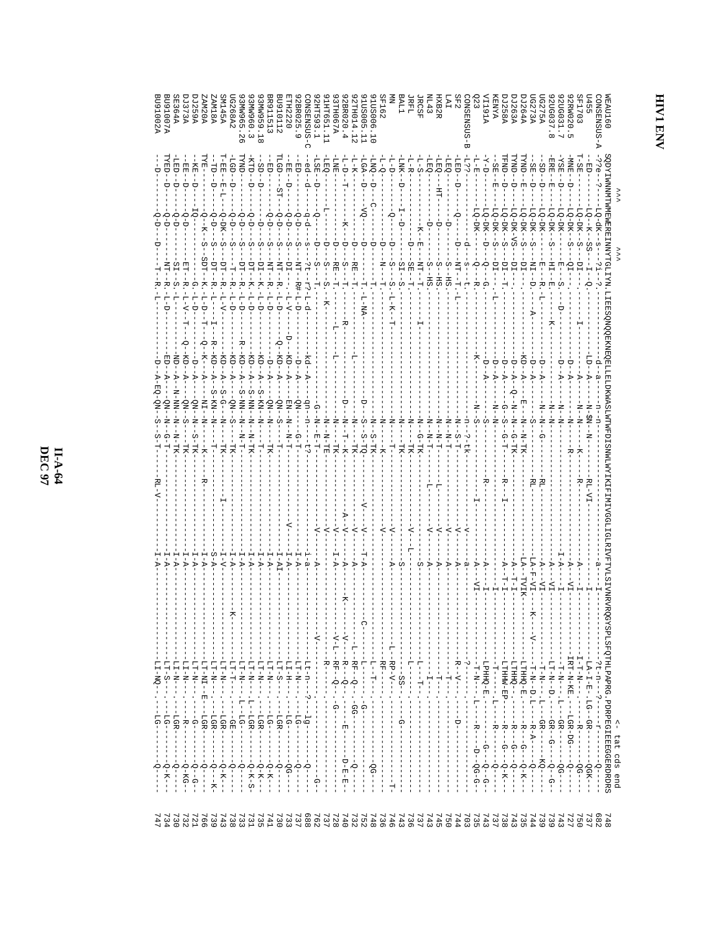| 47                | Ю<br>$\frac{1}{1}$            |                                                                                   | $T1 - NQ - - - - - -TQ -$                               |                         |   |                                                       |        |                      |                                                                                                       | U91002A            |
|-------------------|-------------------------------|-----------------------------------------------------------------------------------|---------------------------------------------------------|-------------------------|---|-------------------------------------------------------|--------|----------------------|-------------------------------------------------------------------------------------------------------|--------------------|
| 734               | $- - - - - - - - -$           | $---DT---$<br>J.<br>$\mathsf I$                                                   |                                                         |                         |   |                                                       |        |                      | <b>CEAL</b>                                                                                           | <b>A7001</b>       |
| 730               | $- - - - - - -$               | $---LGR---$<br>$\overline{\phantom{a}}$                                           | $-111 - 12 - - - - - -$                                 |                         |   |                                                       |        |                      | 접면<br>$\frac{1}{9}$                                                                                   | <b>1364A</b>       |
| 732               | $- -D - KG - -$               | $---R---$<br>T                                                                    | $-17 - N - -1 -$                                        |                         |   |                                                       | ĕ      |                      | p<br>$Q - D -$                                                                                        | 73A                |
| 721               | $-9 - -6 - -$                 | $-6 - -$<br>л.                                                                    |                                                         |                         |   | S-TK                                                  |        |                      | Ģ                                                                                                     | <b>J259A</b>       |
| 994               |                               | $\mathbf I$                                                                       |                                                         | $\frac{1}{2}$           |   |                                                       |        |                      | $-5 - K -$<br>C                                                                                       | <b>AN20A</b>       |
| 739               | $-9 - -K -$                   | $---LGR---$                                                                       |                                                         | P,                      |   | ÜΩ                                                    | ĕ      |                      | S                                                                                                     | <b>AM18A</b>       |
| 743               | $-5 - K - -$                  | $---LGR---$                                                                       | $-17 - 17 - 17 - 17 - 17 - 17$                          | $\prec$                 |   | ÜΩ<br>$\frac{1}{\Omega}$<br>-TK-                      | ĕ      |                      | 변<br>w                                                                                                | 4545A              |
|                   | $-1 - 1 - 1$                  | $---EE---$<br>$\mathbf{I}$                                                        |                                                         | ♭                       |   |                                                       | ġ      | Г<br>U               | 59<br>9<br>ŮΩ                                                                                         | 3268A2             |
| 733               |                               | ï                                                                                 | - 1-1 - N - - - - . 1- - - - - - -                      | ý-                      |   | $-S-NIN$<br>$-1$ $-1$ $-1$ $-1$ $-1$ $-1$             | ā<br>♭ | Г-Г<br>U             | $Q - D -$<br>S                                                                                        | 3MW965<br>56       |
| 731               | $Q - K - S -$                 | $\blacksquare$                                                                    |                                                         | $\overline{\mathbb{A}}$ |   | $S-MM$<br>$-1$ -N-LK                                  | ĕ<br>Þ | r<br>J               | KTD<br>Ų<br>$\frac{1}{2}$<br>S                                                                        | 3MW960.3           |
|                   | $-2 - K - -$                  | İ                                                                                 |                                                         |                         |   |                                                       |        |                      |                                                                                                       |                    |
| 735               |                               | $\mathbf{I}$                                                                      | - L-H - N - - - - - - - - - L-U-G-N - -                 | ΑĻ                      |   | $S - K\Gamma$                                         | ë<br>ъ | $\frac{1}{1}$        | ė<br>$\frac{1}{\sqrt{1}}$<br>S                                                                        | 811959.18          |
| 741               | $-5 - K - -$                  | $---DT--$<br>ì                                                                    | - LT- N- - - - - -                                      | Þ.                      |   | EK.                                                   |        | ヨ<br>$T - D$         | $Q - D$<br>C                                                                                          | 8911513            |
| 730               | $-1 - 0 - 1$                  | $---LGR---$<br>ï                                                                  | $-11 - 8 - -1 - -$                                      | $TV-$                   |   |                                                       | ä      | Ę<br>$\frac{1}{1}$   | <b>FLGD</b> -<br>$Q-D$<br>S                                                                           | <b>S10112</b>      |
| 733               | $--00--$                      | $-100 -$<br>$\overline{\phantom{a}}$<br>$\overline{1}$<br>$\mathsf I$             | $-1 - H - H - 1$                                        |                         |   | $-1$ $-1$ $-1$                                        | ĕ      | $\Gamma$ – $\Lambda$ | $\frac{1}{\sqrt{1}}$                                                                                  | TH <sub>2220</sub> |
| 737               |                               | $-100 -$<br>т<br>п<br>г                                                           | $-1$                                                    |                         |   |                                                       |        | ヨ<br>R#-L-D          | $\frac{1}{\sqrt{1}}$<br>C                                                                             | 2BR025.9           |
| 889               |                               | Ť.                                                                                | -Lt-n----?---1g----                                     |                         |   |                                                       | ă      |                      | ا<br>م<br>-a-q-<br>Ω                                                                                  | -SQSN2ENS          |
| 762               | $\frac{1}{1}$                 | $\mathbf{I}$                                                                      | $-1$ - $-1$<br>$\frac{1}{1}$                            |                         |   | 中山                                                    |        |                      | 55<br>면<br>∀                                                                                          | 2HT593.1           |
| 737               |                               | Т                                                                                 | $\frac{1}{1}$<br>ー<br>H<br>H<br>-<br>$\frac{1}{1}$      |                         |   |                                                       |        |                      | U                                                                                                     | TT-051.11          |
| 728               | $-1$ $-1$ $-1$ $-1$ $-1$      | I                                                                                 |                                                         |                         |   |                                                       |        | 면<br>면               |                                                                                                       | THO67A             |
| 740               |                               |                                                                                   | - - - V - - - - - R - - - O - - . - - - - - H H - - - - |                         |   | Z---7---                                              |        |                      |                                                                                                       | SR020.4            |
|                   | - - ワ- E-E--                  |                                                                                   |                                                         |                         |   |                                                       |        |                      | Ů                                                                                                     |                    |
| 732               | $-$ - $\frac{1}{2}$           |                                                                                   |                                                         |                         |   | -TK-                                                  |        |                      | U                                                                                                     | THO14.12           |
| 752               |                               |                                                                                   | $\frac{1}{1}$<br>------<br>$-1 - 0 - 1$                 |                         |   | $S-TQ$ .                                              |        |                      | U                                                                                                     | LT: 900SQ.         |
| 748               | $- - 56 - - - -$              | $\frac{1}{1}$<br>$\frac{1}{1}$<br>I<br>$\begin{array}{c} 1 \\ 1 \\ 1 \end{array}$ | J                                                       |                         |   | S-TK-                                                 |        |                      | <b>DNU</b><br>i<br>P                                                                                  | 900SD              |
| 736               | $-1$ $-1$ $-1$ $-1$ $-1$ $-1$ | ı<br>п<br>п<br>I<br>I<br>ı<br>ï<br>I                                              | ı<br>$\frac{1}{1}$<br>- 78 円 - - - - - - - -<br>ı       |                         |   |                                                       |        |                      |                                                                                                       |                    |
| 746               | I<br>$-1$                     | J                                                                                 | Ť<br>$L - RP - V - -$<br>$\mathbf I$<br>÷               |                         |   |                                                       |        |                      | o<br>-                                                                                                |                    |
| 743               |                               | $-6 -$                                                                            | $---$ SS-- . -<br>$\overline{\phantom{a}}$              |                         |   |                                                       |        |                      | <b>LINK</b>                                                                                           |                    |
| 736               | I                             | $-1$ $-1$ $-1$ $-1$<br>$\frac{1}{1}$                                              |                                                         |                         |   |                                                       |        | ЯŠ                   | ∪                                                                                                     | RFL                |
| 737               |                               | п<br>I<br>I                                                                       |                                                         |                         |   |                                                       |        |                      |                                                                                                       | <b>RCSF</b>        |
| 743               |                               |                                                                                   | $-1 - -1 - 1 -$                                         |                         |   | -<br>H-N-                                             |        |                      | 5<br>5<br>5                                                                                           | 1243               |
| 745               |                               | $\frac{1}{1}$<br>I<br>I<br>I                                                      | $-1$ + $-1$ + $-1$ + $-1$                               |                         |   |                                                       |        |                      | <b>PEQ</b><br>丐<br>à                                                                                  | <b>XB2R</b>        |
| 750               | $\frac{1}{1}$                 | $\frac{1}{1}$<br>I                                                                | $-1 - 1 - 1 - 1$<br>$\mathbf{I}$                        |                         | Š | Ż<br>J                                                |        |                      | 58<br>150                                                                                             |                    |
| 744               | $\frac{1}{1}$<br>Í            | $-1$ - $-1$ - $-1$<br>$\frac{1}{1}$                                               | $-$ R $-$ - N $-$ - $ -$                                |                         |   |                                                       |        |                      | 팁<br>$\overline{p}$<br>è                                                                              |                    |
| 703               |                               |                                                                                   | $-1$ - $-1$<br>Ĵ.                                       |                         |   |                                                       |        | ŵ                    | ف                                                                                                     | <b>DNSENS</b>      |
| 735               |                               | - T-N--- . ビ-----R----D--QG-G--                                                   |                                                         |                         |   |                                                       |        |                      | LQ-DK                                                                                                 |                    |
|                   |                               | $-1$ - $-1$ - $-1$ - $-1$ - $-1$ - $-1$ - $-1$                                    | $-TBHHO-E. -$                                           |                         |   |                                                       | U      |                      | $\Delta - 1$<br>$LQ-DK$<br>ť                                                                          | <b>A191A</b>       |
| 738<br>737<br>743 |                               | - TT - - - - - - . ピ - - - - - R - - - - - - - - O - - - -                        |                                                         |                         |   |                                                       | U      |                      | –<br>연<br>国<br>$TQ-TK$<br>$-5$                                                                        | <b>AYME</b>        |
|                   |                               | $- -K - -G - - -K - -$                                                            | LTHHN-RP--                                              | $\frac{1}{1}$           |   | ດ<br>ມ                                                | U      |                      | <b>TRIAL</b><br>Ü<br>LQ-DK<br>$\frac{1}{\Omega}$                                                      | <b>J258A</b>       |
| 743               |                               |                                                                                   |                                                         |                         |   | -G-TK                                                 | U      |                      | <b>CINA.</b><br>$\stackrel{\scriptscriptstyle\mathsf{L}}{\scriptscriptstyle\mathsf{U}}$<br>$LQ-DR-VS$ | <b>J263A</b>       |
| 735               |                               |                                                                                   | $\frac{1}{1}$<br>$-17HHT - E$                           | AIAL--AT                |   | -<br>N--<br>N-+<br>N-                                 | ê      |                      | CRAN<br>」<br>변<br>$LQ-DK$<br>$\frac{1}{2}$                                                            | <b>J264A</b>       |
| 744               |                               | - - T-N-- D . L - - - - A - A - - - - - O - - - -                                 | $-1 - 2 - 1$                                            | $-10 - 1 - 1$           |   |                                                       | U      |                      | $\frac{1}{\mathbf{U}}$<br>$TQ-TK$<br>$\frac{1}{\infty}$                                               | <b>AS73A</b>       |
| 739               | $---KQ---$                    |                                                                                   | - TT- N--- . L----QR-----                               | $\leq$                  |   | Ż<br>-<br>-<br>Φ                                      | Α<br>ъ |                      | ó<br>$LQ-DK$                                                                                          | G275A              |
| 739               |                               | - LT-N---D . ----QR---Q-----Q----                                                 |                                                         |                         |   |                                                       |        |                      | 因<br>$TQ - DK$<br>$\frac{1}{\Omega}$                                                                  | 20G03<br>$\infty$  |
| 743               | $-98 - -$                     | J                                                                                 | - - TT - N - - - - . L - - - GA - - - - - -             |                         |   |                                                       | Α<br>ъ |                      | <b>HSK</b><br>$LQ-DK$                                                                                 | 20G03              |
| 727               |                               | НВН-И-КЕ: ---НGR-DQ-----O                                                         |                                                         |                         |   |                                                       | Δ      |                      |                                                                                                       | <b>2RW020</b>      |
| 750               |                               |                                                                                   |                                                         |                         |   |                                                       |        |                      |                                                                                                       |                    |
|                   |                               | - LA - I - E - CR - - - - - - - - QR - - - - - - - - QR                           |                                                         |                         |   |                                                       |        |                      |                                                                                                       |                    |
| 737               |                               |                                                                                   |                                                         |                         |   |                                                       |        |                      |                                                                                                       | ONSENSUS           |
| 789<br>748        |                               |                                                                                   | FXSPLSFQTHLPAPRG.PDRPEGIEEGGERPDRS                      | IVFTVLSIVNRVRQ          |   | ESONOORRENTETETUR WASTWEIGNWEIGNEEF FREINDER GOLFGOLF |        |                      |                                                                                                       | EAU160             |
|                   |                               | <- tat cds end                                                                    |                                                         |                         |   |                                                       |        |                      |                                                                                                       |                    |
|                   |                               |                                                                                   |                                                         |                         |   |                                                       |        |                      |                                                                                                       |                    |

 $\frac{\Pi\text{-}\text{A-64}}{\text{DEC~97}}$ 

# HIV1 ENV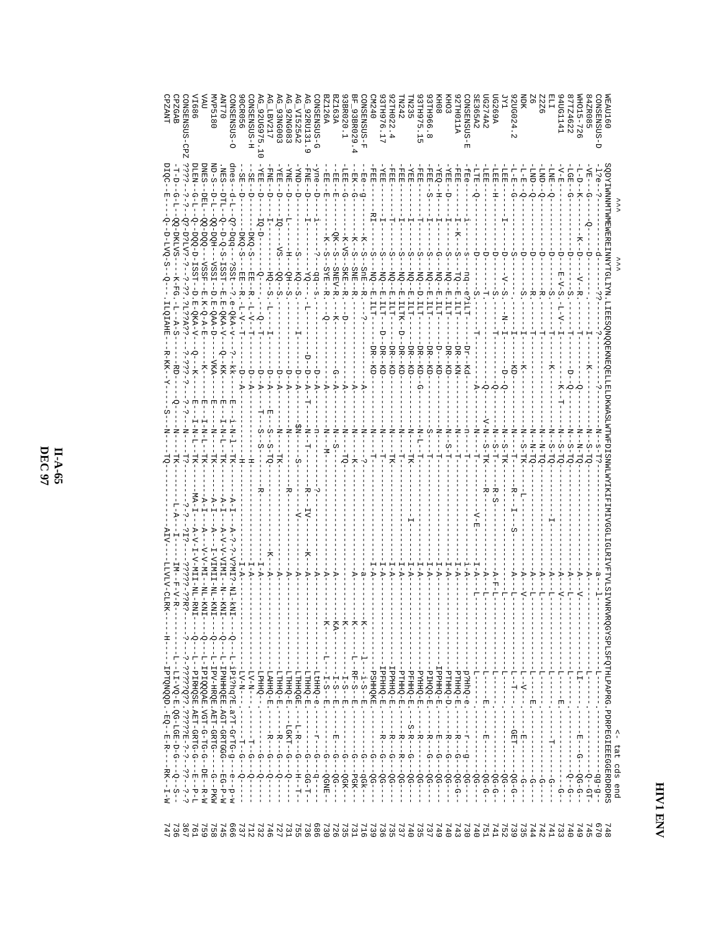|                                       |                              |                             |                        |                      |                             |              |             |                                                                                                     | <- tat cds end                                                                                                                            |                             |
|---------------------------------------|------------------------------|-----------------------------|------------------------|----------------------|-----------------------------|--------------|-------------|-----------------------------------------------------------------------------------------------------|-------------------------------------------------------------------------------------------------------------------------------------------|-----------------------------|
| EAU160                                |                              |                             | IEESQNQQEKNEQELLELDKWA |                      | MTWRDISMWI                  | KIFININGGL   | IVFTVLSIVNR | OGYSPLSFQTHLPAPRG.PDRPEGIEEEGGERDRS                                                                 |                                                                                                                                           | $\frac{48}{6}$              |
| <b>SUSNESNE</b>                       |                              |                             |                        |                      |                             |              |             | $\frac{1}{1}$ – $\frac{1}{1}$ – $\frac{1}{1}$                                                       | $- -5 - 65 - -$                                                                                                                           | 019                         |
| 4ZR085                                |                              |                             |                        |                      |                             |              |             | I<br>$\cdot$ <sup>i</sup>                                                                           |                                                                                                                                           | 745                         |
| 324-5-726                             |                              |                             |                        |                      |                             |              |             | $-17$<br>$\frac{1}{1}$<br>$\overline{\phantom{a}}$                                                  | $-$ -E----G---QG-G---                                                                                                                     | 949                         |
| TZ4622                                | <b>LGE</b><br>ဂ္ဂ်           |                             |                        |                      |                             |              |             | $-1$<br>ï<br>ı                                                                                      | $\frac{1}{1}$<br>$- - -5 - -6 - -$                                                                                                        | 740                         |
| 40G1141                               | $U^{\Pi}E$ --5<br>トロ         |                             |                        |                      | ņά                          |              |             | j.<br>$-1$<br>ï<br>Î<br>$\cdot$ <sup>1</sup><br>田<br>-                                              | $-1 - 1 - 1 - 1$<br>$\begin{array}{c} 1 \\ 1 \\ 1 \\ 1 \end{array}$<br>$\frac{1}{1}$                                                      | $\frac{1}{1}$<br>733<br>741 |
| 226                                   | <b>LIND</b><br>$\sigma$      |                             |                        |                      | $\overline{N}-\overline{N}$ |              |             | $-1$                                                                                                | $\begin{array}{c} 1 \\ 1 \\ 1 \end{array}$<br>$-6 - -$                                                                                    | 742                         |
|                                       | <b>D--dNJ</b>                |                             |                        |                      | $-L-LLO$                    |              |             | j.<br>--------<br>$\ddot{H}$<br>$\ddot{H}$                                                          | ł<br>$\begin{array}{c} 1 \\ 1 \\ 1 \\ 1 \end{array}$                                                                                      | 744                         |
|                                       | 다<br>면<br>$\frac{1}{\circ}$  |                             |                        |                      | $-S-TK$                     |              |             | $-1$ - $-1$ - $-1$ - $-1$                                                                           | $\frac{1}{1}$<br>$\mathbf{E}$ – – – – –                                                                                                   | 735                         |
| 20G024.<br>N                          | 「H<br>ဂ္ဂ်                   |                             |                        | ĕ                    |                             |              |             | L-1-1-1-1-1-                                                                                        | $-1$ - QH-1 - - - -<br>$-9 - 0 - 0 - -$                                                                                                   | 739                         |
|                                       | 计因为                          |                             |                        |                      | $S-TK$                      |              |             | $\frac{1}{1}$<br>Ţ<br>- 1                                                                           | $\mathbf{I}$<br>$- -50 - -$                                                                                                               | 757                         |
| G269A                                 | <b>HRE</b><br>$\frac{1}{11}$ |                             |                        |                      | ပ္ပ်                        | 진<br>C       | $A - F - I$ |                                                                                                     | $-1$ $-1$ $-1$ $-1$ $-1$ $-1$<br>$---0G-G-$                                                                                               | 741                         |
| 3274A2                                | 计因为                          |                             |                        | ó                    | -S-TK                       |              |             | - - L - - - - - H - - - - - H - - - - -                                                             | $- - 0 = -C -$                                                                                                                            | 751                         |
| E365A2                                | HH<br>$\frac{1}{\infty}$     |                             |                        |                      |                             |              |             | $\frac{1}{1}$<br>$- - - - - - - -$                                                                  | $\frac{1}{1}$<br>$\mathsf I$<br>$\frac{1}{1}$<br>$---00--$                                                                                | 740                         |
| -SOSNEXSOS-                           |                              |                             |                        |                      |                             |              |             | $-54H2$                                                                                             | $\frac{1}{1}$<br>$\overline{b}$ -- $\overline{a}$<br>$---00---$                                                                           | 730                         |
| <b>ZTHOILA</b>                        | 互互互                          |                             |                        | н<br>М               |                             |              |             | Ť<br>$\mathsf I$<br>в тнид-в<br>Ť                                                                   | $\frac{1}{1}$<br>$R$ – – – –<br>Ω<br>$-9 - 00 - 0 -$                                                                                      | 743                         |
| ä                                     | è                            |                             |                        | ĕ                    | $-5-1$                      |              |             | -PTHHQ-D<br>÷                                                                                       | $\frac{1}{4}$<br>$-1 - 1$<br>۵<br>$---00$                                                                                                 | 740                         |
| <b>HO8</b>                            | <b>DEN</b><br>ė              | Š                           | 팁                      | $\frac{1}{\text{O}}$ |                             |              |             | д-бннат<br>÷,<br>J.                                                                                 | $\frac{1}{4}$<br>۵<br>$---00$                                                                                                             | 749                         |
| 33H1966<br>$\stackrel{\cdot}{\infty}$ |                              | δÄ                          |                        | Ğ                    |                             |              |             | PIHQQ-E                                                                                             | $\frac{1}{1}$<br>Ŕ,<br>ດ<br>$--00--$                                                                                                      | 737                         |
| 3TH975                                |                              | Š                           | ᇽ<br>DR--KD            |                      |                             |              |             | Î<br>j.<br>в-бннд<br>$\bullet$<br>$\mathbb I$<br>J                                                  | İ<br>Ŕ,<br>$\frac{1}{1}$<br>$---0G---$                                                                                                    | 735                         |
| 242                                   |                              | ă<br>δÄ                     | <b>LLTK</b><br>DR-- KD | ĕ                    |                             |              |             | Ţ<br>$A - B$ HHQ-E<br>$B - \overline{O}HHLd$<br>Ŷ<br>Ť                                              | $S - R$<br>$\frac{1}{1}$<br>iki<br>⊦<br>$\frac{1}{K}$<br>$\frac{1}{\Omega}$<br>$---00$<br>$---00$                                         | 740<br>737                  |
| <b>P.22022.4</b>                      |                              | ă                           |                        | Ġ                    |                             |              |             | EPPHHQ-E<br>٠<br>$\overline{1}$                                                                     | $\mathbf{I}$<br>ᄷ<br>$\frac{1}{\Omega}$<br>$---00---$                                                                                     | 735                         |
| STH976.17                             |                              | $-20$                       | FIT-<br>DR--KD         |                      |                             |              |             | - ТРЕННО-Е.<br>J<br>J                                                                               | $-$ R $-$<br>$\frac{1}{\Omega}$<br>$---00---$                                                                                             | 736                         |
|                                       |                              | -Nō                         |                        |                      |                             |              |             | --PSHHQKE.-<br>$\mathbf I$<br>ı                                                                     | J.<br>$\frac{1}{\Omega}$<br>$---00$                                                                                                       | 739                         |
| -SUSNEXSUS-                           |                              | SnE                         |                        |                      |                             |              |             | Ę<br>Ţ                                                                                              | $\frac{1}{\Omega}$<br>$---364-$                                                                                                           | 716                         |
| $-93BRO29$                            | ດ                            | ×<br><b>SNE</b>             |                        |                      |                             |              |             | - - - - 1 - - - 1 - S - - E .<br>- - - - - - - R F - S - - E .<br>- - - - - - - - - - E - S - - E . | $\stackrel{1}{\Omega}$<br>$- -$ DGK $-$                                                                                                   | 731                         |
| BR020.1                               | ဂ္ဂ                          | <b>SKE</b> .                |                        |                      |                             |              | ř           | т                                                                                                   | $\stackrel{\scriptscriptstyle \rm I}{\scriptscriptstyle \Omega}$<br>$\frac{1}{1}$<br>$-5GK - -$                                           | 735                         |
| <b>L63A</b>                           | 丙                            | SNEV-R                      |                        |                      | ÚΩ                          |              | - PX<br>- - | $- \frac{1}{\Gamma} - \frac{1}{\Gamma} - \frac{1}{\Gamma}$ .<br>Ĩ                                   | 団<br>I.<br>$_\Omega^\text{I}$<br>ŧ<br>$-96 - - - -$                                                                                       | 726                         |
| 126A                                  | 넎<br>内                       | <b>SYE</b>                  | Ю                      |                      | ż                           |              | K--         | $-1$<br>ÿ                                                                                           | Ω<br>$-QGME -$                                                                                                                            | 730                         |
| <b>D-SOSNESNE</b><br>92RU131.         | ENE<br>ληe                   |                             |                        |                      |                             |              |             | д-бннд-<br>т¢нно-е<br>ÿ<br>Ý                                                                        | $\frac{1}{1}$<br>$\overline{r}$<br>$\mathsf I$<br>$\frac{1}{\Omega}$<br>$\frac{1}{\Omega}$<br>$\frac{1}{1}$<br>$\frac{1}{1}$<br>$-90-1-1$ | 989<br>736                  |
| <b>VI525A2</b>                        | <b>CINLY</b>                 | $-KQ$                       |                        |                      | g                           |              |             | $\frac{1}{1}$<br>LTHHQGE .----L-R-                                                                  | $\frac{1}{\Omega}$<br>$-1 - H - H$                                                                                                        | 554                         |
| 92NG083                               | <b>HNY</b>                   | $-$ HO-                     |                        |                      |                             |              |             | $B - \overline{O} H H L T$<br>÷,                                                                    | $-17GK - -G$<br>$-6 - -$                                                                                                                  | 731                         |
| 93NG003                               | HHK                          | ã<br>$-80$                  |                        | ∪                    |                             |              |             | $-0.33440 - 0.5$<br>Ŷ<br>J<br>J                                                                     | $-$ B $-$<br>$\frac{1}{\Omega}$                                                                                                           | 727                         |
| LTZABT                                | <b>HNE</b>                   | HQ--                        |                        | ∪                    | $-5 - 7Q$                   |              |             | $H - OHHV$<br>f,                                                                                    | $- -5 - -$                                                                                                                                | 746                         |
| 9709975                               | HHK<br>$-5-5$                |                             |                        | U<br>Ъ               | Ġ                           |              |             | $\frac{1}{1}$<br>-гынд-----                                                                         | $\begin{array}{c} \n 1 \\  1 \\  1\n \end{array}$<br>$\frac{1}{\Omega}$<br>$3 - -2 - - - -$                                               | 732                         |
| <b>H-SOSNESN</b>                      | -SE                          | $-EB$                       |                        | ∀                    |                             |              |             | $-1-V-N-1-$                                                                                         |                                                                                                                                           | 712                         |
| <b>DCR056</b>                         | ά                            | $-$ EE                      | ローヘーロ                  | ∪                    |                             |              |             | $  N$ $ N$ $   -$                                                                                   | $-1 - 7 - 9$                                                                                                                              | 737                         |
| O-SOSNESNC                            |                              |                             | e-QkA-v                |                      |                             |              |             | --D-Ripi?hq?E.a?T-GrTG-9                                                                            | Ŧ                                                                                                                                         | $M - d - -e$<br>999         |
|                                       | <b>NES</b>                   | $-5 - 0 - 5$<br><b>ISSI</b> | E-QKA-V                | - KK<br>団            |                             | $\mathbb{F}$ | Οr          | --L-IPNHHQEE.AGT-GRTGGG--                                                                           | $\mathbf{I}$                                                                                                                              | $EG-P-N$<br>745             |
| VP5180                                |                              | <b>VSST</b>                 | $QAA-D$                | УKA<br>固             |                             |              | Ю           | $-1 - 1 = V - HRCSE$ .<br>AET-GRTG--                                                                | $\frac{1}{4}$<br>-G--PKN                                                                                                                  | 954                         |
|                                       | <b>DNES</b> .                | 2-DQQ-<br><b>VSSF</b>       | $X - Q - A - E$        |                      | $-N-T$                      |              | NH-HN<br>Ρŗ | L-IPIQQQAE.VGT-G-TG-G--PE-R-W                                                                       |                                                                                                                                           | 959                         |
|                                       |                              |                             | DKA-V                  |                      | $-N-T$                      |              | Ю           | L--P-RHQSE.AET-GRTG-G----F--                                                                        |                                                                                                                                           | $T - d$<br>761              |
| <b>DISENSI</b>                        | こここ                          |                             | <b>CONGCT</b>          | $-23 - -$            |                             |              | ?R?<br>٠.   |                                                                                                     | $6 - 6 - 66$                                                                                                                              | 367                         |
| <b>FZANT</b><br><b>SZGAB</b>          |                              |                             |                        |                      |                             |              | 푸           | --2-1-1-00-E-00-LGE-D-0---0---                                                                      | --RK--                                                                                                                                    | $M - I$<br>736<br>47        |
|                                       |                              |                             |                        |                      |                             |              |             | $\overline{\phantom{a}}$<br>j.<br>IPTONOQD.-EQ--E-R--                                               |                                                                                                                                           |                             |

#### $\frac{H-A-65}{\text{DEC } 97}$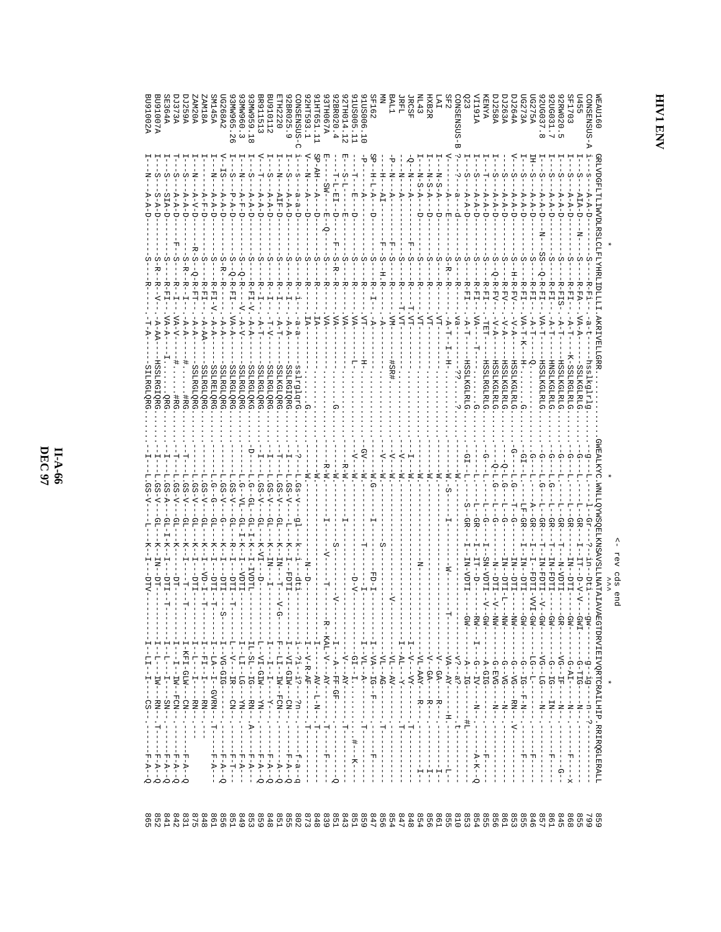**DEC 97 II-A-66**

**HIV1ENV** 

<- rev cds end